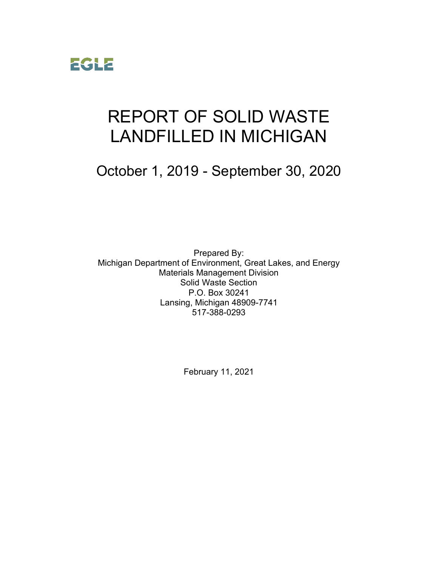

# REPORT OF SOLID WASTE LANDFILLED IN MICHIGAN

October 1, 2019 - September 30, 2020

Prepared By: Michigan Department of Environment, Great Lakes, and Energy Materials Management Division Solid Waste Section P.O. Box 30241 Lansing, Michigan 48909-7741 517-388-0293

February 11, 2021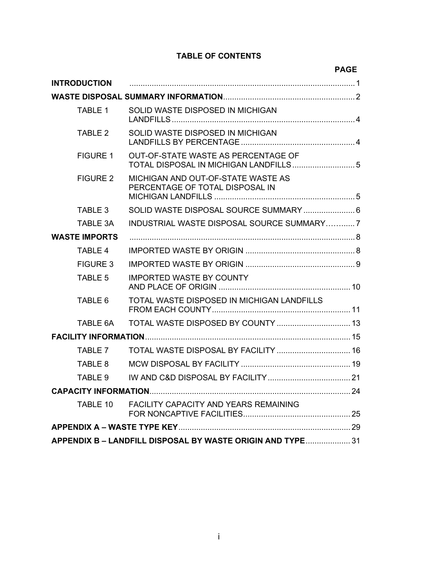#### **TABLE OF CONTENTS**

|                      |                                                                               | <b>PAGE</b> |
|----------------------|-------------------------------------------------------------------------------|-------------|
| <b>INTRODUCTION</b>  |                                                                               |             |
|                      |                                                                               |             |
| <b>TABLE 1</b>       | SOLID WASTE DISPOSED IN MICHIGAN                                              |             |
| TABLE 2              | SOLID WASTE DISPOSED IN MICHIGAN                                              |             |
| <b>FIGURE 1</b>      | OUT-OF-STATE WASTE AS PERCENTAGE OF<br>TOTAL DISPOSAL IN MICHIGAN LANDFILLS 5 |             |
| <b>FIGURE 2</b>      | MICHIGAN AND OUT-OF-STATE WASTE AS<br>PERCENTAGE OF TOTAL DISPOSAL IN         |             |
| TABLE 3              |                                                                               |             |
| TABLE 3A             | INDUSTRIAL WASTE DISPOSAL SOURCE SUMMARY7                                     |             |
| <b>WASTE IMPORTS</b> |                                                                               |             |
| <b>TABLE 4</b>       |                                                                               |             |
| <b>FIGURE 3</b>      |                                                                               |             |
| <b>TABLE 5</b>       | <b>IMPORTED WASTE BY COUNTY</b>                                               |             |
| TABLE 6              | TOTAL WASTE DISPOSED IN MICHIGAN LANDFILLS                                    |             |
| TABLE 6A             |                                                                               |             |
|                      |                                                                               |             |
| TABLE 7              | TOTAL WASTE DISPOSAL BY FACILITY  16                                          |             |
| TABLE 8              |                                                                               |             |
| TABLE 9              |                                                                               |             |
|                      |                                                                               |             |
| TABLE 10             | FACILITY CAPACITY AND YEARS REMAINING                                         |             |
|                      |                                                                               |             |
|                      | APPENDIX B - LANDFILL DISPOSAL BY WASTE ORIGIN AND TYPE 31                    |             |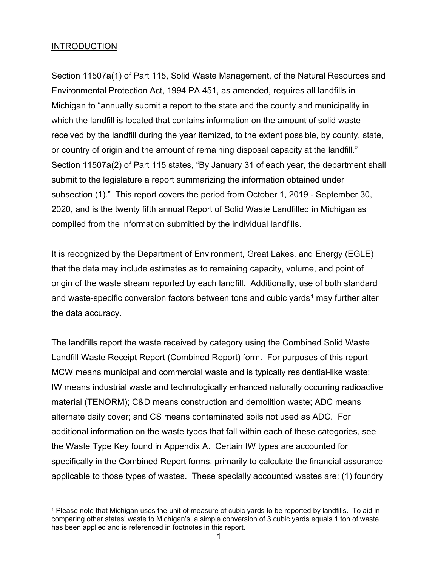#### **INTRODUCTION**

Section 11507a(1) of Part 115, Solid Waste Management, of the Natural Resources and Environmental Protection Act, 1994 PA 451, as amended, requires all landfills in Michigan to "annually submit a report to the state and the county and municipality in which the landfill is located that contains information on the amount of solid waste received by the landfill during the year itemized, to the extent possible, by county, state, or country of origin and the amount of remaining disposal capacity at the landfill." Section 11507a(2) of Part 115 states, "By January 31 of each year, the department shall submit to the legislature a report summarizing the information obtained under subsection (1)." This report covers the period from October 1, 2019 - September 30, 2020, and is the twenty fifth annual Report of Solid Waste Landfilled in Michigan as compiled from the information submitted by the individual landfills.

It is recognized by the Department of Environment, Great Lakes, and Energy (EGLE) that the data may include estimates as to remaining capacity, volume, and point of origin of the waste stream reported by each landfill. Additionally, use of both standard and waste-specific conversion factors between tons and cubic yards<sup>[1](#page-2-0)</sup> may further alter the data accuracy.

The landfills report the waste received by category using the Combined Solid Waste Landfill Waste Receipt Report (Combined Report) form. For purposes of this report MCW means municipal and commercial waste and is typically residential-like waste; IW means industrial waste and technologically enhanced naturally occurring radioactive material (TENORM); C&D means construction and demolition waste; ADC means alternate daily cover; and CS means contaminated soils not used as ADC. For additional information on the waste types that fall within each of these categories, see the Waste Type Key found in Appendix A. Certain IW types are accounted for specifically in the Combined Report forms, primarily to calculate the financial assurance applicable to those types of wastes. These specially accounted wastes are: (1) foundry

<span id="page-2-0"></span><sup>1</sup> Please note that Michigan uses the unit of measure of cubic yards to be reported by landfills. To aid in comparing other states' waste to Michigan's, a simple conversion of 3 cubic yards equals 1 ton of waste has been applied and is referenced in footnotes in this report.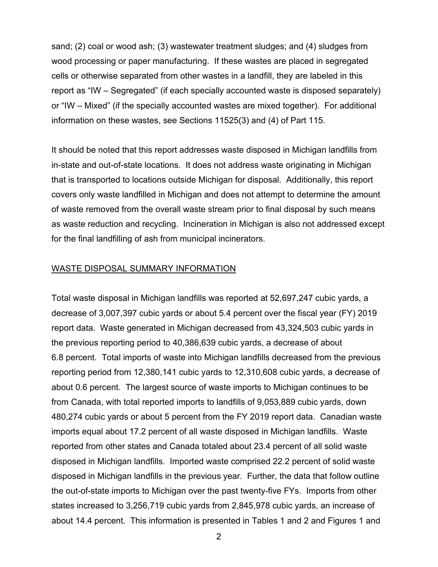sand; (2) coal or wood ash; (3) wastewater treatment sludges; and (4) sludges from wood processing or paper manufacturing. If these wastes are placed in segregated cells or otherwise separated from other wastes in a landfill, they are labeled in this report as "IW – Segregated" (if each specially accounted waste is disposed separately) or "IW – Mixed" (if the specially accounted wastes are mixed together). For additional information on these wastes, see Sections 11525(3) and (4) of Part 115.

It should be noted that this report addresses waste disposed in Michigan landfills from in-state and out-of-state locations. It does not address waste originating in Michigan that is transported to locations outside Michigan for disposal. Additionally, this report covers only waste landfilled in Michigan and does not attempt to determine the amount of waste removed from the overall waste stream prior to final disposal by such means as waste reduction and recycling. Incineration in Michigan is also not addressed except for the final landfilling of ash from municipal incinerators.

#### WASTE DISPOSAL SUMMARY INFORMATION

Total waste disposal in Michigan landfills was reported at 52,697,247 cubic yards, a decrease of 3,007,397 cubic yards or about 5.4 percent over the fiscal year (FY) 2019 report data. Waste generated in Michigan decreased from 43,324,503 cubic yards in the previous reporting period to 40,386,639 cubic yards, a decrease of about 6.8 percent. Total imports of waste into Michigan landfills decreased from the previous reporting period from 12,380,141 cubic yards to 12,310,608 cubic yards, a decrease of about 0.6 percent. The largest source of waste imports to Michigan continues to be from Canada, with total reported imports to landfills of 9,053,889 cubic yards, down 480,274 cubic yards or about 5 percent from the FY 2019 report data. Canadian waste imports equal about 17.2 percent of all waste disposed in Michigan landfills. Waste reported from other states and Canada totaled about 23.4 percent of all solid waste disposed in Michigan landfills. Imported waste comprised 22.2 percent of solid waste disposed in Michigan landfills in the previous year. Further, the data that follow outline the out-of-state imports to Michigan over the past twenty-five FYs. Imports from other states increased to 3,256,719 cubic yards from 2,845,978 cubic yards, an increase of about 14.4 percent. This information is presented in Tables 1 and 2 and Figures 1 and

2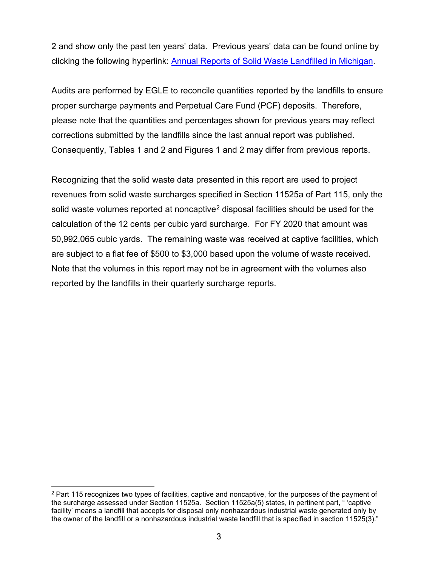2 and show only the past ten years' data. Previous years' data can be found online by clicking the following hyperlink: [Annual Reports of Solid Waste Landfilled in Michigan.](http://www.michigan.gov/deq/0,1607,7-135-3312_4123-47581--,00.html)

Audits are performed by EGLE to reconcile quantities reported by the landfills to ensure proper surcharge payments and Perpetual Care Fund (PCF) deposits. Therefore, please note that the quantities and percentages shown for previous years may reflect corrections submitted by the landfills since the last annual report was published. Consequently, Tables 1 and 2 and Figures 1 and 2 may differ from previous reports.

Recognizing that the solid waste data presented in this report are used to project revenues from solid waste surcharges specified in Section 11525a of Part 115, only the solid waste volumes reported at noncaptive<sup>[2](#page-4-0)</sup> disposal facilities should be used for the calculation of the 12 cents per cubic yard surcharge. For FY 2020 that amount was 50,992,065 cubic yards. The remaining waste was received at captive facilities, which are subject to a flat fee of \$500 to \$3,000 based upon the volume of waste received. Note that the volumes in this report may not be in agreement with the volumes also reported by the landfills in their quarterly surcharge reports.

<span id="page-4-0"></span><sup>&</sup>lt;sup>2</sup> Part 115 recognizes two types of facilities, captive and noncaptive, for the purposes of the payment of the surcharge assessed under Section 11525a. Section 11525a(5) states, in pertinent part, " 'captive facility' means a landfill that accepts for disposal only nonhazardous industrial waste generated only by the owner of the landfill or a nonhazardous industrial waste landfill that is specified in section 11525(3)."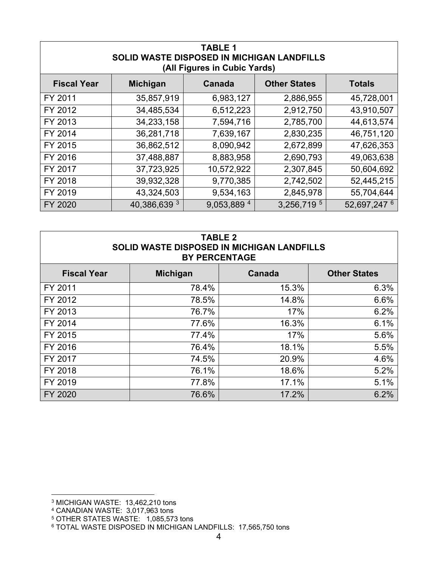| <b>TABLE 1</b><br>SOLID WASTE DISPOSED IN MICHIGAN LANDFILLS<br>(All Figures in Cubic Yards) |                 |             |                     |               |
|----------------------------------------------------------------------------------------------|-----------------|-------------|---------------------|---------------|
| <b>Fiscal Year</b>                                                                           | <b>Michigan</b> | Canada      | <b>Other States</b> | <b>Totals</b> |
| FY 2011                                                                                      | 35,857,919      | 6,983,127   | 2,886,955           | 45,728,001    |
| FY 2012                                                                                      | 34,485,534      | 6,512,223   | 2,912,750           | 43,910,507    |
| FY 2013                                                                                      | 34,233,158      | 7,594,716   | 2,785,700           | 44,613,574    |
| FY 2014                                                                                      | 36,281,718      | 7,639,167   | 2,830,235           | 46,751,120    |
| FY 2015                                                                                      | 36,862,512      | 8,090,942   | 2,672,899           | 47,626,353    |
| FY 2016                                                                                      | 37,488,887      | 8,883,958   | 2,690,793           | 49,063,638    |
| FY 2017                                                                                      | 37,723,925      | 10,572,922  | 2,307,845           | 50,604,692    |
| FY 2018                                                                                      | 39,932,328      | 9,770,385   | 2,742,502           | 52,445,215    |
| FY 2019                                                                                      | 43,324,503      | 9,534,163   | 2,845,978           | 55,704,644    |
| FY 2020                                                                                      | 40,386,639 3    | 9,053,889 4 | 3,256,719 5         | 52,697,247 6  |

| <b>TABLE 2</b><br><b>SOLID WASTE DISPOSED IN MICHIGAN LANDFILLS</b><br><b>BY PERCENTAGE</b> |       |       |      |  |  |
|---------------------------------------------------------------------------------------------|-------|-------|------|--|--|
| <b>Fiscal Year</b><br><b>Michigan</b><br><b>Canada</b><br><b>Other States</b>               |       |       |      |  |  |
| FY 2011                                                                                     | 78.4% | 15.3% | 6.3% |  |  |
| FY 2012                                                                                     | 78.5% | 14.8% | 6.6% |  |  |
| FY 2013                                                                                     | 76.7% | 17%   | 6.2% |  |  |
| FY 2014                                                                                     | 77.6% | 16.3% | 6.1% |  |  |
| FY 2015                                                                                     | 77.4% | 17%   | 5.6% |  |  |
| FY 2016                                                                                     | 76.4% | 18.1% | 5.5% |  |  |
| FY 2017                                                                                     | 74.5% | 20.9% | 4.6% |  |  |
| FY 2018                                                                                     | 76.1% | 18.6% | 5.2% |  |  |
| FY 2019                                                                                     | 77.8% | 17.1% | 5.1% |  |  |
| FY 2020                                                                                     | 76.6% | 17.2% | 6.2% |  |  |

<span id="page-5-0"></span><sup>3</sup> MICHIGAN WASTE: 13,462,210 tons

<span id="page-5-1"></span><sup>4</sup> CANADIAN WASTE: 3,017,963 tons

<sup>&</sup>lt;sup>5</sup> OTHER STATES WASTE: 1,085,573 tons

<span id="page-5-3"></span><span id="page-5-2"></span><sup>&</sup>lt;sup>6</sup> TOTAL WASTE DISPOSED IN MICHIGAN LANDFILLS: 17,565,750 tons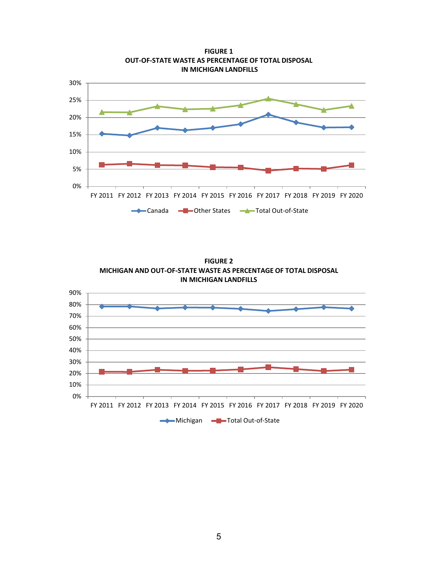

**FIGURE 1 OUT-OF-STATE WASTE AS PERCENTAGE OF TOTAL DISPOSAL IN MICHIGAN LANDFILLS**

**FIGURE 2 MICHIGAN AND OUT-OF-STATE WASTE AS PERCENTAGE OF TOTAL DISPOSAL IN MICHIGAN LANDFILLS**

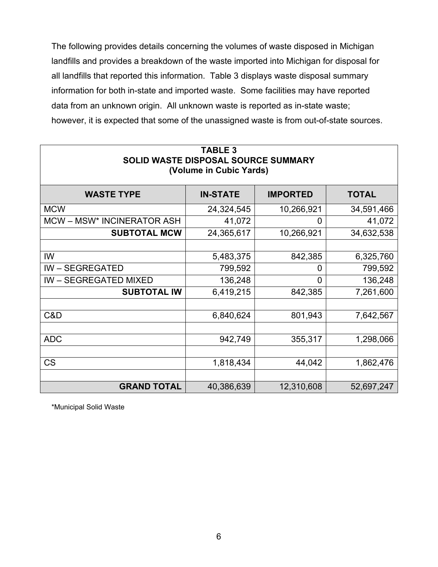The following provides details concerning the volumes of waste disposed in Michigan landfills and provides a breakdown of the waste imported into Michigan for disposal for all landfills that reported this information. Table 3 displays waste disposal summary information for both in-state and imported waste. Some facilities may have reported data from an unknown origin. All unknown waste is reported as in-state waste; however, it is expected that some of the unassigned waste is from out-of-state sources.

| <b>TABLE 3</b><br>SOLID WASTE DISPOSAL SOURCE SUMMARY<br>(Volume in Cubic Yards) |                 |                 |              |  |  |  |
|----------------------------------------------------------------------------------|-----------------|-----------------|--------------|--|--|--|
| <b>WASTE TYPE</b>                                                                | <b>IN-STATE</b> | <b>IMPORTED</b> | <b>TOTAL</b> |  |  |  |
| <b>MCW</b>                                                                       | 24,324,545      | 10,266,921      | 34,591,466   |  |  |  |
| MCW-MSW* INCINERATOR ASH                                                         | 41,072          | 0               | 41,072       |  |  |  |
| <b>SUBTOTAL MCW</b>                                                              | 24,365,617      | 10,266,921      | 34,632,538   |  |  |  |
|                                                                                  |                 |                 |              |  |  |  |
| IW                                                                               | 5,483,375       | 842,385         | 6,325,760    |  |  |  |
| <b>IW-SEGREGATED</b>                                                             | 799,592         | 0               | 799,592      |  |  |  |
| <b>IW - SEGREGATED MIXED</b>                                                     | 136,248         | $\Omega$        | 136,248      |  |  |  |
| <b>SUBTOTAL IW</b>                                                               | 6,419,215       | 842,385         | 7,261,600    |  |  |  |
|                                                                                  |                 |                 |              |  |  |  |
| C&D                                                                              | 6,840,624       | 801,943         | 7,642,567    |  |  |  |
|                                                                                  |                 |                 |              |  |  |  |
| <b>ADC</b>                                                                       | 942,749         | 355,317         | 1,298,066    |  |  |  |
|                                                                                  |                 |                 |              |  |  |  |
| <b>CS</b>                                                                        | 1,818,434       | 44,042          | 1,862,476    |  |  |  |
|                                                                                  |                 |                 |              |  |  |  |
| <b>GRAND TOTAL</b><br>40,386,639<br>12,310,608<br>52,697,247                     |                 |                 |              |  |  |  |

\*Municipal Solid Waste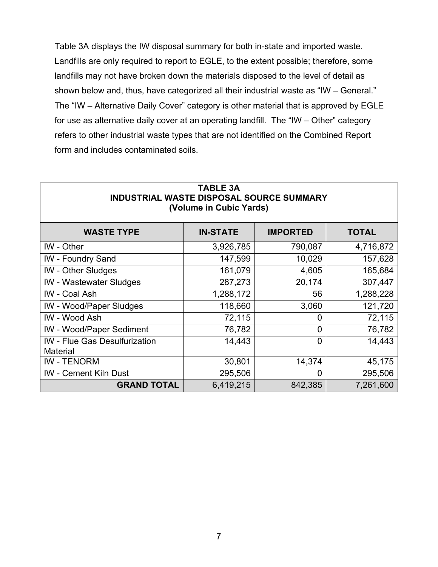Table 3A displays the IW disposal summary for both in-state and imported waste. Landfills are only required to report to EGLE, to the extent possible; therefore, some landfills may not have broken down the materials disposed to the level of detail as shown below and, thus, have categorized all their industrial waste as "IW – General." The "IW – Alternative Daily Cover" category is other material that is approved by EGLE for use as alternative daily cover at an operating landfill. The "IW – Other" category refers to other industrial waste types that are not identified on the Combined Report form and includes contaminated soils.

| (Volume in Cubic Yards)                                 |                 |                 |              |  |
|---------------------------------------------------------|-----------------|-----------------|--------------|--|
| <b>WASTE TYPE</b>                                       | <b>IN-STATE</b> | <b>IMPORTED</b> | <b>TOTAL</b> |  |
| IW - Other                                              | 3,926,785       | 790,087         | 4,716,872    |  |
| <b>IW</b> - Foundry Sand                                | 147,599         | 10,029          | 157,628      |  |
| <b>IW</b> - Other Sludges                               | 161,079         | 4,605           | 165,684      |  |
| <b>IW</b> - Wastewater Sludges                          | 287,273         | 20,174          | 307,447      |  |
| IW - Coal Ash                                           | 1,288,172       | 56              | 1,288,228    |  |
| <b>IW</b> - Wood/Paper Sludges                          | 118,660         | 3,060           | 121,720      |  |
| IW - Wood Ash                                           | 72,115          | 0               | 72,115       |  |
| <b>IW</b> - Wood/Paper Sediment                         | 76,782          | $\overline{0}$  | 76,782       |  |
| <b>IW</b> - Flue Gas Desulfurization<br><b>Material</b> | 14,443          | 0               | 14,443       |  |
| <b>IW-TENORM</b>                                        | 30,801          | 14,374          | 45,175       |  |
| <b>IW</b> - Cement Kiln Dust                            | 295,506         | 0               | 295,506      |  |
| <b>GRAND TOTAL</b>                                      | 6,419,215       | 842,385         | 7,261,600    |  |

## **TABLE 3A INDUSTRIAL WASTE DISPOSAL SOURCE SUMMARY**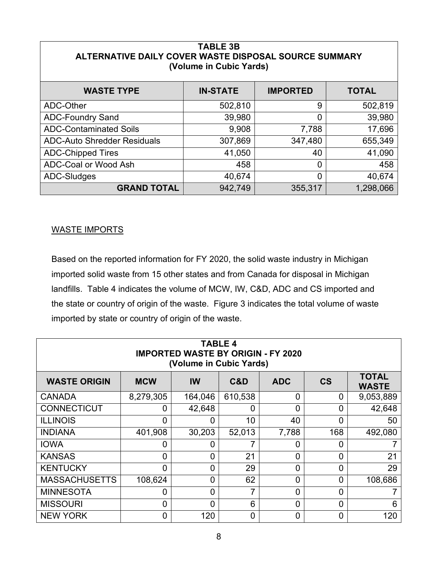| <b>TABLE 3B</b><br>ALTERNATIVE DAILY COVER WASTE DISPOSAL SOURCE SUMMARY<br>(Volume in Cubic Yards) |                 |                 |              |  |  |
|-----------------------------------------------------------------------------------------------------|-----------------|-----------------|--------------|--|--|
| <b>WASTE TYPE</b>                                                                                   | <b>IN-STATE</b> | <b>IMPORTED</b> | <b>TOTAL</b> |  |  |
| ADC-Other                                                                                           | 502,810         | 9               | 502,819      |  |  |
| <b>ADC-Foundry Sand</b>                                                                             | 39,980          | $\overline{0}$  | 39,980       |  |  |
| <b>ADC-Contaminated Soils</b>                                                                       | 9,908           | 7,788           | 17,696       |  |  |
| <b>ADC-Auto Shredder Residuals</b>                                                                  | 307,869         | 347,480         | 655,349      |  |  |
| <b>ADC-Chipped Tires</b>                                                                            | 41,050          | 40              | 41,090       |  |  |
| ADC-Coal or Wood Ash                                                                                | 458             | 0               | 458          |  |  |
| 40,674<br>ADC-Sludges<br>40,674<br>$\overline{0}$                                                   |                 |                 |              |  |  |
| <b>GRAND TOTAL</b><br>942,749<br>1,298,066<br>355,317                                               |                 |                 |              |  |  |

#### WASTE IMPORTS

Based on the reported information for FY 2020, the solid waste industry in Michigan imported solid waste from 15 other states and from Canada for disposal in Michigan landfills. Table 4 indicates the volume of MCW, IW, C&D, ADC and CS imported and the state or country of origin of the waste. Figure 3 indicates the total volume of waste imported by state or country of origin of the waste.

| <b>TABLE 4</b><br><b>IMPORTED WASTE BY ORIGIN - FY 2020</b><br>(Volume in Cubic Yards) |                |                |                |                |                |                              |
|----------------------------------------------------------------------------------------|----------------|----------------|----------------|----------------|----------------|------------------------------|
| <b>WASTE ORIGIN</b>                                                                    | <b>MCW</b>     | IW             | C&D            | <b>ADC</b>     | $\mathsf{CS}$  | <b>TOTAL</b><br><b>WASTE</b> |
| <b>CANADA</b>                                                                          | 8,279,305      | 164,046        | 610,538        | 0              | 0              | 9,053,889                    |
| <b>CONNECTICUT</b>                                                                     | 0              | 42,648         | $\overline{0}$ | 0              | 0              | 42,648                       |
| <b>ILLINOIS</b>                                                                        | 0              | 0              | 10             | 40             | 0              | 50                           |
| <b>INDIANA</b>                                                                         | 401,908        | 30,203         | 52,013         | 7,788          | 168            | 492,080                      |
| <b>IOWA</b>                                                                            | 0              | 0              | 7              | 0              | 0              |                              |
| <b>KANSAS</b>                                                                          | $\overline{0}$ | 0              | 21             | $\overline{0}$ | 0              | 21                           |
| <b>KENTUCKY</b>                                                                        | $\Omega$       | 0              | 29             | $\Omega$       | 0              | 29                           |
| <b>MASSACHUSETTS</b>                                                                   | 108,624        | 0              | 62             | $\overline{0}$ | 0              | 108,686                      |
| <b>MINNESOTA</b>                                                                       | 0              | $\overline{0}$ | 7              | $\overline{0}$ | $\overline{0}$ |                              |
| <b>MISSOURI</b>                                                                        | $\overline{0}$ | 0              | 6              | 0              | 0              | 6                            |
| <b>NEW YORK</b>                                                                        | 0              | 120            | $\overline{0}$ | $\overline{0}$ | 0              | 120                          |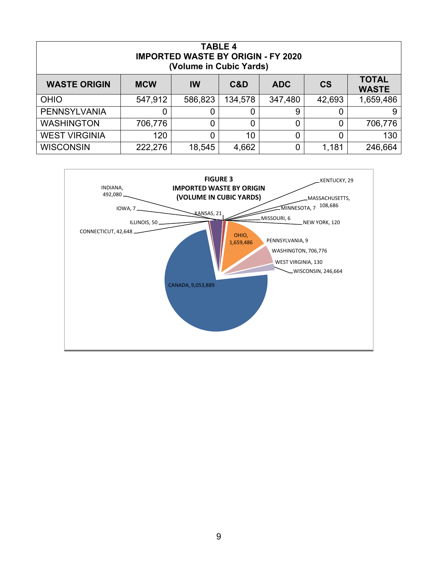| <b>TABLE 4</b><br><b>IMPORTED WASTE BY ORIGIN - FY 2020</b><br>(Volume in Cubic Yards)                           |         |         |             |         |        |           |
|------------------------------------------------------------------------------------------------------------------|---------|---------|-------------|---------|--------|-----------|
| <b>TOTAL</b><br><b>WASTE ORIGIN</b><br><b>CS</b><br><b>MCW</b><br><b>IW</b><br><b>ADC</b><br>C&D<br><b>WASTE</b> |         |         |             |         |        |           |
| <b>OHIO</b>                                                                                                      | 547,912 | 586,823 | 134,578     | 347,480 | 42,693 | 1,659,486 |
| <b>PENNSYLVANIA</b>                                                                                              | 0       | 0       | $\mathbf 0$ | 9       | C      | 9         |
| <b>WASHINGTON</b>                                                                                                | 706,776 | 0       | 0           | 0       | 0      | 706,776   |
| <b>WEST VIRGINIA</b>                                                                                             | 120     | 0       | 10          | 0       |        | 130       |
| <b>WISCONSIN</b>                                                                                                 | 222,276 | 18,545  | 4,662       | 0       | 1,181  | 246,664   |

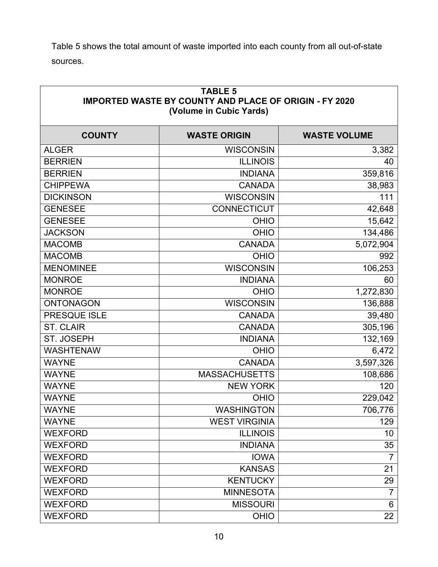Table 5 shows the total amount of waste imported into each county from all out-of-state sources.

| <b>TABLE 5</b><br><b>IMPORTED WASTE BY COUNTY AND PLACE OF ORIGIN - FY 2020</b><br>(Volume in Cubic Yards) |                      |                     |  |  |
|------------------------------------------------------------------------------------------------------------|----------------------|---------------------|--|--|
| <b>COUNTY</b>                                                                                              | <b>WASTE ORIGIN</b>  | <b>WASTE VOLUME</b> |  |  |
| <b>ALGER</b>                                                                                               | <b>WISCONSIN</b>     | 3,382               |  |  |
| <b>BERRIEN</b>                                                                                             | <b>ILLINOIS</b>      | 40                  |  |  |
| <b>BERRIEN</b>                                                                                             | <b>INDIANA</b>       | 359,816             |  |  |
| <b>CHIPPEWA</b>                                                                                            | <b>CANADA</b>        | 38,983              |  |  |
| <b>DICKINSON</b>                                                                                           | <b>WISCONSIN</b>     | 111                 |  |  |
| <b>GENESEE</b>                                                                                             | <b>CONNECTICUT</b>   | 42,648              |  |  |
| <b>GENESEE</b>                                                                                             | <b>OHIO</b>          | 15,642              |  |  |
| <b>JACKSON</b>                                                                                             | <b>OHIO</b>          | 134,486             |  |  |
| <b>MACOMB</b>                                                                                              | <b>CANADA</b>        | 5,072,904           |  |  |
| <b>MACOMB</b>                                                                                              | <b>OHIO</b>          | 992                 |  |  |
| <b>MENOMINEE</b>                                                                                           | <b>WISCONSIN</b>     | 106,253             |  |  |
| <b>MONROE</b>                                                                                              | <b>INDIANA</b>       | 60                  |  |  |
| <b>MONROE</b>                                                                                              | <b>OHIO</b>          | 1,272,830           |  |  |
| <b>ONTONAGON</b>                                                                                           | <b>WISCONSIN</b>     | 136,888             |  |  |
| PRESQUE ISLE                                                                                               | <b>CANADA</b>        | 39,480              |  |  |
| <b>ST. CLAIR</b>                                                                                           | <b>CANADA</b>        | 305,196             |  |  |
| ST. JOSEPH                                                                                                 | <b>INDIANA</b>       | 132,169             |  |  |
| <b>WASHTENAW</b>                                                                                           | <b>OHIO</b>          | 6,472               |  |  |
| <b>WAYNE</b>                                                                                               | <b>CANADA</b>        | 3,597,326           |  |  |
| <b>WAYNE</b>                                                                                               | <b>MASSACHUSETTS</b> | 108,686             |  |  |
| <b>WAYNE</b>                                                                                               | <b>NEW YORK</b>      | 120                 |  |  |
| <b>WAYNE</b>                                                                                               | <b>OHIO</b>          | 229,042             |  |  |
| <b>WAYNE</b>                                                                                               | <b>WASHINGTON</b>    | 706,776             |  |  |
| <b>WAYNE</b>                                                                                               | <b>WEST VIRGINIA</b> | 129                 |  |  |
| <b>WEXFORD</b>                                                                                             | <b>ILLINOIS</b>      | 10                  |  |  |
| <b>WEXFORD</b>                                                                                             | <b>INDIANA</b>       | 35                  |  |  |
| <b>WEXFORD</b>                                                                                             | <b>IOWA</b>          | $\overline{7}$      |  |  |
| <b>WEXFORD</b>                                                                                             | <b>KANSAS</b>        | 21                  |  |  |
| <b>WEXFORD</b>                                                                                             | <b>KENTUCKY</b>      | 29                  |  |  |
| <b>WEXFORD</b>                                                                                             | <b>MINNESOTA</b>     | $\overline{7}$      |  |  |
| <b>WEXFORD</b>                                                                                             | <b>MISSOURI</b>      | 6                   |  |  |
| <b>WEXFORD</b>                                                                                             | <b>OHIO</b>          | 22                  |  |  |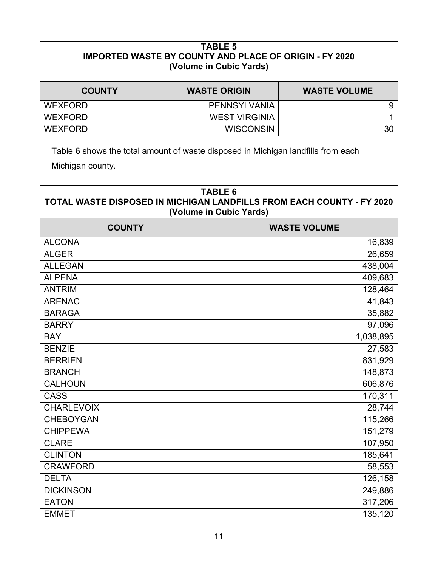| <b>TABLE 5</b><br><b>IMPORTED WASTE BY COUNTY AND PLACE OF ORIGIN - FY 2020</b><br>(Volume in Cubic Yards) |                      |                     |  |
|------------------------------------------------------------------------------------------------------------|----------------------|---------------------|--|
| <b>COUNTY</b>                                                                                              | <b>WASTE ORIGIN</b>  | <b>WASTE VOLUME</b> |  |
| <b>WEXFORD</b>                                                                                             | PENNSYLVANIA         | 9                   |  |
| <b>WEXFORD</b>                                                                                             | <b>WEST VIRGINIA</b> |                     |  |
| <b>WEXFORD</b>                                                                                             | <b>WISCONSIN</b>     | 30                  |  |

Table 6 shows the total amount of waste disposed in Michigan landfills from each Michigan county.

| <b>TABLE 6</b><br>TOTAL WASTE DISPOSED IN MICHIGAN LANDFILLS FROM EACH COUNTY - FY 2020<br>(Volume in Cubic Yards) |                     |  |  |
|--------------------------------------------------------------------------------------------------------------------|---------------------|--|--|
| <b>COUNTY</b>                                                                                                      | <b>WASTE VOLUME</b> |  |  |
| <b>ALCONA</b>                                                                                                      | 16,839              |  |  |
| <b>ALGER</b>                                                                                                       | 26,659              |  |  |
| <b>ALLEGAN</b>                                                                                                     | 438,004             |  |  |
| <b>ALPENA</b>                                                                                                      | 409,683             |  |  |
| <b>ANTRIM</b>                                                                                                      | 128,464             |  |  |
| <b>ARENAC</b>                                                                                                      | 41,843              |  |  |
| <b>BARAGA</b>                                                                                                      | 35,882              |  |  |
| <b>BARRY</b>                                                                                                       | 97,096              |  |  |
| <b>BAY</b>                                                                                                         | 1,038,895           |  |  |
| <b>BENZIE</b>                                                                                                      | 27,583              |  |  |
| <b>BERRIEN</b>                                                                                                     | 831,929             |  |  |
| <b>BRANCH</b>                                                                                                      | 148,873             |  |  |
| <b>CALHOUN</b>                                                                                                     | 606,876             |  |  |
| <b>CASS</b>                                                                                                        | 170,311             |  |  |
| <b>CHARLEVOIX</b>                                                                                                  | 28,744              |  |  |
| <b>CHEBOYGAN</b>                                                                                                   | 115,266             |  |  |
| <b>CHIPPEWA</b>                                                                                                    | 151,279             |  |  |
| <b>CLARE</b>                                                                                                       | 107,950             |  |  |
| <b>CLINTON</b>                                                                                                     | 185,641             |  |  |
| <b>CRAWFORD</b>                                                                                                    | 58,553              |  |  |
| <b>DELTA</b>                                                                                                       | 126,158             |  |  |
| <b>DICKINSON</b>                                                                                                   | 249,886             |  |  |
| <b>EATON</b>                                                                                                       | 317,206             |  |  |
| <b>EMMET</b>                                                                                                       | 135,120             |  |  |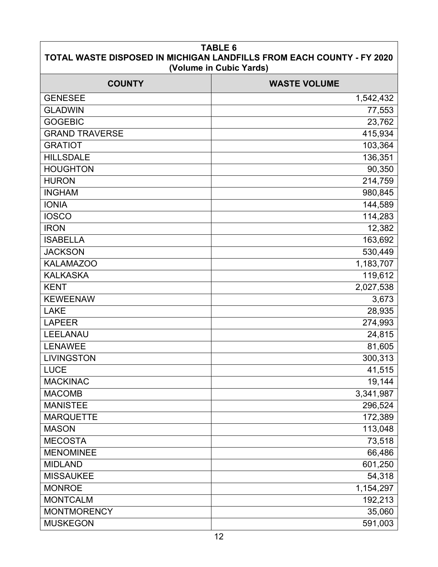| <b>TABLE 6</b><br>TOTAL WASTE DISPOSED IN MICHIGAN LANDFILLS FROM EACH COUNTY - FY 2020<br>(Volume in Cubic Yards) |                     |  |  |
|--------------------------------------------------------------------------------------------------------------------|---------------------|--|--|
| <b>COUNTY</b>                                                                                                      | <b>WASTE VOLUME</b> |  |  |
| <b>GENESEE</b>                                                                                                     | 1,542,432           |  |  |
| <b>GLADWIN</b>                                                                                                     | 77,553              |  |  |
| <b>GOGEBIC</b>                                                                                                     | 23,762              |  |  |
| <b>GRAND TRAVERSE</b>                                                                                              | 415,934             |  |  |
| <b>GRATIOT</b>                                                                                                     | 103,364             |  |  |
| <b>HILLSDALE</b>                                                                                                   | 136,351             |  |  |
| <b>HOUGHTON</b>                                                                                                    | 90,350              |  |  |
| <b>HURON</b>                                                                                                       | 214,759             |  |  |
| <b>INGHAM</b>                                                                                                      | 980,845             |  |  |
| <b>IONIA</b>                                                                                                       | 144,589             |  |  |
| <b>IOSCO</b>                                                                                                       | 114,283             |  |  |
| <b>IRON</b>                                                                                                        | 12,382              |  |  |
| <b>ISABELLA</b>                                                                                                    | 163,692             |  |  |
| <b>JACKSON</b>                                                                                                     | 530,449             |  |  |
| <b>KALAMAZOO</b>                                                                                                   | 1,183,707           |  |  |
| <b>KALKASKA</b>                                                                                                    | 119,612             |  |  |
| <b>KENT</b>                                                                                                        | 2,027,538           |  |  |
| <b>KEWEENAW</b>                                                                                                    | 3,673               |  |  |
| <b>LAKE</b>                                                                                                        | 28,935              |  |  |
| <b>LAPEER</b>                                                                                                      | 274,993             |  |  |
| LEELANAU                                                                                                           | 24,815              |  |  |
| <b>LENAWEE</b>                                                                                                     | 81,605              |  |  |
| <b>LIVINGSTON</b>                                                                                                  | 300,313             |  |  |
| <b>LUCE</b>                                                                                                        | 41,515              |  |  |
| <b>MACKINAC</b>                                                                                                    | 19,144              |  |  |
| <b>MACOMB</b>                                                                                                      | 3,341,987           |  |  |
| <b>MANISTEE</b>                                                                                                    | 296,524             |  |  |
| <b>MARQUETTE</b>                                                                                                   | 172,389             |  |  |
| <b>MASON</b>                                                                                                       | 113,048             |  |  |
| <b>MECOSTA</b>                                                                                                     | 73,518              |  |  |
| <b>MENOMINEE</b>                                                                                                   | 66,486              |  |  |
| <b>MIDLAND</b>                                                                                                     | 601,250             |  |  |
| <b>MISSAUKEE</b>                                                                                                   | 54,318              |  |  |
| <b>MONROE</b>                                                                                                      | 1,154,297           |  |  |
| <b>MONTCALM</b>                                                                                                    | 192,213             |  |  |
| <b>MONTMORENCY</b>                                                                                                 | 35,060              |  |  |
| <b>MUSKEGON</b>                                                                                                    | 591,003             |  |  |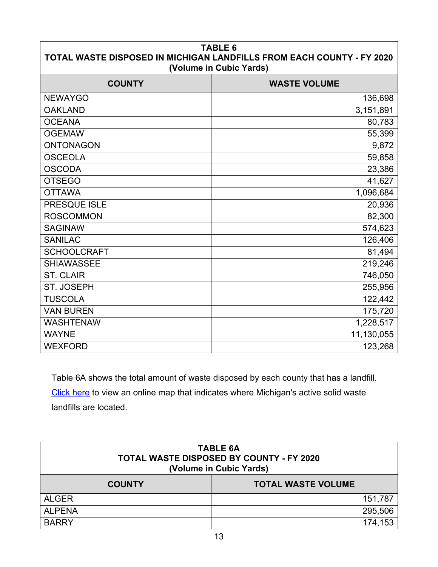| <b>TABLE 6</b><br>TOTAL WASTE DISPOSED IN MICHIGAN LANDFILLS FROM EACH COUNTY - FY 2020<br>(Volume in Cubic Yards) |                     |  |  |
|--------------------------------------------------------------------------------------------------------------------|---------------------|--|--|
| <b>COUNTY</b>                                                                                                      | <b>WASTE VOLUME</b> |  |  |
| <b>NEWAYGO</b>                                                                                                     | 136,698             |  |  |
| <b>OAKLAND</b>                                                                                                     | 3,151,891           |  |  |
| <b>OCEANA</b>                                                                                                      | 80,783              |  |  |
| <b>OGEMAW</b>                                                                                                      | 55,399              |  |  |
| <b>ONTONAGON</b>                                                                                                   | 9,872               |  |  |
| <b>OSCEOLA</b>                                                                                                     | 59,858              |  |  |
| <b>OSCODA</b>                                                                                                      | 23,386              |  |  |
| <b>OTSEGO</b>                                                                                                      | 41,627              |  |  |
| <b>OTTAWA</b>                                                                                                      | 1,096,684           |  |  |
| PRESQUE ISLE                                                                                                       | 20,936              |  |  |
| <b>ROSCOMMON</b>                                                                                                   | 82,300              |  |  |
| <b>SAGINAW</b>                                                                                                     | 574,623             |  |  |
| <b>SANILAC</b>                                                                                                     | 126,406             |  |  |
| <b>SCHOOLCRAFT</b>                                                                                                 | 81,494              |  |  |
| <b>SHIAWASSEE</b>                                                                                                  | 219,246             |  |  |
| <b>ST. CLAIR</b>                                                                                                   | 746,050             |  |  |
| ST. JOSEPH                                                                                                         | 255,956             |  |  |
| <b>TUSCOLA</b>                                                                                                     | 122,442             |  |  |
| <b>VAN BUREN</b>                                                                                                   | 175,720             |  |  |
| <b>WASHTENAW</b>                                                                                                   | 1,228,517           |  |  |
| <b>WAYNE</b>                                                                                                       | 11,130,055          |  |  |
| <b>WEXFORD</b>                                                                                                     | 123,268             |  |  |

Table 6A shows the total amount of waste disposed by each county that has a landfill. [Click here](http://www.michigan.gov/documents/deq/deq-whmd-swp-Landfill-map_247566_7.pdf) to view an online map that indicates where Michigan's active solid waste landfills are located.

| <b>TABLE 6A</b><br>TOTAL WASTE DISPOSED BY COUNTY - FY 2020<br>(Volume in Cubic Yards) |                           |  |  |
|----------------------------------------------------------------------------------------|---------------------------|--|--|
| <b>COUNTY</b>                                                                          | <b>TOTAL WASTE VOLUME</b> |  |  |
| <b>ALGER</b>                                                                           | 151,787                   |  |  |
| <b>ALPENA</b>                                                                          | 295,506                   |  |  |
| <b>BARRY</b>                                                                           | 174,153                   |  |  |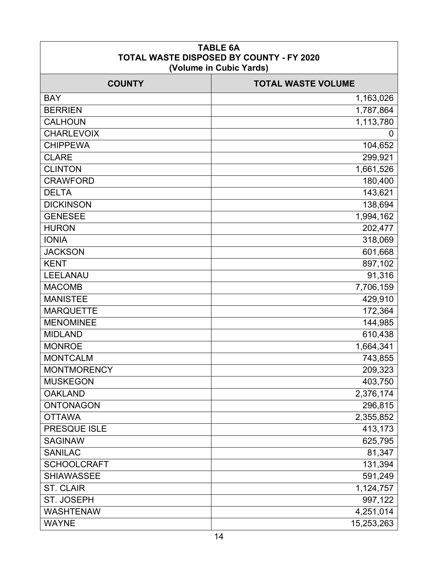| <b>TABLE 6A</b><br><b>TOTAL WASTE DISPOSED BY COUNTY - FY 2020</b><br>(Volume in Cubic Yards) |            |  |  |
|-----------------------------------------------------------------------------------------------|------------|--|--|
| <b>TOTAL WASTE VOLUME</b><br><b>COUNTY</b>                                                    |            |  |  |
| <b>BAY</b>                                                                                    | 1,163,026  |  |  |
| <b>BERRIEN</b>                                                                                | 1,787,864  |  |  |
| <b>CALHOUN</b>                                                                                | 1,113,780  |  |  |
| <b>CHARLEVOIX</b>                                                                             | 0          |  |  |
| <b>CHIPPEWA</b>                                                                               | 104,652    |  |  |
| <b>CLARE</b>                                                                                  | 299,921    |  |  |
| <b>CLINTON</b>                                                                                | 1,661,526  |  |  |
| <b>CRAWFORD</b>                                                                               | 180,400    |  |  |
| <b>DELTA</b>                                                                                  | 143,621    |  |  |
| <b>DICKINSON</b>                                                                              | 138,694    |  |  |
| <b>GENESEE</b>                                                                                | 1,994,162  |  |  |
| <b>HURON</b>                                                                                  | 202,477    |  |  |
| <b>IONIA</b>                                                                                  | 318,069    |  |  |
| <b>JACKSON</b>                                                                                | 601,668    |  |  |
| <b>KENT</b>                                                                                   | 897,102    |  |  |
| LEELANAU                                                                                      | 91,316     |  |  |
| <b>MACOMB</b>                                                                                 | 7,706,159  |  |  |
| <b>MANISTEE</b>                                                                               | 429,910    |  |  |
| <b>MARQUETTE</b>                                                                              | 172,364    |  |  |
| <b>MENOMINEE</b>                                                                              | 144,985    |  |  |
| <b>MIDLAND</b>                                                                                | 610,438    |  |  |
| <b>MONROE</b>                                                                                 | 1,664,341  |  |  |
| <b>MONTCALM</b>                                                                               | 743,855    |  |  |
| <b>MONTMORENCY</b>                                                                            | 209,323    |  |  |
| <b>MUSKEGON</b>                                                                               | 403,750    |  |  |
| <b>OAKLAND</b>                                                                                | 2,376,174  |  |  |
| <b>ONTONAGON</b>                                                                              | 296,815    |  |  |
| <b>OTTAWA</b>                                                                                 | 2,355,852  |  |  |
| PRESQUE ISLE                                                                                  | 413,173    |  |  |
| <b>SAGINAW</b>                                                                                | 625,795    |  |  |
| <b>SANILAC</b>                                                                                | 81,347     |  |  |
| <b>SCHOOLCRAFT</b>                                                                            | 131,394    |  |  |
| <b>SHIAWASSEE</b>                                                                             | 591,249    |  |  |
| <b>ST. CLAIR</b>                                                                              | 1,124,757  |  |  |
| ST. JOSEPH                                                                                    | 997,122    |  |  |
| <b>WASHTENAW</b>                                                                              | 4,251,014  |  |  |
| <b>WAYNE</b>                                                                                  | 15,253,263 |  |  |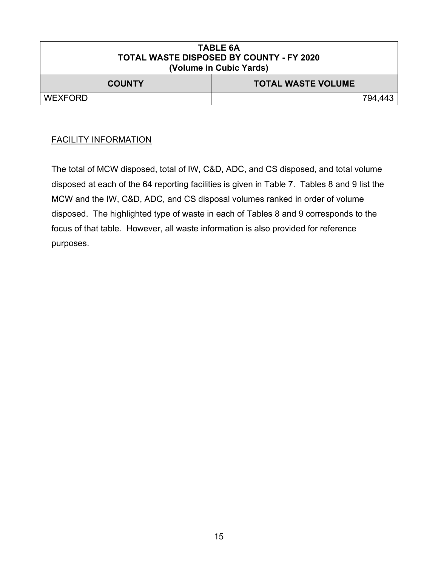| <b>TABLE 6A</b><br><b>TOTAL WASTE DISPOSED BY COUNTY - FY 2020</b><br>(Volume in Cubic Yards) |         |  |  |  |
|-----------------------------------------------------------------------------------------------|---------|--|--|--|
| <b>TOTAL WASTE VOLUME</b><br><b>COUNTY</b>                                                    |         |  |  |  |
| <b>WEXFORD</b>                                                                                | 794.443 |  |  |  |

#### FACILITY INFORMATION

The total of MCW disposed, total of IW, C&D, ADC, and CS disposed, and total volume disposed at each of the 64 reporting facilities is given in Table 7. Tables 8 and 9 list the MCW and the IW, C&D, ADC, and CS disposal volumes ranked in order of volume disposed. The highlighted type of waste in each of Tables 8 and 9 corresponds to the focus of that table. However, all waste information is also provided for reference purposes.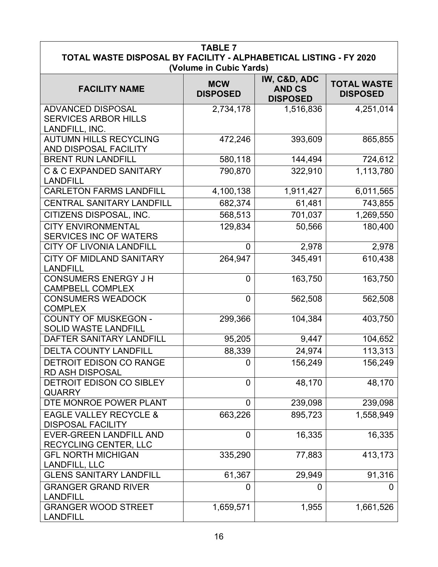| <b>TABLE 7</b><br>TOTAL WASTE DISPOSAL BY FACILITY - ALPHABETICAL LISTING - FY 2020<br>(Volume in Cubic Yards) |                               |                                                  |                                       |
|----------------------------------------------------------------------------------------------------------------|-------------------------------|--------------------------------------------------|---------------------------------------|
| <b>FACILITY NAME</b>                                                                                           | <b>MCW</b><br><b>DISPOSED</b> | IW, C&D, ADC<br><b>AND CS</b><br><b>DISPOSED</b> | <b>TOTAL WASTE</b><br><b>DISPOSED</b> |
| <b>ADVANCED DISPOSAL</b><br><b>SERVICES ARBOR HILLS</b><br>LANDFILL, INC.                                      | 2,734,178                     | 1,516,836                                        | 4,251,014                             |
| <b>AUTUMN HILLS RECYCLING</b><br>AND DISPOSAL FACILITY                                                         | 472,246                       | 393,609                                          | 865,855                               |
| <b>BRENT RUN LANDFILL</b>                                                                                      | 580,118                       | 144,494                                          | 724,612                               |
| <b>C &amp; C EXPANDED SANITARY</b><br><b>LANDFILL</b>                                                          | 790,870                       | 322,910                                          | 1,113,780                             |
| <b>CARLETON FARMS LANDFILL</b>                                                                                 | 4,100,138                     | 1,911,427                                        | 6,011,565                             |
| <b>CENTRAL SANITARY LANDFILL</b>                                                                               | 682,374                       | 61,481                                           | 743,855                               |
| CITIZENS DISPOSAL, INC.                                                                                        | 568,513                       | 701,037                                          | 1,269,550                             |
| <b>CITY ENVIRONMENTAL</b><br><b>SERVICES INC OF WATERS</b>                                                     | 129,834                       | 50,566                                           | 180,400                               |
| <b>CITY OF LIVONIA LANDFILL</b>                                                                                | $\Omega$                      | 2,978                                            | 2,978                                 |
| <b>CITY OF MIDLAND SANITARY</b><br><b>LANDFILL</b>                                                             | 264,947                       | 345,491                                          | 610,438                               |
| <b>CONSUMERS ENERGY J H</b><br><b>CAMPBELL COMPLEX</b>                                                         | $\overline{0}$                | 163,750                                          | 163,750                               |
| <b>CONSUMERS WEADOCK</b><br><b>COMPLEX</b>                                                                     | $\overline{0}$                | 562,508                                          | 562,508                               |
| <b>COUNTY OF MUSKEGON -</b><br><b>SOLID WASTE LANDFILL</b>                                                     | 299,366                       | 104,384                                          | 403,750                               |
| DAFTER SANITARY LANDFILL                                                                                       | 95,205                        | 9,447                                            | 104,652                               |
| <b>DELTA COUNTY LANDFILL</b>                                                                                   | 88,339                        | 24,974                                           | 113,313                               |
| <b>DETROIT EDISON CO RANGE</b><br><b>RD ASH DISPOSAL</b>                                                       | 0                             | 156,249                                          | 156,249                               |
| DETROIT EDISON CO SIBLEY<br><b>QUARRY</b>                                                                      | 0                             | 48,170                                           | 48,170                                |
| DTE MONROE POWER PLANT                                                                                         | 0                             | 239,098                                          | 239,098                               |
| <b>EAGLE VALLEY RECYCLE &amp;</b><br><b>DISPOSAL FACILITY</b>                                                  | 663,226                       | 895,723                                          | 1,558,949                             |
| <b>EVER-GREEN LANDFILL AND</b><br>RECYCLING CENTER, LLC                                                        | $\overline{0}$                | 16,335                                           | 16,335                                |
| <b>GFL NORTH MICHIGAN</b><br>LANDFILL, LLC                                                                     | 335,290                       | 77,883                                           | 413,173                               |
| <b>GLENS SANITARY LANDFILL</b>                                                                                 | 61,367                        | 29,949                                           | 91,316                                |
| <b>GRANGER GRAND RIVER</b><br><b>LANDFILL</b>                                                                  | 0                             | 0                                                | O                                     |
| <b>GRANGER WOOD STREET</b><br><b>LANDFILL</b>                                                                  | 1,659,571                     | 1,955                                            | 1,661,526                             |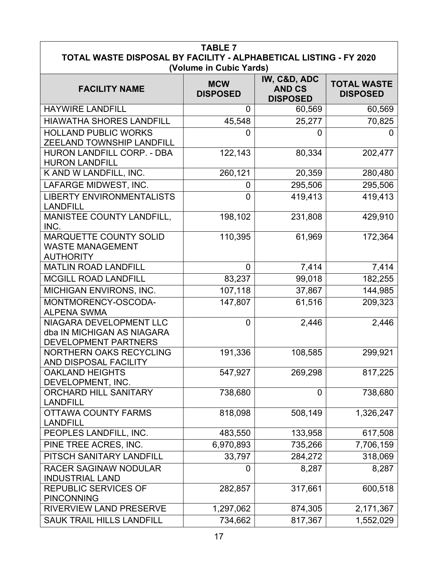| <b>TABLE 7</b>                                                                               |                               |                                                  |                                       |  |
|----------------------------------------------------------------------------------------------|-------------------------------|--------------------------------------------------|---------------------------------------|--|
| TOTAL WASTE DISPOSAL BY FACILITY - ALPHABETICAL LISTING - FY 2020<br>(Volume in Cubic Yards) |                               |                                                  |                                       |  |
| <b>FACILITY NAME</b>                                                                         | <b>MCW</b><br><b>DISPOSED</b> | IW, C&D, ADC<br><b>AND CS</b><br><b>DISPOSED</b> | <b>TOTAL WASTE</b><br><b>DISPOSED</b> |  |
| <b>HAYWIRE LANDFILL</b>                                                                      | 0                             | 60,569                                           | 60,569                                |  |
| <b>HIAWATHA SHORES LANDFILL</b>                                                              | 45,548                        | 25,277                                           | 70,825                                |  |
| <b>HOLLAND PUBLIC WORKS</b><br>ZEELAND TOWNSHIP LANDFILL                                     | 0                             | 0                                                | 0                                     |  |
| HURON LANDFILL CORP. - DBA<br><b>HURON LANDFILL</b>                                          | 122,143                       | 80,334                                           | 202,477                               |  |
| K AND W LANDFILL, INC.                                                                       | 260,121                       | 20,359                                           | 280,480                               |  |
| LAFARGE MIDWEST, INC.                                                                        | 0                             | 295,506                                          | 295,506                               |  |
| <b>LIBERTY ENVIRONMENTALISTS</b><br><b>LANDFILL</b>                                          | $\overline{0}$                | 419,413                                          | 419,413                               |  |
| MANISTEE COUNTY LANDFILL,<br>INC.                                                            | 198,102                       | 231,808                                          | 429,910                               |  |
| <b>MARQUETTE COUNTY SOLID</b><br><b>WASTE MANAGEMENT</b><br><b>AUTHORITY</b>                 | 110,395                       | 61,969                                           | 172,364                               |  |
| <b>MATLIN ROAD LANDFILL</b>                                                                  | 0                             | 7,414                                            | 7,414                                 |  |
| <b>MCGILL ROAD LANDFILL</b>                                                                  | 83,237                        | 99,018                                           | 182,255                               |  |
| MICHIGAN ENVIRONS, INC.                                                                      | 107,118                       | 37,867                                           | 144,985                               |  |
| MONTMORENCY-OSCODA-<br><b>ALPENA SWMA</b>                                                    | 147,807                       | 61,516                                           | 209,323                               |  |
| NIAGARA DEVELOPMENT LLC<br>dba IN MICHIGAN AS NIAGARA<br>DEVELOPMENT PARTNERS                | $\Omega$                      | 2,446                                            | 2,446                                 |  |
| NORTHERN OAKS RECYCLING<br>AND DISPOSAL FACILITY                                             | 191,336                       | 108,585                                          | 299,921                               |  |
| <b>OAKLAND HEIGHTS</b><br>DEVELOPMENT, INC.                                                  | 547,927                       | 269,298                                          | 817,225                               |  |
| <b>ORCHARD HILL SANITARY</b><br><b>LANDFILL</b>                                              | 738,680                       | 0                                                | 738,680                               |  |
| <b>OTTAWA COUNTY FARMS</b><br><b>LANDFILL</b>                                                | 818,098                       | 508,149                                          | 1,326,247                             |  |
| PEOPLES LANDFILL, INC.                                                                       | 483,550                       | 133,958                                          | 617,508                               |  |
| PINE TREE ACRES, INC.                                                                        | 6,970,893                     | 735,266                                          | 7,706,159                             |  |
| PITSCH SANITARY LANDFILL                                                                     | 33,797                        | 284,272                                          | 318,069                               |  |
| <b>RACER SAGINAW NODULAR</b><br><b>INDUSTRIAL LAND</b>                                       | 0                             | 8,287                                            | 8,287                                 |  |
| REPUBLIC SERVICES OF<br><b>PINCONNING</b>                                                    | 282,857                       | 317,661                                          | 600,518                               |  |
| <b>RIVERVIEW LAND PRESERVE</b>                                                               | 1,297,062                     | 874,305                                          | 2,171,367                             |  |
| <b>SAUK TRAIL HILLS LANDFILL</b>                                                             | 734,662                       | 817,367                                          | 1,552,029                             |  |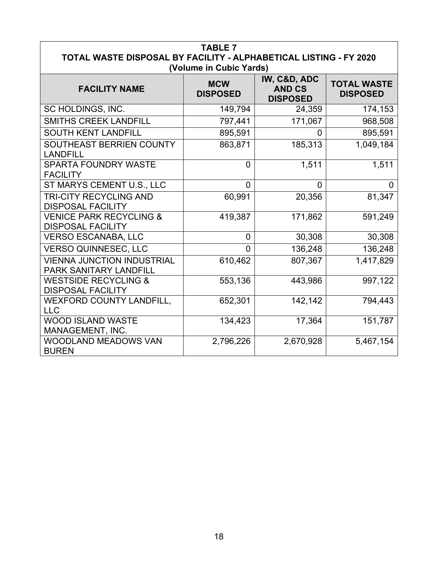| <b>TABLE 7</b><br>TOTAL WASTE DISPOSAL BY FACILITY - ALPHABETICAL LISTING - FY 2020<br>(Volume in Cubic Yards) |                               |                                                  |                                       |  |
|----------------------------------------------------------------------------------------------------------------|-------------------------------|--------------------------------------------------|---------------------------------------|--|
| <b>FACILITY NAME</b>                                                                                           | <b>MCW</b><br><b>DISPOSED</b> | IW, C&D, ADC<br><b>AND CS</b><br><b>DISPOSED</b> | <b>TOTAL WASTE</b><br><b>DISPOSED</b> |  |
| SC HOLDINGS, INC.                                                                                              | 149,794                       | 24,359                                           | 174,153                               |  |
| <b>SMITHS CREEK LANDFILL</b>                                                                                   | 797,441                       | 171,067                                          | 968,508                               |  |
| <b>SOUTH KENT LANDFILL</b>                                                                                     | 895,591                       | 0                                                | 895,591                               |  |
| SOUTHEAST BERRIEN COUNTY<br><b>LANDFILL</b>                                                                    | 863,871                       | 185,313                                          | 1,049,184                             |  |
| <b>SPARTA FOUNDRY WASTE</b><br><b>FACILITY</b>                                                                 | 0                             | 1,511                                            | 1,511                                 |  |
| ST MARYS CEMENT U.S., LLC                                                                                      | $\Omega$                      | $\Omega$                                         | 0                                     |  |
| <b>TRI-CITY RECYCLING AND</b><br><b>DISPOSAL FACILITY</b>                                                      | 60,991                        | 20,356                                           | 81,347                                |  |
| <b>VENICE PARK RECYCLING &amp;</b><br><b>DISPOSAL FACILITY</b>                                                 | 419,387                       | 171,862                                          | 591,249                               |  |
| <b>VERSO ESCANABA, LLC</b>                                                                                     | 0                             | 30,308                                           | 30,308                                |  |
| <b>VERSO QUINNESEC, LLC</b>                                                                                    | $\Omega$                      | 136,248                                          | 136,248                               |  |
| <b>VIENNA JUNCTION INDUSTRIAL</b><br>PARK SANITARY LANDFILL                                                    | 610,462                       | 807,367                                          | 1,417,829                             |  |
| <b>WESTSIDE RECYCLING &amp;</b><br><b>DISPOSAL FACILITY</b>                                                    | 553,136                       | 443,986                                          | 997,122                               |  |
| WEXFORD COUNTY LANDFILL.<br><b>LLC</b>                                                                         | 652,301                       | 142,142                                          | 794,443                               |  |
| <b>WOOD ISLAND WASTE</b><br>MANAGEMENT, INC.                                                                   | 134,423                       | 17,364                                           | 151,787                               |  |
| <b>WOODLAND MEADOWS VAN</b><br><b>BUREN</b>                                                                    | 2,796,226                     | 2,670,928                                        | 5,467,154                             |  |

 $\overline{1}$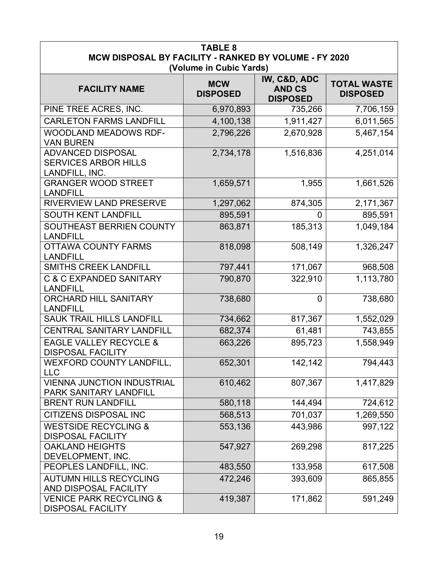| <b>TABLE 8</b><br>MCW DISPOSAL BY FACILITY - RANKED BY VOLUME - FY 2020<br>(Volume in Cubic Yards) |                               |                                                  |                                       |
|----------------------------------------------------------------------------------------------------|-------------------------------|--------------------------------------------------|---------------------------------------|
| <b>FACILITY NAME</b>                                                                               | <b>MCW</b><br><b>DISPOSED</b> | IW, C&D, ADC<br><b>AND CS</b><br><b>DISPOSED</b> | <b>TOTAL WASTE</b><br><b>DISPOSED</b> |
| PINE TREE ACRES, INC.                                                                              | 6,970,893                     | 735,266                                          | 7,706,159                             |
| <b>CARLETON FARMS LANDFILL</b>                                                                     | 4,100,138                     | 1,911,427                                        | 6,011,565                             |
| <b>WOODLAND MEADOWS RDF-</b><br><b>VAN BUREN</b>                                                   | 2,796,226                     | 2,670,928                                        | 5,467,154                             |
| <b>ADVANCED DISPOSAL</b><br><b>SERVICES ARBOR HILLS</b><br>LANDFILL, INC.                          | 2,734,178                     | 1,516,836                                        | 4,251,014                             |
| <b>GRANGER WOOD STREET</b><br><b>LANDFILL</b>                                                      | 1,659,571                     | 1,955                                            | 1,661,526                             |
| <b>RIVERVIEW LAND PRESERVE</b>                                                                     | 1,297,062                     | 874,305                                          | 2,171,367                             |
| <b>SOUTH KENT LANDFILL</b>                                                                         | 895,591                       | 0                                                | 895,591                               |
| SOUTHEAST BERRIEN COUNTY<br><b>LANDFILL</b>                                                        | 863,871                       | 185,313                                          | 1,049,184                             |
| <b>OTTAWA COUNTY FARMS</b><br><b>LANDFILL</b>                                                      | 818,098                       | 508,149                                          | 1,326,247                             |
| <b>SMITHS CREEK LANDFILL</b>                                                                       | 797,441                       | 171,067                                          | 968,508                               |
| C & C EXPANDED SANITARY<br><b>LANDFILL</b>                                                         | 790,870                       | 322,910                                          | 1,113,780                             |
| <b>ORCHARD HILL SANITARY</b><br><b>LANDFILL</b>                                                    | 738,680                       | $\overline{0}$                                   | 738,680                               |
| <b>SAUK TRAIL HILLS LANDFILL</b>                                                                   | 734,662                       | 817,367                                          | 1,552,029                             |
| <b>CENTRAL SANITARY LANDFILL</b>                                                                   | 682,374                       | 61,481                                           | 743,855                               |
| <b>EAGLE VALLEY RECYCLE &amp;</b><br><b>DISPOSAL FACILITY</b>                                      | 663,226                       | 895,723                                          | 1,558,949                             |
| WEXFORD COUNTY LANDFILL,<br><b>LLC</b>                                                             | 652,301                       | 142,142                                          | 794,443                               |
| <b>VIENNA JUNCTION INDUSTRIAL</b><br>PARK SANITARY LANDFILL                                        | 610,462                       | 807,367                                          | 1,417,829                             |
| <b>BRENT RUN LANDFILL</b>                                                                          | 580,118                       | 144,494                                          | 724,612                               |
| <b>CITIZENS DISPOSAL INC</b>                                                                       | 568,513                       | 701,037                                          | 1,269,550                             |
| <b>WESTSIDE RECYCLING &amp;</b><br><b>DISPOSAL FACILITY</b>                                        | 553,136                       | 443,986                                          | 997,122                               |
| <b>OAKLAND HEIGHTS</b><br>DEVELOPMENT, INC.                                                        | 547,927                       | 269,298                                          | 817,225                               |
| PEOPLES LANDFILL, INC.                                                                             | 483,550                       | 133,958                                          | 617,508                               |
| <b>AUTUMN HILLS RECYCLING</b><br>AND DISPOSAL FACILITY                                             | 472,246                       | 393,609                                          | 865,855                               |
| <b>VENICE PARK RECYCLING &amp;</b><br><b>DISPOSAL FACILITY</b>                                     | 419,387                       | 171,862                                          | 591,249                               |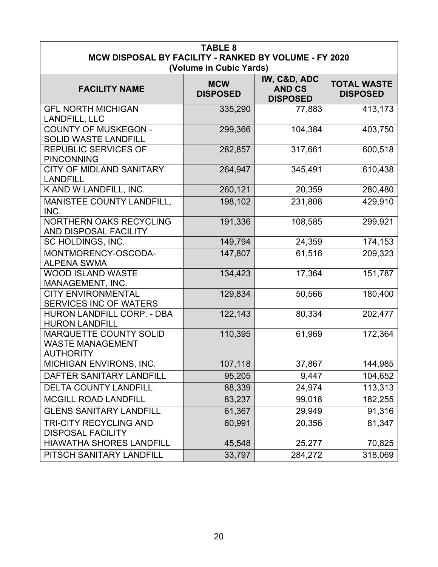| <b>TABLE 8</b><br>MCW DISPOSAL BY FACILITY - RANKED BY VOLUME - FY 2020      |                               |                                                  |                                       |
|------------------------------------------------------------------------------|-------------------------------|--------------------------------------------------|---------------------------------------|
|                                                                              | (Volume in Cubic Yards)       |                                                  |                                       |
| <b>FACILITY NAME</b>                                                         | <b>MCW</b><br><b>DISPOSED</b> | IW, C&D, ADC<br><b>AND CS</b><br><b>DISPOSED</b> | <b>TOTAL WASTE</b><br><b>DISPOSED</b> |
| <b>GFL NORTH MICHIGAN</b><br><b>LANDFILL, LLC</b>                            | 335,290                       | 77,883                                           | 413,173                               |
| <b>COUNTY OF MUSKEGON -</b><br><b>SOLID WASTE LANDFILL</b>                   | 299,366                       | 104,384                                          | 403,750                               |
| <b>REPUBLIC SERVICES OF</b><br><b>PINCONNING</b>                             | 282,857                       | 317,661                                          | 600,518                               |
| <b>CITY OF MIDLAND SANITARY</b><br><b>LANDFILL</b>                           | 264,947                       | 345,491                                          | 610,438                               |
| K AND W LANDFILL, INC.                                                       | 260,121                       | 20,359                                           | 280,480                               |
| <b>MANISTEE COUNTY LANDFILL,</b><br>INC.                                     | 198,102                       | 231,808                                          | 429,910                               |
| NORTHERN OAKS RECYCLING<br>AND DISPOSAL FACILITY                             | 191,336                       | 108,585                                          | 299,921                               |
| SC HOLDINGS, INC.                                                            | 149,794                       | 24,359                                           | 174,153                               |
| MONTMORENCY-OSCODA-<br><b>ALPENA SWMA</b>                                    | 147,807                       | 61,516                                           | 209,323                               |
| <b>WOOD ISLAND WASTE</b><br>MANAGEMENT, INC.                                 | 134,423                       | 17,364                                           | 151,787                               |
| <b>CITY ENVIRONMENTAL</b><br>SERVICES INC OF WATERS                          | 129,834                       | 50,566                                           | 180,400                               |
| <b>HURON LANDFILL CORP. - DBA</b><br><b>HURON LANDFILL</b>                   | 122,143                       | 80,334                                           | 202,477                               |
| <b>MARQUETTE COUNTY SOLID</b><br><b>WASTE MANAGEMENT</b><br><b>AUTHORITY</b> | 110,395                       | 61,969                                           | 172,364                               |
| MICHIGAN ENVIRONS, INC.                                                      | 107,118                       | 37,867                                           | 144,985                               |
| DAFTER SANITARY LANDFILL                                                     | 95,205                        | 9,447                                            | 104,652                               |
| <b>DELTA COUNTY LANDFILL</b>                                                 | 88,339                        | 24,974                                           | 113,313                               |
| <b>MCGILL ROAD LANDFILL</b>                                                  | 83,237                        | 99,018                                           | 182,255                               |
| <b>GLENS SANITARY LANDFILL</b>                                               | 61,367                        | 29,949                                           | 91,316                                |
| <b>TRI-CITY RECYCLING AND</b><br><b>DISPOSAL FACILITY</b>                    | 60,991                        | 20,356                                           | 81,347                                |
| <b>HIAWATHA SHORES LANDFILL</b>                                              | 45,548                        | 25,277                                           | 70,825                                |
| PITSCH SANITARY LANDFILL                                                     | 33,797                        | 284,272                                          | 318,069                               |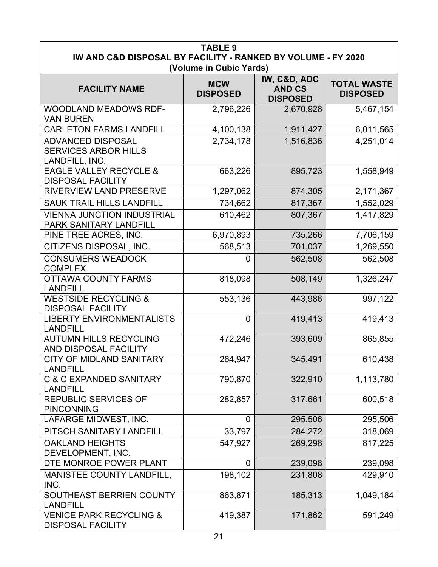| <b>TABLE 9</b><br>IW AND C&D DISPOSAL BY FACILITY - RANKED BY VOLUME - FY 2020 |                               |                                                  |                                       |
|--------------------------------------------------------------------------------|-------------------------------|--------------------------------------------------|---------------------------------------|
|                                                                                | (Volume in Cubic Yards)       |                                                  |                                       |
| <b>FACILITY NAME</b>                                                           | <b>MCW</b><br><b>DISPOSED</b> | IW, C&D, ADC<br><b>AND CS</b><br><b>DISPOSED</b> | <b>TOTAL WASTE</b><br><b>DISPOSED</b> |
| WOODLAND MEADOWS RDF-<br><b>VAN BUREN</b>                                      | 2,796,226                     | 2,670,928                                        | 5,467,154                             |
| <b>CARLETON FARMS LANDFILL</b>                                                 | 4,100,138                     | 1,911,427                                        | 6,011,565                             |
| <b>ADVANCED DISPOSAL</b><br><b>SERVICES ARBOR HILLS</b><br>LANDFILL, INC.      | 2,734,178                     | 1,516,836                                        | 4,251,014                             |
| <b>EAGLE VALLEY RECYCLE &amp;</b><br><b>DISPOSAL FACILITY</b>                  | 663,226                       | 895,723                                          | 1,558,949                             |
| <b>RIVERVIEW LAND PRESERVE</b>                                                 | 1,297,062                     | 874,305                                          | 2,171,367                             |
| <b>SAUK TRAIL HILLS LANDFILL</b>                                               | 734,662                       | 817,367                                          | 1,552,029                             |
| <b>VIENNA JUNCTION INDUSTRIAL</b><br>PARK SANITARY LANDFILL                    | 610,462                       | 807,367                                          | 1,417,829                             |
| PINE TREE ACRES, INC.                                                          | 6,970,893                     | 735,266                                          | 7,706,159                             |
| CITIZENS DISPOSAL, INC.                                                        | 568,513                       | 701,037                                          | 1,269,550                             |
| <b>CONSUMERS WEADOCK</b><br><b>COMPLEX</b>                                     | $\overline{0}$                | 562,508                                          | 562,508                               |
| <b>OTTAWA COUNTY FARMS</b><br><b>LANDFILL</b>                                  | 818,098                       | 508,149                                          | 1,326,247                             |
| <b>WESTSIDE RECYCLING &amp;</b><br><b>DISPOSAL FACILITY</b>                    | 553,136                       | 443,986                                          | 997,122                               |
| <b>LIBERTY ENVIRONMENTALISTS</b><br><b>LANDFILL</b>                            | $\overline{0}$                | 419,413                                          | 419,413                               |
| <b>AUTUMN HILLS RECYCLING</b><br>AND DISPOSAL FACILITY                         | 472,246                       | 393,609                                          | 865,855                               |
| <b>CITY OF MIDLAND SANITARY</b><br><b>LANDFILL</b>                             | 264,947                       | 345,491                                          | 610,438                               |
| <b>C &amp; C EXPANDED SANITARY</b><br><b>LANDFILL</b>                          | 790,870                       | 322,910                                          | 1,113,780                             |
| <b>REPUBLIC SERVICES OF</b><br><b>PINCONNING</b>                               | 282,857                       | 317,661                                          | 600,518                               |
| LAFARGE MIDWEST, INC.                                                          | 0                             | 295,506                                          | 295,506                               |
| PITSCH SANITARY LANDFILL                                                       | 33,797                        | 284,272                                          | 318,069                               |
| <b>OAKLAND HEIGHTS</b><br>DEVELOPMENT, INC.                                    | 547,927                       | 269,298                                          | 817,225                               |
| DTE MONROE POWER PLANT                                                         | 0                             | 239,098                                          | 239,098                               |
| MANISTEE COUNTY LANDFILL,<br>INC.                                              | 198,102                       | 231,808                                          | 429,910                               |
| SOUTHEAST BERRIEN COUNTY<br><b>LANDFILL</b>                                    | 863,871                       | 185,313                                          | 1,049,184                             |
| <b>VENICE PARK RECYCLING &amp;</b><br><b>DISPOSAL FACILITY</b>                 | 419,387                       | 171,862                                          | 591,249                               |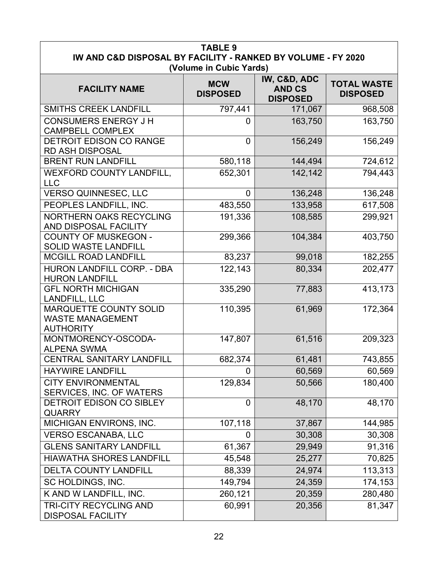| <b>TABLE 9</b><br>IW AND C&D DISPOSAL BY FACILITY - RANKED BY VOLUME - FY 2020<br>(Volume in Cubic Yards) |                               |                                                  |                                       |  |
|-----------------------------------------------------------------------------------------------------------|-------------------------------|--------------------------------------------------|---------------------------------------|--|
| <b>FACILITY NAME</b>                                                                                      | <b>MCW</b><br><b>DISPOSED</b> | IW, C&D, ADC<br><b>AND CS</b><br><b>DISPOSED</b> | <b>TOTAL WASTE</b><br><b>DISPOSED</b> |  |
| <b>SMITHS CREEK LANDFILL</b>                                                                              | 797,441                       | 171,067                                          | 968,508                               |  |
| <b>CONSUMERS ENERGY J H</b><br><b>CAMPBELL COMPLEX</b>                                                    | 0                             | 163,750                                          | 163,750                               |  |
| <b>DETROIT EDISON CO RANGE</b><br><b>RD ASH DISPOSAL</b>                                                  | $\overline{0}$                | 156,249                                          | 156,249                               |  |
| <b>BRENT RUN LANDFILL</b>                                                                                 | 580,118                       | 144,494                                          | 724,612                               |  |
| <b>WEXFORD COUNTY LANDFILL,</b><br><b>LLC</b>                                                             | 652,301                       | 142,142                                          | 794,443                               |  |
| <b>VERSO QUINNESEC, LLC</b>                                                                               | $\mathbf 0$                   | 136,248                                          | 136,248                               |  |
| PEOPLES LANDFILL, INC.                                                                                    | 483,550                       | 133,958                                          | 617,508                               |  |
| NORTHERN OAKS RECYCLING<br>AND DISPOSAL FACILITY                                                          | 191,336                       | 108,585                                          | 299,921                               |  |
| <b>COUNTY OF MUSKEGON -</b><br><b>SOLID WASTE LANDFILL</b>                                                | 299,366                       | 104,384                                          | 403,750                               |  |
| <b>MCGILL ROAD LANDFILL</b>                                                                               | 83,237                        | 99,018                                           | 182,255                               |  |
| HURON LANDFILL CORP. - DBA<br><b>HURON LANDFILL</b>                                                       | 122,143                       | 80,334                                           | 202,477                               |  |
| <b>GFL NORTH MICHIGAN</b><br><b>LANDFILL, LLC</b>                                                         | 335,290                       | 77,883                                           | 413,173                               |  |
| <b>MARQUETTE COUNTY SOLID</b><br><b>WASTE MANAGEMENT</b><br><b>AUTHORITY</b>                              | 110,395                       | 61,969                                           | 172,364                               |  |
| MONTMORENCY-OSCODA-<br><b>ALPENA SWMA</b>                                                                 | 147,807                       | 61,516                                           | 209,323                               |  |
| <b>CENTRAL SANITARY LANDFILL</b>                                                                          | 682,374                       | 61,481                                           | 743,855                               |  |
| <b>HAYWIRE LANDFILL</b>                                                                                   | $\overline{0}$                | 60,569                                           | 60,569                                |  |
| <b>CITY ENVIRONMENTAL</b><br>SERVICES, INC. OF WATERS                                                     | 129,834                       | 50,566                                           | 180,400                               |  |
| DETROIT EDISON CO SIBLEY<br><b>QUARRY</b>                                                                 | $\overline{0}$                | 48,170                                           | 48,170                                |  |
| MICHIGAN ENVIRONS, INC.                                                                                   | 107,118                       | 37,867                                           | 144,985                               |  |
| <b>VERSO ESCANABA, LLC</b>                                                                                | 0                             | 30,308                                           | 30,308                                |  |
| <b>GLENS SANITARY LANDFILL</b>                                                                            | 61,367                        | 29,949                                           | 91,316                                |  |
| <b>HIAWATHA SHORES LANDFILL</b>                                                                           | 45,548                        | 25,277                                           | 70,825                                |  |
| <b>DELTA COUNTY LANDFILL</b>                                                                              | 88,339                        | 24,974                                           | 113,313                               |  |
| SC HOLDINGS, INC.                                                                                         | 149,794                       | 24,359                                           | 174,153                               |  |
| K AND W LANDFILL, INC.                                                                                    | 260,121                       | 20,359                                           | 280,480                               |  |
| TRI-CITY RECYCLING AND<br><b>DISPOSAL FACILITY</b>                                                        | 60,991                        | 20,356                                           | 81,347                                |  |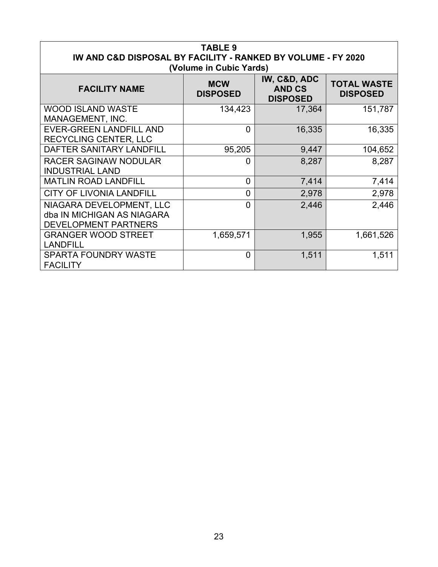| <b>TABLE 9</b><br>IW AND C&D DISPOSAL BY FACILITY - RANKED BY VOLUME - FY 2020<br>(Volume in Cubic Yards) |                               |                                                  |                                       |  |
|-----------------------------------------------------------------------------------------------------------|-------------------------------|--------------------------------------------------|---------------------------------------|--|
| <b>FACILITY NAME</b>                                                                                      | <b>MCW</b><br><b>DISPOSED</b> | IW, C&D, ADC<br><b>AND CS</b><br><b>DISPOSED</b> | <b>TOTAL WASTE</b><br><b>DISPOSED</b> |  |
| <b>WOOD ISLAND WASTE</b><br>MANAGEMENT, INC.                                                              | 134,423                       | 17,364                                           | 151,787                               |  |
| <b>EVER-GREEN LANDFILL AND</b><br><b>RECYCLING CENTER, LLC</b>                                            | $\Omega$                      | 16,335                                           | 16,335                                |  |
| DAFTER SANITARY LANDFILL                                                                                  | 95,205                        | 9,447                                            | 104,652                               |  |
| <b>RACER SAGINAW NODULAR</b><br><b>INDUSTRIAL LAND</b>                                                    | 0                             | 8,287                                            | 8,287                                 |  |
| <b>MATLIN ROAD LANDFILL</b>                                                                               | 0                             | 7,414                                            | 7,414                                 |  |
| <b>CITY OF LIVONIA LANDFILL</b>                                                                           | $\overline{0}$                | 2,978                                            | 2,978                                 |  |
| NIAGARA DEVELOPMENT, LLC<br>dba IN MICHIGAN AS NIAGARA<br><b>DEVELOPMENT PARTNERS</b>                     | $\overline{0}$                | 2,446                                            | 2,446                                 |  |
| <b>GRANGER WOOD STREET</b><br><b>LANDFILL</b>                                                             | 1,659,571                     | 1,955                                            | 1,661,526                             |  |
| <b>SPARTA FOUNDRY WASTE</b><br><b>FACILITY</b>                                                            | $\overline{0}$                | 1,511                                            | 1,511                                 |  |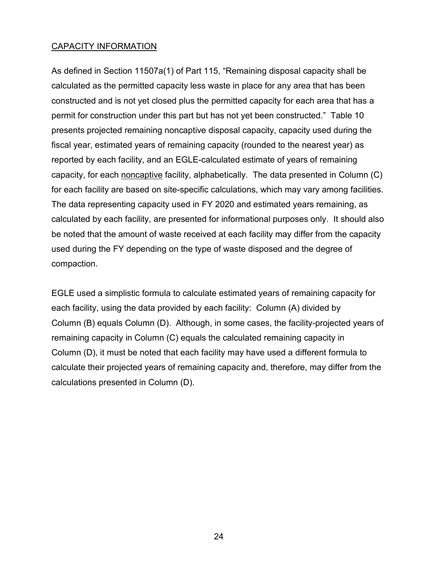#### CAPACITY INFORMATION

As defined in Section 11507a(1) of Part 115, "Remaining disposal capacity shall be calculated as the permitted capacity less waste in place for any area that has been constructed and is not yet closed plus the permitted capacity for each area that has a permit for construction under this part but has not yet been constructed." Table 10 presents projected remaining noncaptive disposal capacity, capacity used during the fiscal year, estimated years of remaining capacity (rounded to the nearest year) as reported by each facility, and an EGLE-calculated estimate of years of remaining capacity, for each noncaptive facility, alphabetically. The data presented in Column (C) for each facility are based on site-specific calculations, which may vary among facilities. The data representing capacity used in FY 2020 and estimated years remaining, as calculated by each facility, are presented for informational purposes only. It should also be noted that the amount of waste received at each facility may differ from the capacity used during the FY depending on the type of waste disposed and the degree of compaction.

EGLE used a simplistic formula to calculate estimated years of remaining capacity for each facility, using the data provided by each facility: Column (A) divided by Column (B) equals Column (D). Although, in some cases, the facility-projected years of remaining capacity in Column (C) equals the calculated remaining capacity in Column (D), it must be noted that each facility may have used a different formula to calculate their projected years of remaining capacity and, therefore, may differ from the calculations presented in Column (D).

24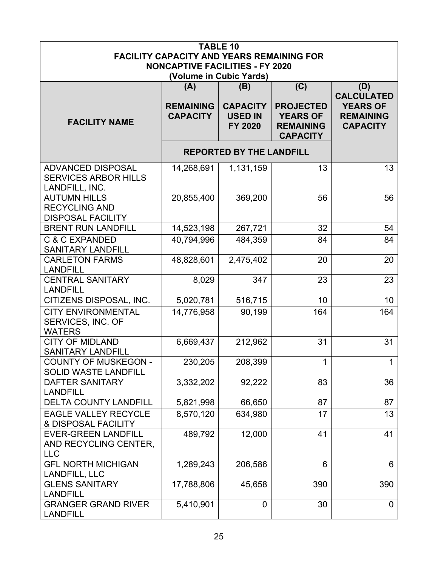|                                                                           |                                                                                            | <b>TABLE 10</b>                              |                                                                            |                                                        |  |  |
|---------------------------------------------------------------------------|--------------------------------------------------------------------------------------------|----------------------------------------------|----------------------------------------------------------------------------|--------------------------------------------------------|--|--|
|                                                                           | <b>FACILITY CAPACITY AND YEARS REMAINING FOR</b><br><b>NONCAPTIVE FACILITIES - FY 2020</b> |                                              |                                                                            |                                                        |  |  |
|                                                                           |                                                                                            | (Volume in Cubic Yards)                      |                                                                            |                                                        |  |  |
|                                                                           | (A)                                                                                        | (B)                                          | (C)                                                                        | (D)<br><b>CALCULATED</b>                               |  |  |
| <b>FACILITY NAME</b>                                                      | <b>REMAINING</b><br><b>CAPACITY</b>                                                        | <b>CAPACITY</b><br><b>USED IN</b><br>FY 2020 | <b>PROJECTED</b><br><b>YEARS OF</b><br><b>REMAINING</b><br><b>CAPACITY</b> | <b>YEARS OF</b><br><b>REMAINING</b><br><b>CAPACITY</b> |  |  |
|                                                                           |                                                                                            | <b>REPORTED BY THE LANDFILL</b>              |                                                                            |                                                        |  |  |
| <b>ADVANCED DISPOSAL</b><br><b>SERVICES ARBOR HILLS</b><br>LANDFILL, INC. | 14,268,691                                                                                 | 1,131,159                                    | 13                                                                         | 13 <sup>2</sup>                                        |  |  |
| <b>AUTUMN HILLS</b><br><b>RECYCLING AND</b><br><b>DISPOSAL FACILITY</b>   | 20,855,400                                                                                 | 369,200                                      | 56                                                                         | 56                                                     |  |  |
| <b>BRENT RUN LANDFILL</b>                                                 | 14,523,198                                                                                 | 267,721                                      | 32                                                                         | 54                                                     |  |  |
| <b>C &amp; C EXPANDED</b><br><b>SANITARY LANDFILL</b>                     | 40,794,996                                                                                 | 484,359                                      | 84                                                                         | 84                                                     |  |  |
| <b>CARLETON FARMS</b><br><b>LANDFILL</b>                                  | 48,828,601                                                                                 | 2,475,402                                    | 20                                                                         | 20                                                     |  |  |
| <b>CENTRAL SANITARY</b><br><b>LANDFILL</b>                                | 8,029                                                                                      | 347                                          | 23                                                                         | 23                                                     |  |  |
| CITIZENS DISPOSAL, INC.                                                   | 5,020,781                                                                                  | 516,715                                      | 10                                                                         | 10                                                     |  |  |
| <b>CITY ENVIRONMENTAL</b><br>SERVICES, INC. OF<br><b>WATERS</b>           | 14,776,958                                                                                 | 90,199                                       | 164                                                                        | 164                                                    |  |  |
| <b>CITY OF MIDLAND</b><br><b>SANITARY LANDFILL</b>                        | 6,669,437                                                                                  | 212,962                                      | 31                                                                         | 31                                                     |  |  |
| <b>COUNTY OF MUSKEGON -</b><br><b>SOLID WASTE LANDFILL</b>                | 230,205                                                                                    | 208,399                                      | $\mathbf{1}$                                                               | $\mathbf 1$                                            |  |  |
| <b>DAFTER SANITARY</b><br><b>LANDFILL</b>                                 | 3,332,202                                                                                  | 92,222                                       | 83                                                                         | 36                                                     |  |  |
| <b>DELTA COUNTY LANDFILL</b>                                              | 5,821,998                                                                                  | 66,650                                       | 87                                                                         | 87                                                     |  |  |
| <b>EAGLE VALLEY RECYCLE</b><br>& DISPOSAL FACILITY                        | 8,570,120                                                                                  | 634,980                                      | 17                                                                         | 13                                                     |  |  |
| <b>EVER-GREEN LANDFILL</b><br>AND RECYCLING CENTER,<br><b>LLC</b>         | 489,792                                                                                    | 12,000                                       | 41                                                                         | 41                                                     |  |  |
| <b>GFL NORTH MICHIGAN</b><br><b>LANDFILL, LLC</b>                         | 1,289,243                                                                                  | 206,586                                      | 6                                                                          | 6                                                      |  |  |
| <b>GLENS SANITARY</b><br><b>LANDFILL</b>                                  | 17,788,806                                                                                 | 45,658                                       | 390                                                                        | 390                                                    |  |  |
| <b>GRANGER GRAND RIVER</b><br><b>LANDFILL</b>                             | 5,410,901                                                                                  | $\mathbf 0$                                  | 30                                                                         | $\overline{0}$                                         |  |  |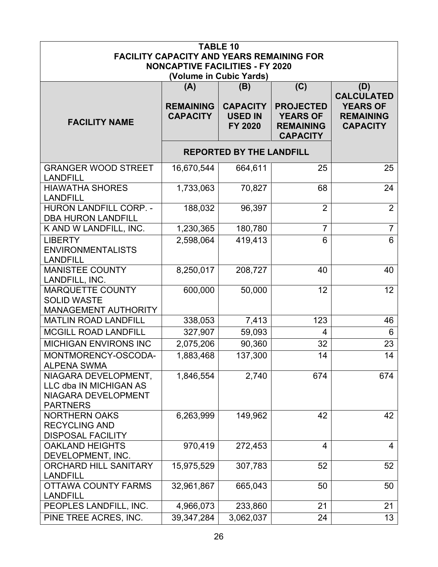| <b>TABLE 10</b><br><b>FACILITY CAPACITY AND YEARS REMAINING FOR</b><br><b>NONCAPTIVE FACILITIES - FY 2020</b> |                                            |                                                     |                                                                                   |                                                                                    |  |  |
|---------------------------------------------------------------------------------------------------------------|--------------------------------------------|-----------------------------------------------------|-----------------------------------------------------------------------------------|------------------------------------------------------------------------------------|--|--|
| (Volume in Cubic Yards)                                                                                       |                                            |                                                     |                                                                                   |                                                                                    |  |  |
| <b>FACILITY NAME</b>                                                                                          | (A)<br><b>REMAINING</b><br><b>CAPACITY</b> | (B)<br><b>CAPACITY</b><br><b>USED IN</b><br>FY 2020 | (C)<br><b>PROJECTED</b><br><b>YEARS OF</b><br><b>REMAINING</b><br><b>CAPACITY</b> | (D)<br><b>CALCULATED</b><br><b>YEARS OF</b><br><b>REMAINING</b><br><b>CAPACITY</b> |  |  |
|                                                                                                               |                                            | <b>REPORTED BY THE LANDFILL</b>                     |                                                                                   |                                                                                    |  |  |
| <b>GRANGER WOOD STREET</b><br><b>LANDFILL</b>                                                                 | 16,670,544                                 | 664,611                                             | 25                                                                                | 25                                                                                 |  |  |
| <b>HIAWATHA SHORES</b><br><b>LANDFILL</b>                                                                     | 1,733,063                                  | 70,827                                              | 68                                                                                | 24                                                                                 |  |  |
| <b>HURON LANDFILL CORP. -</b><br><b>DBA HURON LANDFILL</b>                                                    | 188,032                                    | 96,397                                              | $\overline{2}$                                                                    | $\overline{2}$                                                                     |  |  |
| K AND W LANDFILL, INC.                                                                                        | 1,230,365                                  | 180,780                                             | $\overline{7}$                                                                    | $\overline{7}$                                                                     |  |  |
| <b>LIBERTY</b><br><b>ENVIRONMENTALISTS</b><br><b>LANDFILL</b>                                                 | 2,598,064                                  | 419,413                                             | 6                                                                                 | $6\phantom{a}$                                                                     |  |  |
| <b>MANISTEE COUNTY</b><br>LANDFILL, INC.                                                                      | 8,250,017                                  | 208,727                                             | 40                                                                                | 40                                                                                 |  |  |
| <b>MARQUETTE COUNTY</b><br><b>SOLID WASTE</b><br><b>MANAGEMENT AUTHORITY</b>                                  | 600,000                                    | 50,000                                              | 12                                                                                | 12 <sup>2</sup>                                                                    |  |  |
| <b>MATLIN ROAD LANDFILL</b>                                                                                   | 338,053                                    | 7,413                                               | 123                                                                               | 46                                                                                 |  |  |
| <b>MCGILL ROAD LANDFILL</b>                                                                                   | 327,907                                    | 59,093                                              | 4                                                                                 | 6                                                                                  |  |  |
| <b>MICHIGAN ENVIRONS INC</b>                                                                                  | 2,075,206                                  | 90,360                                              | 32                                                                                | 23                                                                                 |  |  |
| MONTMORENCY-OSCODA-<br><b>ALPENA SWMA</b>                                                                     | 1,883,468                                  | 137,300                                             | 14                                                                                | 14                                                                                 |  |  |
| NIAGARA DEVELOPMENT,<br>LLC dba IN MICHIGAN AS<br>NIAGARA DEVELOPMENT<br><b>PARTNERS</b>                      | 1,846,554                                  | 2,740                                               | 674                                                                               | 674                                                                                |  |  |
| <b>NORTHERN OAKS</b><br><b>RECYCLING AND</b><br><b>DISPOSAL FACILITY</b>                                      | 6,263,999                                  | 149,962                                             | 42                                                                                | 42                                                                                 |  |  |
| <b>OAKLAND HEIGHTS</b><br>DEVELOPMENT, INC.                                                                   | 970,419                                    | 272,453                                             | 4                                                                                 | $\overline{4}$                                                                     |  |  |
| <b>ORCHARD HILL SANITARY</b><br><b>LANDFILL</b>                                                               | 15,975,529                                 | 307,783                                             | 52                                                                                | 52                                                                                 |  |  |
| <b>OTTAWA COUNTY FARMS</b><br><b>LANDFILL</b>                                                                 | 32,961,867                                 | 665,043                                             | 50                                                                                | 50                                                                                 |  |  |
| PEOPLES LANDFILL, INC.                                                                                        | 4,966,073                                  | 233,860                                             | 21                                                                                | 21                                                                                 |  |  |
| PINE TREE ACRES, INC.                                                                                         | 39,347,284                                 | 3,062,037                                           | 24                                                                                | 13                                                                                 |  |  |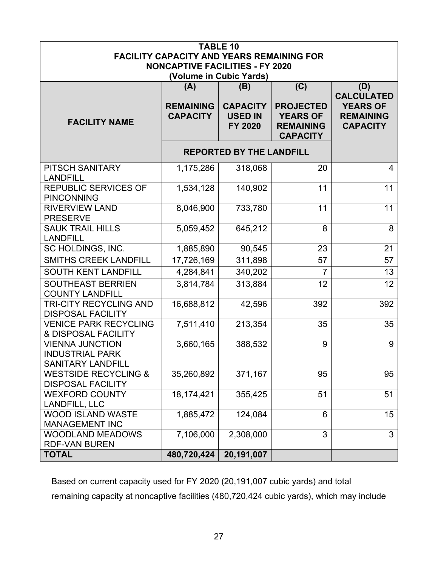| <b>TABLE 10</b><br><b>FACILITY CAPACITY AND YEARS REMAINING FOR</b><br><b>NONCAPTIVE FACILITIES - FY 2020</b> |                                     |                                                     |                                                                            |                                                                             |  |
|---------------------------------------------------------------------------------------------------------------|-------------------------------------|-----------------------------------------------------|----------------------------------------------------------------------------|-----------------------------------------------------------------------------|--|
|                                                                                                               |                                     | (Volume in Cubic Yards)                             |                                                                            |                                                                             |  |
|                                                                                                               | (A)                                 | (B)                                                 | (C)                                                                        | (D)                                                                         |  |
| <b>FACILITY NAME</b>                                                                                          | <b>REMAINING</b><br><b>CAPACITY</b> | <b>CAPACITY</b><br><b>USED IN</b><br><b>FY 2020</b> | <b>PROJECTED</b><br><b>YEARS OF</b><br><b>REMAINING</b><br><b>CAPACITY</b> | <b>CALCULATED</b><br><b>YEARS OF</b><br><b>REMAINING</b><br><b>CAPACITY</b> |  |
|                                                                                                               |                                     | <b>REPORTED BY THE LANDFILL</b>                     |                                                                            |                                                                             |  |
| <b>PITSCH SANITARY</b><br><b>LANDFILL</b>                                                                     | 1,175,286                           | 318,068                                             | 20                                                                         | $\overline{4}$                                                              |  |
| <b>REPUBLIC SERVICES OF</b><br><b>PINCONNING</b>                                                              | 1,534,128                           | 140,902                                             | 11                                                                         | 11                                                                          |  |
| <b>RIVERVIEW LAND</b><br><b>PRESERVE</b>                                                                      | 8,046,900                           | 733,780                                             | 11                                                                         | 11                                                                          |  |
| <b>SAUK TRAIL HILLS</b><br><b>LANDFILL</b>                                                                    | 5,059,452                           | 645,212                                             | 8                                                                          | 8                                                                           |  |
| SC HOLDINGS, INC.                                                                                             | 1,885,890                           | 90,545                                              | 23                                                                         | 21                                                                          |  |
| <b>SMITHS CREEK LANDFILL</b>                                                                                  | 17,726,169                          | 311,898                                             | 57                                                                         | 57                                                                          |  |
| <b>SOUTH KENT LANDFILL</b>                                                                                    | 4,284,841                           | 340,202                                             | 7                                                                          | 13                                                                          |  |
| <b>SOUTHEAST BERRIEN</b><br><b>COUNTY LANDFILL</b>                                                            | 3,814,784                           | 313,884                                             | 12                                                                         | 12                                                                          |  |
| TRI-CITY RECYCLING AND<br><b>DISPOSAL FACILITY</b>                                                            | 16,688,812                          | 42,596                                              | 392                                                                        | 392                                                                         |  |
| <b>VENICE PARK RECYCLING</b><br>& DISPOSAL FACILITY                                                           | 7,511,410                           | 213,354                                             | 35                                                                         | 35                                                                          |  |
| <b>VIENNA JUNCTION</b><br><b>INDUSTRIAL PARK</b><br><b>SANITARY LANDFILL</b>                                  | 3,660,165                           | 388,532                                             | 9                                                                          | 9                                                                           |  |
| <b>WESTSIDE RECYCLING &amp;</b><br><b>DISPOSAL FACILITY</b>                                                   | 35,260,892                          | 371,167                                             | 95                                                                         | 95                                                                          |  |
| <b>WEXFORD COUNTY</b><br><b>LANDFILL, LLC</b>                                                                 | 18,174,421                          | 355,425                                             | 51                                                                         | 51                                                                          |  |
| <b>WOOD ISLAND WASTE</b><br><b>MANAGEMENT INC</b>                                                             | 1,885,472                           | 124,084                                             | 6                                                                          | 15                                                                          |  |
| <b>WOODLAND MEADOWS</b><br><b>RDF-VAN BUREN</b>                                                               | 7,106,000                           | 2,308,000                                           | 3                                                                          | 3                                                                           |  |
| <b>TOTAL</b>                                                                                                  |                                     |                                                     |                                                                            |                                                                             |  |

Based on current capacity used for FY 2020 (20,191,007 cubic yards) and total remaining capacity at noncaptive facilities (480,720,424 cubic yards), which may include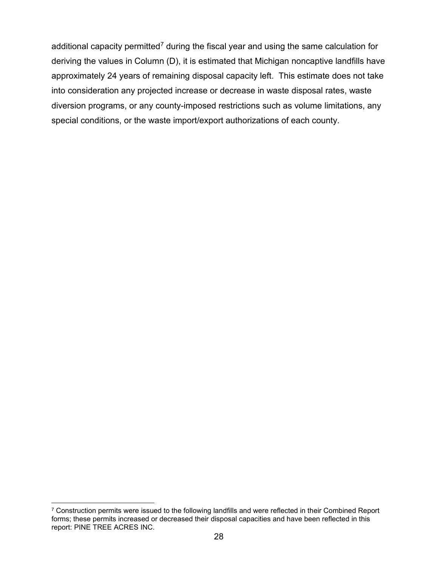additional capacity permitted<sup>[7](#page-29-0)</sup> during the fiscal year and using the same calculation for deriving the values in Column (D), it is estimated that Michigan noncaptive landfills have approximately 24 years of remaining disposal capacity left. This estimate does not take into consideration any projected increase or decrease in waste disposal rates, waste diversion programs, or any county-imposed restrictions such as volume limitations, any special conditions, or the waste import/export authorizations of each county.

<span id="page-29-0"></span><sup>&</sup>lt;sup>7</sup> Construction permits were issued to the following landfills and were reflected in their Combined Report forms; these permits increased or decreased their disposal capacities and have been reflected in this report: PINE TREE ACRES INC.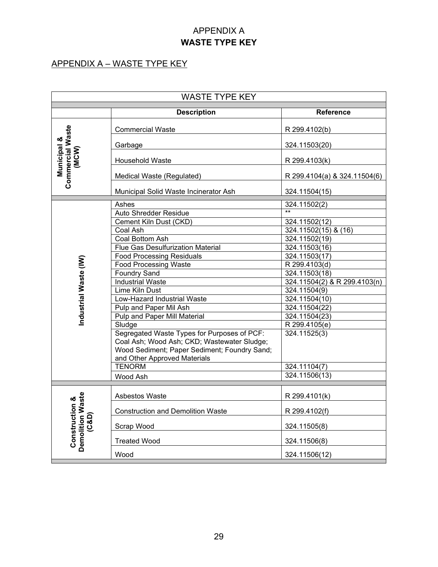#### APPENDIX A **WASTE TYPE KEY**

#### APPENDIX A – WASTE TYPE KEY

| <b>WASTE TYPE KEY</b>                                      |                                              |                              |  |  |
|------------------------------------------------------------|----------------------------------------------|------------------------------|--|--|
|                                                            | <b>Description</b>                           | <b>Reference</b>             |  |  |
| <b>Commercial Waste</b><br><b>Municipal &amp;</b><br>(MCW) | <b>Commercial Waste</b>                      | R 299.4102(b)                |  |  |
|                                                            | Garbage                                      | 324.11503(20)                |  |  |
|                                                            | Household Waste                              | R 299.4103(k)                |  |  |
|                                                            | Medical Waste (Regulated)                    | R 299.4104(a) & 324.11504(6) |  |  |
|                                                            | Municipal Solid Waste Incinerator Ash        | 324.11504(15)                |  |  |
|                                                            | Ashes                                        | 324.11502(2)                 |  |  |
|                                                            | <b>Auto Shredder Residue</b>                 |                              |  |  |
|                                                            | Cement Kiln Dust (CKD)                       | 324.11502(12)                |  |  |
|                                                            | <b>Coal Ash</b>                              | 324.11502(15) & (16)         |  |  |
|                                                            | Coal Bottom Ash                              | 324.11502(19)                |  |  |
|                                                            | <b>Flue Gas Desulfurization Material</b>     | 324.11503(16)                |  |  |
|                                                            | <b>Food Processing Residuals</b>             | 324.11503(17)                |  |  |
|                                                            | Food Processing Waste                        | R 299.4103(d)                |  |  |
| Industrial Waste (IW)                                      | <b>Foundry Sand</b>                          | 324.11503(18)                |  |  |
|                                                            | <b>Industrial Waste</b>                      | 324.11504(2) & R 299.4103(n) |  |  |
|                                                            | Lime Kiln Dust                               | 324.11504(9)                 |  |  |
|                                                            | Low-Hazard Industrial Waste                  | 324.11504(10)                |  |  |
|                                                            | Pulp and Paper Mil Ash                       | 324.11504(22)                |  |  |
|                                                            | <b>Pulp and Paper Mill Material</b>          | 324.11504(23)                |  |  |
|                                                            | Sludge                                       | R 299.4105(e)                |  |  |
|                                                            | Segregated Waste Types for Purposes of PCF:  | 324.11525(3)                 |  |  |
|                                                            | Coal Ash; Wood Ash; CKD; Wastewater Sludge;  |                              |  |  |
|                                                            | Wood Sediment; Paper Sediment; Foundry Sand; |                              |  |  |
|                                                            | and Other Approved Materials                 |                              |  |  |
|                                                            | <b>TENORM</b>                                | 324.11104(7)                 |  |  |
|                                                            | Wood Ash                                     | 324.11506(13)                |  |  |
|                                                            | Asbestos Waste                               | R 299.4101(k)                |  |  |
| Demolition Waste<br><b>Construction &amp;</b>              | <b>Construction and Demolition Waste</b>     | R 299.4102(f)                |  |  |
| (C&D)                                                      | Scrap Wood                                   | 324.11505(8)                 |  |  |
|                                                            | <b>Treated Wood</b>                          | 324.11506(8)                 |  |  |
|                                                            | Wood                                         | 324.11506(12)                |  |  |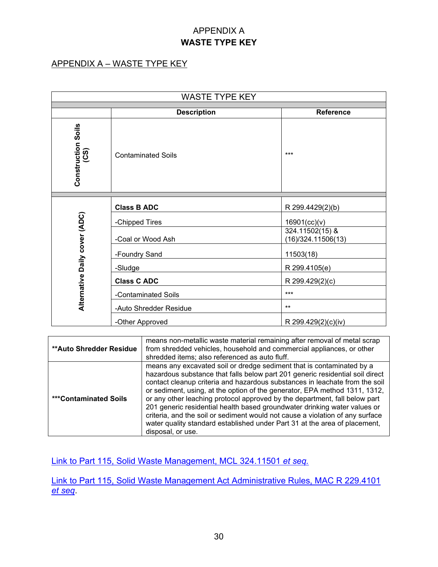#### APPENDIX A **WASTE TYPE KEY**

#### APPENDIX A – WASTE TYPE KEY

| <b>WASTE TYPE KEY</b>         |                                        |                                       |  |  |  |  |
|-------------------------------|----------------------------------------|---------------------------------------|--|--|--|--|
|                               | <b>Description</b><br><b>Reference</b> |                                       |  |  |  |  |
| Construction Soils<br>(CS)    | <b>Contaminated Soils</b>              | $***$                                 |  |  |  |  |
|                               | <b>Class B ADC</b>                     | R 299.4429(2)(b)                      |  |  |  |  |
|                               | -Chipped Tires                         | 16901(cc)(v)                          |  |  |  |  |
|                               | -Coal or Wood Ash                      | 324.11502(15) &<br>(16)/324.11506(13) |  |  |  |  |
| Alternative Daily cover (ADC) | -Foundry Sand                          | 11503(18)                             |  |  |  |  |
|                               | -Sludge                                | R 299.4105(e)                         |  |  |  |  |
|                               | <b>Class C ADC</b>                     | R 299.429(2)(c)                       |  |  |  |  |
|                               | -Contaminated Soils                    | $***$                                 |  |  |  |  |
|                               | -Auto Shredder Residue                 | $***$                                 |  |  |  |  |
|                               | -Other Approved                        | R 299.429(2)(c)(iv)                   |  |  |  |  |

| <b>**Auto Shredder Residue</b> | means non-metallic waste material remaining after removal of metal scrap<br>from shredded vehicles, household and commercial appliances, or other<br>shredded items; also referenced as auto fluff.                                                                                                                                                                                                                                                                                                                                                                                                                                                                |
|--------------------------------|--------------------------------------------------------------------------------------------------------------------------------------------------------------------------------------------------------------------------------------------------------------------------------------------------------------------------------------------------------------------------------------------------------------------------------------------------------------------------------------------------------------------------------------------------------------------------------------------------------------------------------------------------------------------|
| <b>***Contaminated Soils</b>   | means any excavated soil or dredge sediment that is contaminated by a<br>hazardous substance that falls below part 201 generic residential soil direct<br>contact cleanup criteria and hazardous substances in leachate from the soil<br>or sediment, using, at the option of the generator, EPA method 1311, 1312,<br>or any other leaching protocol approved by the department, fall below part<br>201 generic residential health based groundwater drinking water values or<br>criteria, and the soil or sediment would not cause a violation of any surface<br>water quality standard established under Part 31 at the area of placement,<br>disposal, or use. |

[Link to Part 115, Solid Waste Management, MCL 324.11501](http://www.legislature.mi.gov/documents/mcl/pdf/mcl-451-1994-ii-3-115.pdf) *et seq.*

[Link to Part 115, Solid Waste Management Act Administrative Rules, MAC R 229.4101](http://dmbinternet.state.mi.us/DMB/orrdocs/AdminCode/1485_2014-146EQ_AdminCode.pdf)  *[et seq](http://dmbinternet.state.mi.us/DMB/orrdocs/AdminCode/1485_2014-146EQ_AdminCode.pdf)*.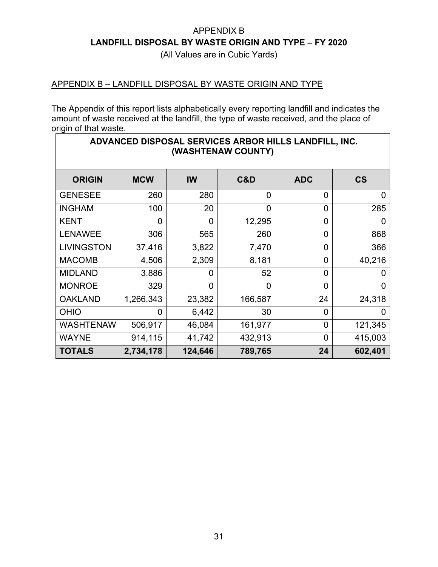(All Values are in Cubic Yards)

#### APPENDIX B – LANDFILL DISPOSAL BY WASTE ORIGIN AND TYPE

The Appendix of this report lists alphabetically every reporting landfill and indicates the amount of waste received at the landfill, the type of waste received, and the place of origin of that waste.

| ADVANCED DISPOSAL SERVICES ARBOR HILLS LANDFILL, INC.<br>(WASHTENAW COUNTY) |                |          |                |                |                          |  |
|-----------------------------------------------------------------------------|----------------|----------|----------------|----------------|--------------------------|--|
| <b>ORIGIN</b>                                                               | <b>MCW</b>     | IW       | C&D            | <b>ADC</b>     | $\mathsf{CS}\phantom{0}$ |  |
| <b>GENESEE</b>                                                              | 260            | 280      | 0              | 0              | 0                        |  |
| <b>INGHAM</b>                                                               | 100            | 20       | $\overline{0}$ | $\overline{0}$ | 285                      |  |
| <b>KENT</b>                                                                 | $\overline{0}$ | $\Omega$ | 12,295         | 0              | 0                        |  |
| <b>LENAWEE</b>                                                              | 306            | 565      | 260            | 0              | 868                      |  |
| <b>LIVINGSTON</b>                                                           | 37,416         | 3,822    | 7,470          | 0              | 366                      |  |
| <b>MACOMB</b>                                                               | 4,506          | 2,309    | 8,181          | 0              | 40,216                   |  |
| <b>MIDLAND</b>                                                              | 3,886          | 0        | 52             | 0              | 0                        |  |
| <b>MONROE</b>                                                               | 329            | $\Omega$ | $\Omega$       | $\overline{0}$ | 0                        |  |
| <b>OAKLAND</b>                                                              | 1,266,343      | 23,382   | 166,587        | 24             | 24,318                   |  |
| <b>OHIO</b>                                                                 | 0              | 6,442    | 30             | $\overline{0}$ | 0                        |  |
| <b>WASHTENAW</b>                                                            | 506,917        | 46,084   | 161,977        | 0              | 121,345                  |  |
| <b>WAYNE</b>                                                                | 914,115        | 41,742   | 432,913        | $\overline{0}$ | 415,003                  |  |
| <b>TOTALS</b>                                                               | 2,734,178      | 124,646  | 789,765        | 24             | 602,401                  |  |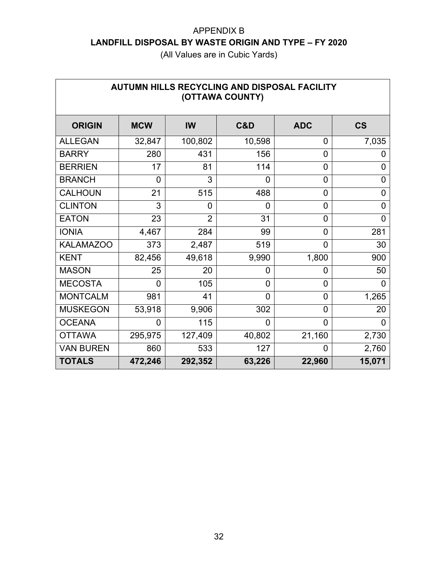| AUTUMN HILLS RECYCLING AND DISPOSAL FACILITY<br>(OTTAWA COUNTY) |            |                |                |                |                |  |
|-----------------------------------------------------------------|------------|----------------|----------------|----------------|----------------|--|
| <b>ORIGIN</b>                                                   | <b>MCW</b> | IW             | C&D            | <b>ADC</b>     | <b>CS</b>      |  |
| <b>ALLEGAN</b>                                                  | 32,847     | 100,802        | 10,598         | 0              | 7,035          |  |
| <b>BARRY</b>                                                    | 280        | 431            | 156            | $\overline{0}$ | O              |  |
| <b>BERRIEN</b>                                                  | 17         | 81             | 114            | $\overline{0}$ | 0              |  |
| <b>BRANCH</b>                                                   | 0          | 3              | $\overline{0}$ | 0              | 0              |  |
| <b>CALHOUN</b>                                                  | 21         | 515            | 488            | 0              | 0              |  |
| <b>CLINTON</b>                                                  | 3          | 0              | $\overline{0}$ | 0              | 0              |  |
| <b>EATON</b>                                                    | 23         | $\overline{2}$ | 31             | $\overline{0}$ | $\overline{0}$ |  |
| <b>IONIA</b>                                                    | 4,467      | 284            | 99             | $\overline{0}$ | 281            |  |
| <b>KALAMAZOO</b>                                                | 373        | 2,487          | 519            | $\overline{0}$ | 30             |  |
| <b>KENT</b>                                                     | 82,456     | 49,618         | 9,990          | 1,800          | 900            |  |
| <b>MASON</b>                                                    | 25         | 20             | 0              | 0              | 50             |  |
| <b>MECOSTA</b>                                                  | 0          | 105            | $\overline{0}$ | $\overline{0}$ | $\Omega$       |  |
| <b>MONTCALM</b>                                                 | 981        | 41             | $\overline{0}$ | $\overline{0}$ | 1,265          |  |
| <b>MUSKEGON</b>                                                 | 53,918     | 9,906          | 302            | $\mathbf 0$    | 20             |  |
| <b>OCEANA</b>                                                   | 0          | 115            | $\Omega$       | $\overline{0}$ | 0              |  |
| <b>OTTAWA</b>                                                   | 295,975    | 127,409        | 40,802         | 21,160         | 2,730          |  |
| <b>VAN BUREN</b>                                                | 860        | 533            | 127            | 0              | 2,760          |  |
| <b>TOTALS</b>                                                   | 472,246    | 292,352        | 63,226         | 22,960         | 15,071         |  |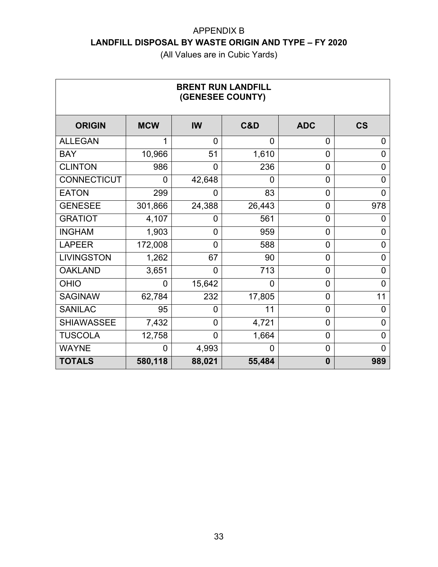| <b>BRENT RUN LANDFILL</b><br>(GENESEE COUNTY) |                |                |                |                |                |
|-----------------------------------------------|----------------|----------------|----------------|----------------|----------------|
| <b>ORIGIN</b>                                 | <b>MCW</b>     | <b>IW</b>      | C&D            | <b>ADC</b>     | <b>CS</b>      |
| <b>ALLEGAN</b>                                | 1              | $\overline{0}$ | 0              | $\overline{0}$ | 0              |
| <b>BAY</b>                                    | 10,966         | 51             | 1,610          | $\overline{0}$ | 0              |
| <b>CLINTON</b>                                | 986            | 0              | 236            | $\overline{0}$ | 0              |
| <b>CONNECTICUT</b>                            | $\overline{0}$ | 42,648         | $\overline{0}$ | $\overline{0}$ | 0              |
| <b>EATON</b>                                  | 299            | 0              | 83             | $\overline{0}$ | $\overline{0}$ |
| <b>GENESEE</b>                                | 301,866        | 24,388         | 26,443         | 0              | 978            |
| <b>GRATIOT</b>                                | 4,107          | 0              | 561            | $\overline{0}$ | 0              |
| <b>INGHAM</b>                                 | 1,903          | 0              | 959            | $\overline{0}$ | 0              |
| <b>LAPEER</b>                                 | 172,008        | 0              | 588            | $\overline{0}$ | $\overline{0}$ |
| <b>LIVINGSTON</b>                             | 1,262          | 67             | 90             | $\overline{0}$ | 0              |
| <b>OAKLAND</b>                                | 3,651          | $\Omega$       | 713            | $\overline{0}$ | 0              |
| <b>OHIO</b>                                   | $\overline{0}$ | 15,642         | 0              | $\overline{0}$ | 0              |
| <b>SAGINAW</b>                                | 62,784         | 232            | 17,805         | $\overline{0}$ | 11             |
| <b>SANILAC</b>                                | 95             | 0              | 11             | $\overline{0}$ | 0              |
| <b>SHIAWASSEE</b>                             | 7,432          | 0              | 4,721          | $\overline{0}$ | 0              |
| <b>TUSCOLA</b>                                | 12,758         | $\overline{0}$ | 1,664          | $\overline{0}$ | 0              |
| <b>WAYNE</b>                                  | 0              | 4,993          | 0              | 0              | 0              |
| <b>TOTALS</b>                                 | 580,118        | 88,021         | 55,484         | $\bf{0}$       | 989            |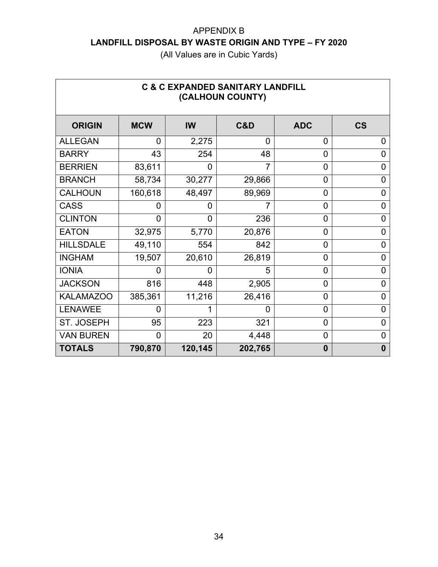| <b>C &amp; C EXPANDED SANITARY LANDFILL</b><br>(CALHOUN COUNTY) |            |                |                |                |                          |  |
|-----------------------------------------------------------------|------------|----------------|----------------|----------------|--------------------------|--|
| <b>ORIGIN</b>                                                   | <b>MCW</b> | IW             | C&D            | <b>ADC</b>     | $\mathsf{CS}\phantom{0}$ |  |
| <b>ALLEGAN</b>                                                  | 0          | 2,275          | $\overline{0}$ | 0              | 0                        |  |
| <b>BARRY</b>                                                    | 43         | 254            | 48             | $\overline{0}$ | 0                        |  |
| <b>BERRIEN</b>                                                  | 83,611     | 0              |                | 0              | 0                        |  |
| <b>BRANCH</b>                                                   | 58,734     | 30,277         | 29,866         | $\overline{0}$ | 0                        |  |
| <b>CALHOUN</b>                                                  | 160,618    | 48,497         | 89,969         | 0              | 0                        |  |
| <b>CASS</b>                                                     | 0          | 0              |                | 0              | 0                        |  |
| <b>CLINTON</b>                                                  | 0          | $\overline{0}$ | 236            | 0              | 0                        |  |
| <b>EATON</b>                                                    | 32,975     | 5,770          | 20,876         | $\overline{0}$ | 0                        |  |
| <b>HILLSDALE</b>                                                | 49,110     | 554            | 842            | 0              | 0                        |  |
| <b>INGHAM</b>                                                   | 19,507     | 20,610         | 26,819         | 0              | 0                        |  |
| <b>IONIA</b>                                                    | 0          | 0              | 5              | 0              | $\overline{0}$           |  |
| <b>JACKSON</b>                                                  | 816        | 448            | 2,905          | 0              | 0                        |  |
| <b>KALAMAZOO</b>                                                | 385,361    | 11,216         | 26,416         | 0              | 0                        |  |
| <b>LENAWEE</b>                                                  | 0          | 1              | 0              | 0              | 0                        |  |
| ST. JOSEPH                                                      | 95         | 223            | 321            | 0              | $\overline{0}$           |  |
| <b>VAN BUREN</b>                                                | 0          | 20             | 4,448          | 0              | $\overline{0}$           |  |
| <b>TOTALS</b>                                                   | 790,870    | 120,145        | 202,765        | $\bf{0}$       | $\mathbf{0}$             |  |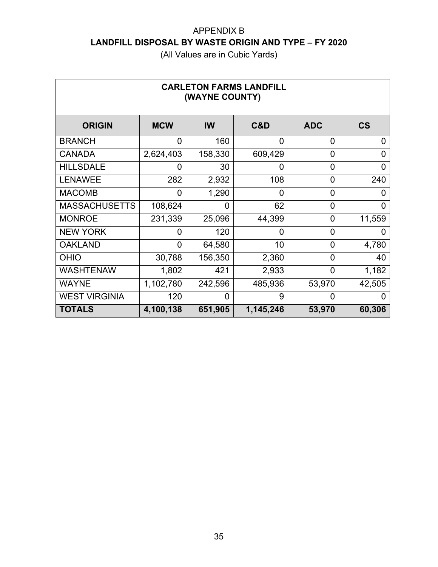| <b>CARLETON FARMS LANDFILL</b><br>(WAYNE COUNTY) |            |         |                |                |                          |  |
|--------------------------------------------------|------------|---------|----------------|----------------|--------------------------|--|
| <b>ORIGIN</b>                                    | <b>MCW</b> | IW      | C&D            | <b>ADC</b>     | $\mathsf{CS}\phantom{0}$ |  |
| <b>BRANCH</b>                                    | 0          | 160     | $\overline{0}$ | 0              | 0                        |  |
| <b>CANADA</b>                                    | 2,624,403  | 158,330 | 609,429        | $\overline{0}$ | 0                        |  |
| <b>HILLSDALE</b>                                 | 0          | 30      | 0              | $\overline{0}$ | 0                        |  |
| <b>LENAWEE</b>                                   | 282        | 2,932   | 108            | $\overline{0}$ | 240                      |  |
| <b>MACOMB</b>                                    | 0          | 1,290   | 0              | 0              | 0                        |  |
| <b>MASSACHUSETTS</b>                             | 108,624    | 0       | 62             | $\overline{0}$ | 0                        |  |
| <b>MONROE</b>                                    | 231,339    | 25,096  | 44,399         | $\overline{0}$ | 11,559                   |  |
| <b>NEW YORK</b>                                  | 0          | 120     | $\overline{0}$ | $\overline{0}$ | O                        |  |
| <b>OAKLAND</b>                                   | 0          | 64,580  | 10             | $\overline{0}$ | 4,780                    |  |
| <b>OHIO</b>                                      | 30,788     | 156,350 | 2,360          | $\overline{0}$ | 40                       |  |
| <b>WASHTENAW</b>                                 | 1,802      | 421     | 2,933          | $\overline{0}$ | 1,182                    |  |
| <b>WAYNE</b>                                     | 1,102,780  | 242,596 | 485,936        | 53,970         | 42,505                   |  |
| <b>WEST VIRGINIA</b>                             | 120        | 0       | 9              | 0              | 0                        |  |
| <b>TOTALS</b>                                    | 4,100,138  | 651,905 | 1,145,246      | 53,970         | 60,306                   |  |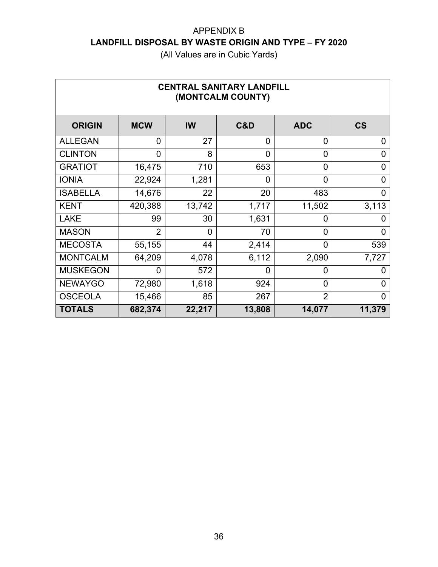| <b>CENTRAL SANITARY LANDFILL</b><br>(MONTCALM COUNTY) |                |                |                |                |                          |  |
|-------------------------------------------------------|----------------|----------------|----------------|----------------|--------------------------|--|
| <b>ORIGIN</b>                                         | <b>MCW</b>     | IW             | C&D            | <b>ADC</b>     | $\mathsf{CS}\phantom{0}$ |  |
| <b>ALLEGAN</b>                                        | $\overline{0}$ | 27             | $\overline{0}$ | $\overline{0}$ | 0                        |  |
| <b>CLINTON</b>                                        | 0              | 8              | 0              | $\overline{0}$ | 0                        |  |
| <b>GRATIOT</b>                                        | 16,475         | 710            | 653            | 0              | 0                        |  |
| <b>IONIA</b>                                          | 22,924         | 1,281          | 0              | 0              | 0                        |  |
| <b>ISABELLA</b>                                       | 14,676         | 22             | 20             | 483            | 0                        |  |
| <b>KENT</b>                                           | 420,388        | 13,742         | 1,717          | 11,502         | 3,113                    |  |
| <b>LAKE</b>                                           | 99             | 30             | 1,631          | 0              | 0                        |  |
| <b>MASON</b>                                          | $\overline{2}$ | $\overline{0}$ | 70             | $\overline{0}$ | $\Omega$                 |  |
| <b>MECOSTA</b>                                        | 55,155         | 44             | 2,414          | 0              | 539                      |  |
| <b>MONTCALM</b>                                       | 64,209         | 4,078          | 6,112          | 2,090          | 7,727                    |  |
| <b>MUSKEGON</b>                                       | 0              | 572            | 0              | 0              | 0                        |  |
| <b>NEWAYGO</b>                                        | 72,980         | 1,618          | 924            | 0              | 0                        |  |
| <b>OSCEOLA</b>                                        | 15,466         | 85             | 267            | $\overline{2}$ | 0                        |  |
| <b>TOTALS</b>                                         | 682,374        | 22,217         | 13,808         | 14,077         | 11,379                   |  |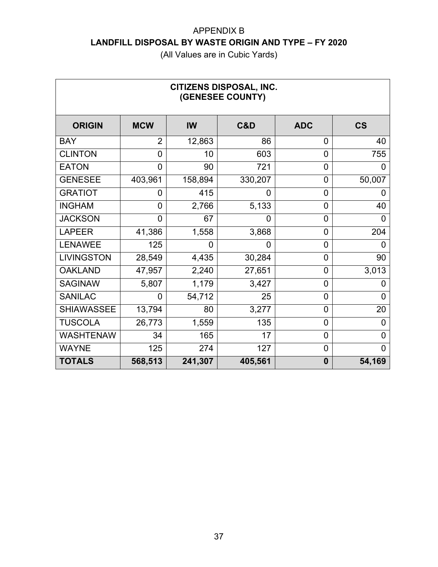| <b>CITIZENS DISPOSAL, INC.</b><br>(GENESEE COUNTY) |                |                |         |                |                |  |  |  |
|----------------------------------------------------|----------------|----------------|---------|----------------|----------------|--|--|--|
| <b>ORIGIN</b>                                      | <b>MCW</b>     | <b>IW</b>      | C&D     | <b>ADC</b>     | <b>CS</b>      |  |  |  |
| <b>BAY</b>                                         | $\overline{2}$ | 12,863         | 86      | 0              | 40             |  |  |  |
| <b>CLINTON</b>                                     | 0              | 10             | 603     | 0              | 755            |  |  |  |
| <b>EATON</b>                                       | 0              | 90             | 721     | 0              | 0              |  |  |  |
| <b>GENESEE</b>                                     | 403,961        | 158,894        | 330,207 | 0              | 50,007         |  |  |  |
| <b>GRATIOT</b>                                     | 0              | 415            | 0       | 0              | 0              |  |  |  |
| <b>INGHAM</b>                                      | $\overline{0}$ | 2,766          | 5,133   | 0              | 40             |  |  |  |
| <b>JACKSON</b>                                     | 0              | 67             | 0       | 0              | 0              |  |  |  |
| <b>LAPEER</b>                                      | 41,386         | 1,558          | 3,868   | $\overline{0}$ | 204            |  |  |  |
| <b>LENAWEE</b>                                     | 125            | $\overline{0}$ | 0       | 0              | 0              |  |  |  |
| <b>LIVINGSTON</b>                                  | 28,549         | 4,435          | 30,284  | $\overline{0}$ | 90             |  |  |  |
| <b>OAKLAND</b>                                     | 47,957         | 2,240          | 27,651  | 0              | 3,013          |  |  |  |
| <b>SAGINAW</b>                                     | 5,807          | 1,179          | 3,427   | $\overline{0}$ | 0              |  |  |  |
| <b>SANILAC</b>                                     | 0              | 54,712         | 25      | 0              | 0              |  |  |  |
| <b>SHIAWASSEE</b>                                  | 13,794         | 80             | 3,277   | 0              | 20             |  |  |  |
| <b>TUSCOLA</b>                                     | 26,773         | 1,559          | 135     | 0              | 0              |  |  |  |
| <b>WASHTENAW</b>                                   | 34             | 165            | 17      | 0              | 0              |  |  |  |
| <b>WAYNE</b>                                       | 125            | 274            | 127     | 0              | $\overline{0}$ |  |  |  |
| <b>TOTALS</b>                                      | 568,513        | 241,307        | 405,561 | $\bf{0}$       | 54,169         |  |  |  |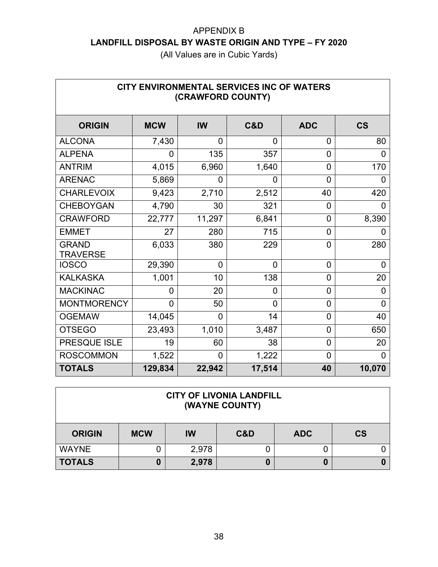| CITY ENVIRONMENTAL SERVICES INC OF WATERS<br>(CRAWFORD COUNTY) |            |                |             |                |                          |  |  |  |  |
|----------------------------------------------------------------|------------|----------------|-------------|----------------|--------------------------|--|--|--|--|
| <b>ORIGIN</b>                                                  | <b>MCW</b> | <b>IW</b>      | C&D         | <b>ADC</b>     | $\mathsf{CS}\phantom{0}$ |  |  |  |  |
| <b>ALCONA</b>                                                  | 7,430      | 0              | 0           | 0              | 80                       |  |  |  |  |
| <b>ALPENA</b>                                                  | $\Omega$   | 135            | 357         | 0              | 0                        |  |  |  |  |
| <b>ANTRIM</b>                                                  | 4,015      | 6,960          | 1,640       | $\overline{0}$ | 170                      |  |  |  |  |
| <b>ARENAC</b>                                                  | 5,869      | 0              | 0           | $\overline{0}$ | 0                        |  |  |  |  |
| <b>CHARLEVOIX</b>                                              | 9,423      | 2,710          | 2,512       | 40             | 420                      |  |  |  |  |
| <b>CHEBOYGAN</b>                                               | 4,790      | 30             | 321         | $\overline{0}$ | $\overline{0}$           |  |  |  |  |
| <b>CRAWFORD</b>                                                | 22,777     | 11,297         | 6,841       | $\overline{0}$ | 8,390                    |  |  |  |  |
| <b>EMMET</b>                                                   | 27         | 280            | 715         | $\overline{0}$ | 0                        |  |  |  |  |
| <b>GRAND</b><br><b>TRAVERSE</b>                                | 6,033      | 380            | 229         | $\mathbf{0}$   | 280                      |  |  |  |  |
| <b>IOSCO</b>                                                   | 29,390     | $\overline{0}$ | $\mathbf 0$ | $\overline{0}$ | 0                        |  |  |  |  |
| <b>KALKASKA</b>                                                | 1,001      | 10             | 138         | $\overline{0}$ | 20                       |  |  |  |  |
| <b>MACKINAC</b>                                                | 0          | 20             | 0           | 0              | 0                        |  |  |  |  |
| <b>MONTMORENCY</b>                                             | $\Omega$   | 50             | $\Omega$    | $\overline{0}$ | 0                        |  |  |  |  |
| <b>OGEMAW</b>                                                  | 14,045     | $\overline{0}$ | 14          | $\overline{0}$ | 40                       |  |  |  |  |
| <b>OTSEGO</b>                                                  | 23,493     | 1,010          | 3,487       | $\overline{0}$ | 650                      |  |  |  |  |
| PRESQUE ISLE                                                   | 19         | 60             | 38          | $\overline{0}$ | 20                       |  |  |  |  |
| <b>ROSCOMMON</b>                                               | 1,522      | $\overline{0}$ | 1,222       | $\Omega$       | $\overline{0}$           |  |  |  |  |
| <b>TOTALS</b>                                                  | 129,834    | 22,942         | 17,514      | 40             | 10,070                   |  |  |  |  |

| <b>CITY OF LIVONIA LANDFILL</b><br>(WAYNE COUNTY) |            |       |     |            |           |  |  |
|---------------------------------------------------|------------|-------|-----|------------|-----------|--|--|
| <b>ORIGIN</b>                                     | <b>MCW</b> | IW    | C&D | <b>ADC</b> | <b>CS</b> |  |  |
| <b>WAYNE</b>                                      |            | 2,978 |     |            |           |  |  |
| <b>TOTALS</b>                                     |            | 2,978 |     | 0          |           |  |  |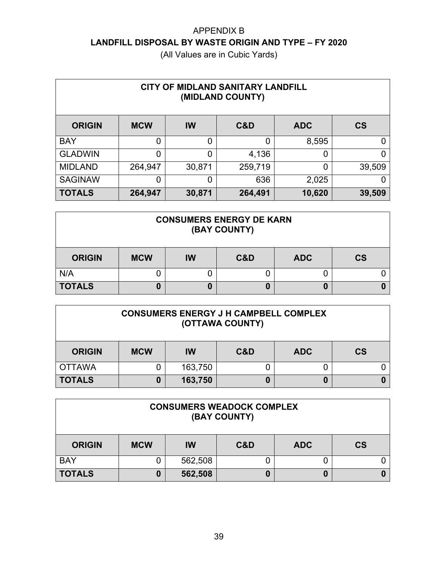| CITY OF MIDLAND SANITARY LANDFILL<br>(MIDLAND COUNTY) |            |                |         |            |           |  |  |  |
|-------------------------------------------------------|------------|----------------|---------|------------|-----------|--|--|--|
| <b>ORIGIN</b>                                         | <b>MCW</b> | <b>IW</b>      | C&D     | <b>ADC</b> | <b>CS</b> |  |  |  |
| <b>BAY</b>                                            | 0          | $\overline{0}$ | 0       | 8,595      | 0         |  |  |  |
| <b>GLADWIN</b>                                        | 0          | 0              | 4,136   | 0          | 0         |  |  |  |
| <b>MIDLAND</b>                                        | 264,947    | 30,871         | 259,719 | 0          | 39,509    |  |  |  |
| <b>SAGINAW</b>                                        | 0          | 0              | 636     | 2,025      | O         |  |  |  |
| <b>TOTALS</b>                                         | 264,947    | 30,871         | 264,491 | 10,620     | 39,509    |  |  |  |

| <b>CONSUMERS ENERGY DE KARN</b><br>(BAY COUNTY) |            |    |     |            |           |  |  |
|-------------------------------------------------|------------|----|-----|------------|-----------|--|--|
| <b>ORIGIN</b>                                   | <b>MCW</b> | IW | C&D | <b>ADC</b> | <b>CS</b> |  |  |
| N/A                                             |            |    |     |            |           |  |  |
| <b>TOTALS</b>                                   |            | U  |     | 0          |           |  |  |

| <b>CONSUMERS ENERGY J H CAMPBELL COMPLEX</b><br>(OTTAWA COUNTY) |            |         |     |            |           |  |  |
|-----------------------------------------------------------------|------------|---------|-----|------------|-----------|--|--|
| <b>ORIGIN</b>                                                   | <b>MCW</b> | IW      | C&D | <b>ADC</b> | <b>CS</b> |  |  |
| <b>OTTAWA</b>                                                   |            | 163,750 |     |            |           |  |  |
| <b>TOTALS</b>                                                   |            | 163,750 |     |            |           |  |  |

| <b>CONSUMERS WEADOCK COMPLEX</b><br>(BAY COUNTY) |            |           |     |            |                          |  |
|--------------------------------------------------|------------|-----------|-----|------------|--------------------------|--|
| <b>ORIGIN</b>                                    | <b>MCW</b> | <b>IW</b> | C&D | <b>ADC</b> | $\mathsf{CS}\phantom{0}$ |  |
| <b>BAY</b>                                       |            | 562,508   |     |            |                          |  |
| <b>TOTALS</b>                                    |            | 562,508   |     | 0          |                          |  |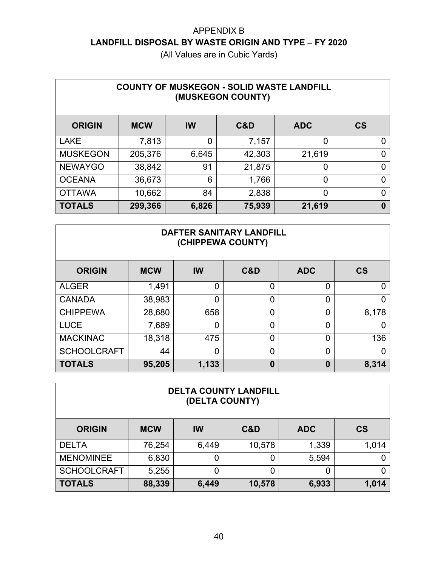| <b>COUNTY OF MUSKEGON - SOLID WASTE LANDFILL</b><br>(MUSKEGON COUNTY) |            |           |        |                |           |  |  |  |
|-----------------------------------------------------------------------|------------|-----------|--------|----------------|-----------|--|--|--|
| <b>ORIGIN</b>                                                         | <b>MCW</b> | <b>IW</b> | C&D    | <b>ADC</b>     | <b>CS</b> |  |  |  |
| <b>LAKE</b>                                                           | 7,813      | 0         | 7,157  | 0              | 0         |  |  |  |
| <b>MUSKEGON</b>                                                       | 205,376    | 6,645     | 42,303 | 21,619         | 0         |  |  |  |
| <b>NEWAYGO</b>                                                        | 38,842     | 91        | 21,875 | 0              | 0         |  |  |  |
| <b>OCEANA</b>                                                         | 36,673     | 6         | 1,766  | $\overline{0}$ | 0         |  |  |  |
| <b>OTTAWA</b>                                                         | 10,662     | 84        | 2,838  | $\overline{0}$ | 0         |  |  |  |
| <b>TOTALS</b>                                                         | 299,366    | 6,826     | 75,939 | 21,619         | 0         |  |  |  |

| <b>DAFTER SANITARY LANDFILL</b><br>(CHIPPEWA COUNTY) |            |          |     |            |                |  |  |  |
|------------------------------------------------------|------------|----------|-----|------------|----------------|--|--|--|
| <b>ORIGIN</b>                                        | <b>MCW</b> | IW       | C&D | <b>ADC</b> | <b>CS</b>      |  |  |  |
| <b>ALGER</b>                                         | 1,491      | $\Omega$ | 0   | 0          | $\mathbf 0$    |  |  |  |
| <b>CANADA</b>                                        | 38,983     | $\Omega$ | 0   | 0          | $\overline{0}$ |  |  |  |
| <b>CHIPPEWA</b>                                      | 28,680     | 658      | 0   | 0          | 8,178          |  |  |  |
| <b>LUCE</b>                                          | 7,689      | 0        | 0   | 0          | 0              |  |  |  |
| <b>MACKINAC</b>                                      | 18,318     | 475      | 0   | 0          | 136            |  |  |  |
| <b>SCHOOLCRAFT</b>                                   | 44         | $\Omega$ | 0   | 0          | $\overline{0}$ |  |  |  |
| <b>TOTALS</b>                                        | 95,205     | 1,133    | 0   | 0          | 8,314          |  |  |  |

| <b>DELTA COUNTY LANDFILL</b><br>(DELTA COUNTY) |            |       |        |            |           |  |  |  |
|------------------------------------------------|------------|-------|--------|------------|-----------|--|--|--|
| <b>ORIGIN</b>                                  | <b>MCW</b> | IW    | C&D    | <b>ADC</b> | <b>CS</b> |  |  |  |
| <b>DELTA</b>                                   | 76,254     | 6,449 | 10,578 | 1,339      | 1,014     |  |  |  |
| <b>MENOMINEE</b>                               | 6,830      | 0     | 0      | 5,594      |           |  |  |  |
| <b>SCHOOLCRAFT</b>                             | 5,255      | 0     | 0      |            |           |  |  |  |
| <b>TOTALS</b>                                  | 88,339     | 6,449 | 10,578 | 6,933      | 1,014     |  |  |  |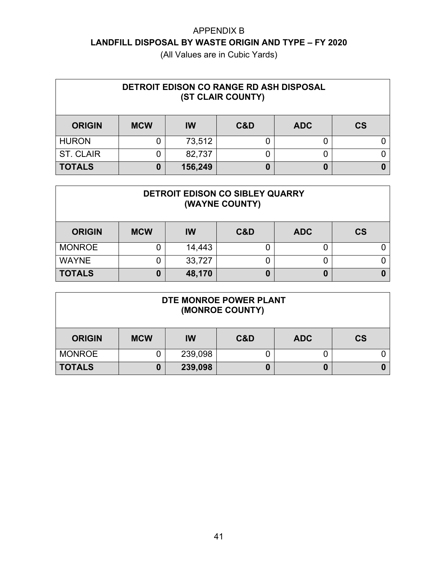| DETROIT EDISON CO RANGE RD ASH DISPOSAL<br>(ST CLAIR COUNTY) |            |           |     |            |               |  |  |
|--------------------------------------------------------------|------------|-----------|-----|------------|---------------|--|--|
| <b>ORIGIN</b>                                                | <b>MCW</b> | <b>IW</b> | C&D | <b>ADC</b> | $\mathsf{CS}$ |  |  |
| <b>HURON</b>                                                 |            | 73,512    |     |            |               |  |  |
| <b>ST. CLAIR</b>                                             |            | 82,737    |     |            |               |  |  |
| <b>TOTALS</b>                                                | 0          | 156,249   |     | 0          |               |  |  |

| DETROIT EDISON CO SIBLEY QUARRY<br>(WAYNE COUNTY) |            |        |     |            |           |  |  |  |
|---------------------------------------------------|------------|--------|-----|------------|-----------|--|--|--|
| <b>ORIGIN</b>                                     | <b>MCW</b> | IW     | C&D | <b>ADC</b> | <b>CS</b> |  |  |  |
| <b>MONROE</b>                                     |            | 14,443 |     | 0          |           |  |  |  |
| <b>WAYNE</b>                                      |            | 33,727 |     | 0          |           |  |  |  |
| <b>TOTALS</b>                                     | 0          | 48,170 |     | 0          |           |  |  |  |

| DTE MONROE POWER PLANT<br>(MONROE COUNTY) |            |         |     |            |           |  |
|-------------------------------------------|------------|---------|-----|------------|-----------|--|
| <b>ORIGIN</b>                             | <b>MCW</b> | IW      | C&D | <b>ADC</b> | <b>CS</b> |  |
| <b>MONROE</b>                             |            | 239,098 |     |            |           |  |
| <b>TOTALS</b>                             |            | 239,098 |     | 0          |           |  |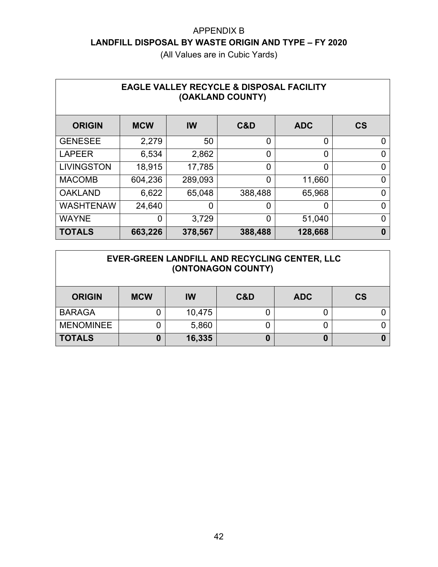| <b>EAGLE VALLEY RECYCLE &amp; DISPOSAL FACILITY</b><br>(OAKLAND COUNTY) |                |           |         |                |           |  |  |
|-------------------------------------------------------------------------|----------------|-----------|---------|----------------|-----------|--|--|
| <b>ORIGIN</b>                                                           | <b>MCW</b>     | <b>IW</b> | C&D     | <b>ADC</b>     | <b>CS</b> |  |  |
| <b>GENESEE</b>                                                          | 2,279          | 50        | 0       | 0              | 0         |  |  |
| <b>LAPEER</b>                                                           | 6,534          | 2,862     | 0       | $\overline{0}$ | ∩         |  |  |
| <b>LIVINGSTON</b>                                                       | 18,915         | 17,785    | 0       | $\overline{0}$ | 0         |  |  |
| <b>MACOMB</b>                                                           | 604,236        | 289,093   | 0       | 11,660         | 0         |  |  |
| <b>OAKLAND</b>                                                          | 6,622          | 65,048    | 388,488 | 65,968         | 0         |  |  |
| <b>WASHTENAW</b>                                                        | 24,640         | 0         | 0       | 0              | 0         |  |  |
| <b>WAYNE</b>                                                            | $\overline{0}$ | 3,729     | 0       | 51,040         | ∩         |  |  |
| <b>TOTALS</b>                                                           | 663,226        | 378,567   | 388,488 | 128,668        | 0         |  |  |

| EVER-GREEN LANDFILL AND RECYCLING CENTER, LLC<br>(ONTONAGON COUNTY) |            |           |     |            |           |  |
|---------------------------------------------------------------------|------------|-----------|-----|------------|-----------|--|
| <b>ORIGIN</b>                                                       | <b>MCW</b> | <b>IW</b> | C&D | <b>ADC</b> | <b>CS</b> |  |
| <b>BARAGA</b>                                                       |            | 10,475    |     |            |           |  |
| <b>MENOMINEE</b>                                                    |            | 5,860     |     |            |           |  |
| <b>TOTALS</b>                                                       | 0          | 16,335    | 0   | 0          |           |  |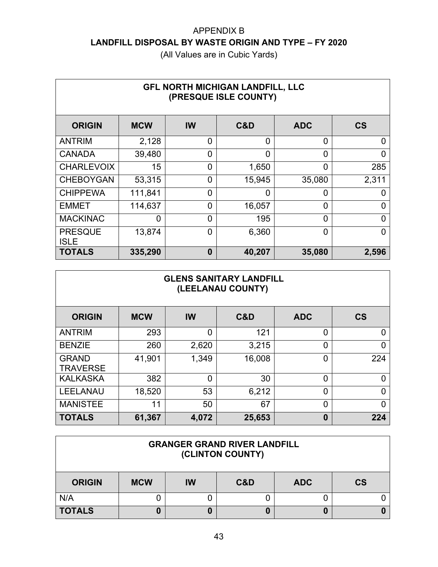| <b>GFL NORTH MICHIGAN LANDFILL, LLC</b><br>(PRESQUE ISLE COUNTY) |            |                |          |                |                          |  |  |
|------------------------------------------------------------------|------------|----------------|----------|----------------|--------------------------|--|--|
| <b>ORIGIN</b>                                                    | <b>MCW</b> | IW             | C&D      | <b>ADC</b>     | $\mathsf{CS}\phantom{0}$ |  |  |
| <b>ANTRIM</b>                                                    | 2,128      | $\overline{0}$ | $\Omega$ | 0              | 0                        |  |  |
| <b>CANADA</b>                                                    | 39,480     | $\overline{0}$ | $\Omega$ | $\overline{0}$ | 0                        |  |  |
| <b>CHARLEVOIX</b>                                                | 15         | $\overline{0}$ | 1,650    | $\overline{0}$ | 285                      |  |  |
| <b>CHEBOYGAN</b>                                                 | 53,315     | $\overline{0}$ | 15,945   | 35,080         | 2,311                    |  |  |
| <b>CHIPPEWA</b>                                                  | 111,841    | 0              | 0        | 0              | 0                        |  |  |
| <b>EMMET</b>                                                     | 114,637    | $\overline{0}$ | 16,057   | $\overline{0}$ | ∩                        |  |  |
| <b>MACKINAC</b>                                                  | 0          | $\overline{0}$ | 195      | $\overline{0}$ | 0                        |  |  |
| <b>PRESQUE</b><br><b>ISLE</b>                                    | 13,874     | $\overline{0}$ | 6,360    | 0              | 0                        |  |  |
| <b>TOTALS</b>                                                    | 335,290    | $\bf{0}$       | 40,207   | 35,080         | 2,596                    |  |  |

| <b>GLENS SANITARY LANDFILL</b><br>(LEELANAU COUNTY) |            |                |        |            |                          |  |  |
|-----------------------------------------------------|------------|----------------|--------|------------|--------------------------|--|--|
| <b>ORIGIN</b>                                       | <b>MCW</b> | <b>IW</b>      | C&D    | <b>ADC</b> | $\mathsf{CS}\phantom{0}$ |  |  |
| <b>ANTRIM</b>                                       | 293        | 0              | 121    | 0          | 0                        |  |  |
| <b>BENZIE</b>                                       | 260        | 2,620          | 3,215  | 0          | 0                        |  |  |
| <b>GRAND</b><br><b>TRAVERSE</b>                     | 41,901     | 1,349          | 16,008 | 0          | 224                      |  |  |
| <b>KALKASKA</b>                                     | 382        | $\overline{0}$ | 30     | 0          | 0                        |  |  |
| <b>LEELANAU</b>                                     | 18,520     | 53             | 6,212  | 0          | 0                        |  |  |
| <b>MANISTEE</b>                                     | 11         | 50             | 67     | 0          | 0                        |  |  |
| <b>TOTALS</b>                                       | 61,367     | 4,072          | 25,653 | 0          | 224                      |  |  |

| <b>GRANGER GRAND RIVER LANDFILL</b><br>(CLINTON COUNTY) |            |    |     |            |           |  |
|---------------------------------------------------------|------------|----|-----|------------|-----------|--|
| <b>ORIGIN</b>                                           | <b>MCW</b> | IW | C&D | <b>ADC</b> | <b>CS</b> |  |
| N/A                                                     |            |    |     |            |           |  |
| <b>TOTALS</b>                                           |            | 0  |     | 0          |           |  |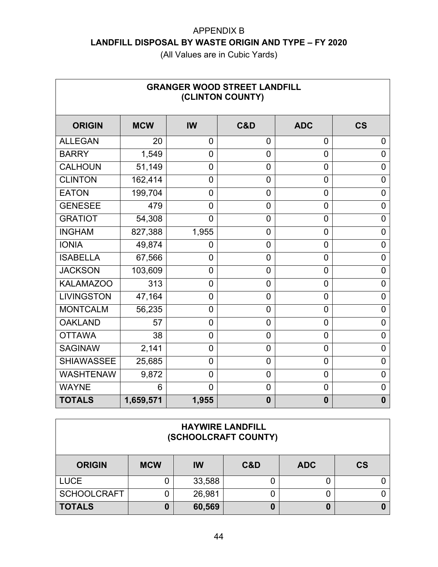| <b>GRANGER WOOD STREET LANDFILL</b><br>(CLINTON COUNTY) |            |                |                |                |                          |  |  |
|---------------------------------------------------------|------------|----------------|----------------|----------------|--------------------------|--|--|
| <b>ORIGIN</b>                                           | <b>MCW</b> | <b>IW</b>      | C&D            | <b>ADC</b>     | $\mathsf{CS}\phantom{0}$ |  |  |
| <b>ALLEGAN</b>                                          | 20         | $\overline{0}$ | $\overline{0}$ | $\overline{0}$ | $\overline{0}$           |  |  |
| <b>BARRY</b>                                            | 1,549      | $\mathbf 0$    | $\overline{0}$ | $\overline{0}$ | $\mathbf 0$              |  |  |
| <b>CALHOUN</b>                                          | 51,149     | $\mathbf 0$    | $\overline{0}$ | $\overline{0}$ | $\mathbf 0$              |  |  |
| <b>CLINTON</b>                                          | 162,414    | $\overline{0}$ | $\overline{0}$ | $\overline{0}$ | $\mathbf 0$              |  |  |
| <b>EATON</b>                                            | 199,704    | $\mathbf 0$    | $\overline{0}$ | $\mathbf 0$    | $\mathbf 0$              |  |  |
| <b>GENESEE</b>                                          | 479        | 0              | $\overline{0}$ | $\mathbf 0$    | $\mathbf 0$              |  |  |
| <b>GRATIOT</b>                                          | 54,308     | $\overline{0}$ | $\overline{0}$ | $\overline{0}$ | $\mathbf 0$              |  |  |
| <b>INGHAM</b>                                           | 827,388    | 1,955          | 0              | 0              | 0                        |  |  |
| <b>IONIA</b>                                            | 49,874     | 0              | $\overline{0}$ | $\overline{0}$ | $\mathbf 0$              |  |  |
| <b>ISABELLA</b>                                         | 67,566     | $\overline{0}$ | $\overline{0}$ | $\overline{0}$ | $\overline{0}$           |  |  |
| <b>JACKSON</b>                                          | 103,609    | $\mathbf 0$    | $\overline{0}$ | $\mathbf 0$    | 0                        |  |  |
| <b>KALAMAZOO</b>                                        | 313        | $\mathbf 0$    | $\overline{0}$ | $\overline{0}$ | $\mathbf 0$              |  |  |
| <b>LIVINGSTON</b>                                       | 47,164     | $\mathbf 0$    | $\overline{0}$ | 0              | 0                        |  |  |
| <b>MONTCALM</b>                                         | 56,235     | $\overline{0}$ | $\overline{0}$ | 0              | $\overline{0}$           |  |  |
| <b>OAKLAND</b>                                          | 57         | 0              | $\overline{0}$ | 0              | $\overline{0}$           |  |  |
| <b>OTTAWA</b>                                           | 38         | $\overline{0}$ | $\overline{0}$ | 0              | 0                        |  |  |
| <b>SAGINAW</b>                                          | 2,141      | $\overline{0}$ | $\overline{0}$ | $\overline{0}$ | $\overline{0}$           |  |  |
| <b>SHIAWASSEE</b>                                       | 25,685     | $\overline{0}$ | $\overline{0}$ | 0              | 0                        |  |  |
| <b>WASHTENAW</b>                                        | 9,872      | $\overline{0}$ | $\overline{0}$ | $\mathbf 0$    | $\mathbf 0$              |  |  |
| <b>WAYNE</b>                                            | 6          | $\overline{0}$ | $\overline{0}$ | $\mathbf 0$    | $\mathbf 0$              |  |  |
| <b>TOTALS</b>                                           | 1,659,571  | 1,955          | $\mathbf{0}$   | $\bf{0}$       | $\bf{0}$                 |  |  |

| <b>HAYWIRE LANDFILL</b> |
|-------------------------|
| (SCHOOLCRAFT COUNTY)    |

| <b>ORIGIN</b>      | <b>MCW</b> | IW     | C&D | <b>ADC</b> | <b>CS</b> |
|--------------------|------------|--------|-----|------------|-----------|
| <b>LUCE</b>        |            | 33,588 |     |            |           |
| <b>SCHOOLCRAFT</b> |            | 26,981 |     |            |           |
| <b>TOTALS</b>      |            | 60,569 |     |            |           |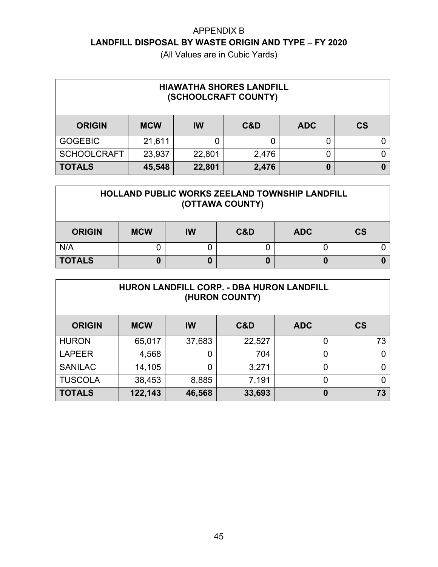| <b>HIAWATHA SHORES LANDFILL</b><br>(SCHOOLCRAFT COUNTY) |                                |           |       |            |           |  |  |  |
|---------------------------------------------------------|--------------------------------|-----------|-------|------------|-----------|--|--|--|
| <b>ORIGIN</b>                                           | <b>MCW</b>                     | <b>IW</b> | C&D   | <b>ADC</b> | <b>CS</b> |  |  |  |
| <b>GOGEBIC</b>                                          | 21,611                         | 0         |       |            |           |  |  |  |
| <b>SCHOOLCRAFT</b>                                      | 23,937                         | 22,801    | 2,476 |            |           |  |  |  |
| <b>TOTALS</b>                                           | 45,548<br>2,476<br>22,801<br>0 |           |       |            |           |  |  |  |

| HOLLAND PUBLIC WORKS ZEELAND TOWNSHIP LANDFILL<br>(OTTAWA COUNTY) |            |           |     |            |           |  |
|-------------------------------------------------------------------|------------|-----------|-----|------------|-----------|--|
| <b>ORIGIN</b>                                                     | <b>MCW</b> | <b>IW</b> | C&D | <b>ADC</b> | <b>CS</b> |  |
| N/A                                                               |            |           |     |            |           |  |
| <b>TOTALS</b>                                                     |            | U         |     | 0          |           |  |

| HURON LANDFILL CORP. - DBA HURON LANDFILL<br>(HURON COUNTY) |                                        |                |        |                |           |  |  |  |
|-------------------------------------------------------------|----------------------------------------|----------------|--------|----------------|-----------|--|--|--|
| <b>ORIGIN</b>                                               | <b>MCW</b>                             | IW             | C&D    | <b>ADC</b>     | <b>CS</b> |  |  |  |
| <b>HURON</b>                                                | 65,017                                 | 37,683         | 22,527 | $\overline{0}$ | 73        |  |  |  |
| <b>LAPEER</b>                                               | 4,568                                  | 0              | 704    | 0              | 0         |  |  |  |
| <b>SANILAC</b>                                              | 14,105                                 | $\overline{0}$ | 3,271  | 0              | 0         |  |  |  |
| <b>TUSCOLA</b>                                              | 38,453                                 | 8,885          | 7,191  | 0              | 0         |  |  |  |
| <b>TOTALS</b>                                               | 122,143<br>73<br>46,568<br>33,693<br>0 |                |        |                |           |  |  |  |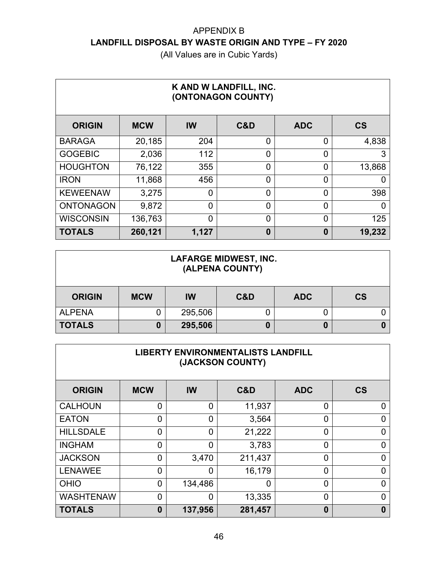| K AND W LANDFILL, INC.<br>(ONTONAGON COUNTY) |            |                |          |                |           |  |  |  |
|----------------------------------------------|------------|----------------|----------|----------------|-----------|--|--|--|
| <b>ORIGIN</b>                                | <b>MCW</b> | IW             | C&D      | <b>ADC</b>     | <b>CS</b> |  |  |  |
| <b>BARAGA</b>                                | 20,185     | 204            | 0        | $\overline{0}$ | 4,838     |  |  |  |
| <b>GOGEBIC</b>                               | 2,036      | 112            | $\Omega$ | $\overline{0}$ | 3         |  |  |  |
| <b>HOUGHTON</b>                              | 76,122     | 355            | 0        | 0              | 13,868    |  |  |  |
| <b>IRON</b>                                  | 11,868     | 456            | $\Omega$ | $\overline{0}$ | 0         |  |  |  |
| <b>KEWEENAW</b>                              | 3,275      | 0              | $\Omega$ | $\overline{0}$ | 398       |  |  |  |
| <b>ONTONAGON</b>                             | 9,872      | $\overline{0}$ | 0        | $\overline{0}$ | 0         |  |  |  |
| <b>WISCONSIN</b>                             | 136,763    | 0              | 0        | $\overline{0}$ | 125       |  |  |  |
| <b>TOTALS</b>                                | 260,121    | 1,127          | $\bf{0}$ | $\bf{0}$       | 19,232    |  |  |  |

| <b>LAFARGE MIDWEST, INC.</b><br>(ALPENA COUNTY) |            |         |     |            |           |  |  |
|-------------------------------------------------|------------|---------|-----|------------|-----------|--|--|
| <b>ORIGIN</b>                                   | <b>MCW</b> | IW      | C&D | <b>ADC</b> | <b>CS</b> |  |  |
| <b>ALPENA</b>                                   |            | 295,506 |     |            |           |  |  |
| <b>TOTALS</b>                                   |            | 295,506 |     | 0          |           |  |  |

| <b>LIBERTY ENVIRONMENTALISTS LANDFILL</b><br>(JACKSON COUNTY) |                |                |         |                |           |  |  |  |  |
|---------------------------------------------------------------|----------------|----------------|---------|----------------|-----------|--|--|--|--|
| <b>ORIGIN</b>                                                 | <b>MCW</b>     | <b>IW</b>      | C&D     | <b>ADC</b>     | <b>CS</b> |  |  |  |  |
| <b>CALHOUN</b>                                                | $\overline{0}$ | $\overline{0}$ | 11,937  | 0              | 0         |  |  |  |  |
| <b>EATON</b>                                                  | $\Omega$       | $\overline{0}$ | 3,564   | 0              | 0         |  |  |  |  |
| <b>HILLSDALE</b>                                              | $\Omega$       | $\overline{0}$ | 21,222  | $\overline{0}$ | 0         |  |  |  |  |
| <b>INGHAM</b>                                                 | $\Omega$       | $\overline{0}$ | 3,783   | $\overline{0}$ | $\Omega$  |  |  |  |  |
| <b>JACKSON</b>                                                | $\overline{0}$ | 3,470          | 211,437 | 0              | 0         |  |  |  |  |
| <b>LENAWEE</b>                                                | $\Omega$       | $\overline{0}$ | 16,179  | 0              | $\Omega$  |  |  |  |  |
| <b>OHIO</b>                                                   | $\overline{0}$ | 134,486        | 0       | 0              | 0         |  |  |  |  |
| <b>WASHTENAW</b>                                              | $\Omega$       | $\overline{0}$ | 13,335  | $\overline{0}$ | $\Omega$  |  |  |  |  |
| <b>TOTALS</b>                                                 | $\bf{0}$       | 137,956        | 281,457 | $\bf{0}$       | 0         |  |  |  |  |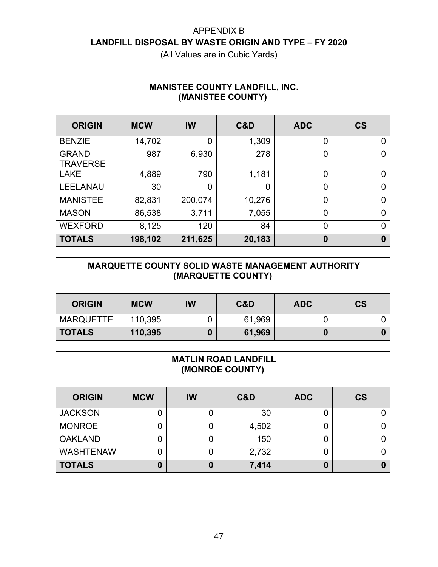| <b>MANISTEE COUNTY LANDFILL, INC.</b><br>(MANISTEE COUNTY) |            |                |        |                |                |  |  |  |  |
|------------------------------------------------------------|------------|----------------|--------|----------------|----------------|--|--|--|--|
| <b>ORIGIN</b>                                              | <b>MCW</b> | IW             | C&D    | <b>ADC</b>     | <b>CS</b>      |  |  |  |  |
| <b>BENZIE</b>                                              | 14,702     | 0              | 1,309  | $\overline{0}$ | 0              |  |  |  |  |
| <b>GRAND</b><br><b>TRAVERSE</b>                            | 987        | 6,930          | 278    | $\overline{0}$ | 0              |  |  |  |  |
| <b>LAKE</b>                                                | 4,889      | 790            | 1,181  | $\overline{0}$ | 0              |  |  |  |  |
| <b>LEELANAU</b>                                            | 30         | $\overline{0}$ | 0      | $\overline{0}$ | 0              |  |  |  |  |
| <b>MANISTEE</b>                                            | 82,831     | 200,074        | 10,276 | $\overline{0}$ | $\overline{0}$ |  |  |  |  |
| <b>MASON</b>                                               | 86,538     | 3,711          | 7,055  | $\overline{0}$ | 0              |  |  |  |  |
| <b>WEXFORD</b>                                             | 8,125      | 120            | 84     | $\overline{0}$ | 0              |  |  |  |  |
| <b>TOTALS</b>                                              | 198,102    | 211,625        | 20,183 | $\bf{0}$       | 0              |  |  |  |  |

| <b>MARQUETTE COUNTY SOLID WASTE MANAGEMENT AUTHORITY</b><br>(MARQUETTE COUNTY) |            |    |        |            |           |  |  |
|--------------------------------------------------------------------------------|------------|----|--------|------------|-----------|--|--|
| <b>ORIGIN</b>                                                                  | <b>MCW</b> | IW | C&D    | <b>ADC</b> | <b>CS</b> |  |  |
| <b>MARQUETTE</b>                                                               | 110,395    |    | 61,969 | 0          |           |  |  |
| <b>TOTALS</b>                                                                  | 110,395    | 0  | 61,969 | 0          |           |  |  |

| <b>MATLIN ROAD LANDFILL</b><br>(MONROE COUNTY) |            |           |       |            |           |  |  |  |
|------------------------------------------------|------------|-----------|-------|------------|-----------|--|--|--|
| <b>ORIGIN</b>                                  | <b>MCW</b> | <b>IW</b> | C&D   | <b>ADC</b> | <b>CS</b> |  |  |  |
| <b>JACKSON</b>                                 |            | 0         | 30    | 0          |           |  |  |  |
| <b>MONROE</b>                                  |            | 0         | 4,502 | 0          |           |  |  |  |
| <b>OAKLAND</b>                                 |            | 0         | 150   | 0          |           |  |  |  |
| <b>WASHTENAW</b>                               |            | 0         | 2,732 | 0          |           |  |  |  |
| <b>TOTALS</b>                                  | O          | $\bf{0}$  | 7,414 | 0          |           |  |  |  |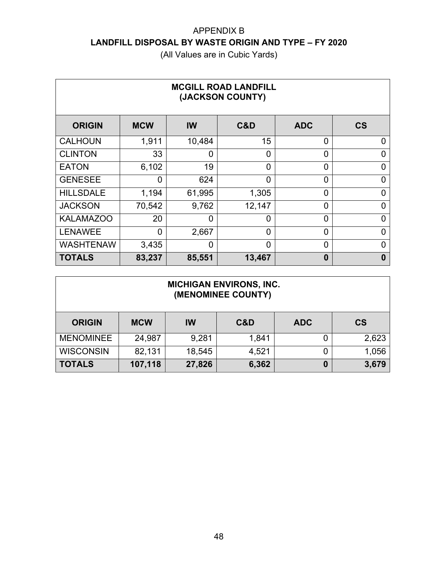(All Values are in Cubic Yards)

| <b>MCGILL ROAD LANDFILL</b><br>(JACKSON COUNTY) |            |                |                |                |                          |  |  |  |
|-------------------------------------------------|------------|----------------|----------------|----------------|--------------------------|--|--|--|
| <b>ORIGIN</b>                                   | <b>MCW</b> | IW             | C&D            | <b>ADC</b>     | $\mathsf{CS}\phantom{0}$ |  |  |  |
| <b>CALHOUN</b>                                  | 1,911      | 10,484         | 15             | $\overline{0}$ | 0                        |  |  |  |
| <b>CLINTON</b>                                  | 33         | 0              | 0              | $\overline{0}$ | 0                        |  |  |  |
| <b>EATON</b>                                    | 6,102      | 19             | $\Omega$       | $\overline{0}$ | 0                        |  |  |  |
| <b>GENESEE</b>                                  | 0          | 624            | $\overline{0}$ | $\overline{0}$ | 0                        |  |  |  |
| <b>HILLSDALE</b>                                | 1,194      | 61,995         | 1,305          | $\overline{0}$ | 0                        |  |  |  |
| <b>JACKSON</b>                                  | 70,542     | 9,762          | 12,147         | $\overline{0}$ | $\Omega$                 |  |  |  |
| <b>KALAMAZOO</b>                                | 20         | $\mathbf 0$    | $\overline{0}$ | $\overline{0}$ | 0                        |  |  |  |
| <b>LENAWEE</b>                                  | $\Omega$   | 2,667          | $\Omega$       | $\overline{0}$ | 0                        |  |  |  |
| <b>WASHTENAW</b>                                | 3,435      | $\overline{0}$ | $\overline{0}$ | $\overline{0}$ | 0                        |  |  |  |
| <b>TOTALS</b>                                   | 83,237     | 85,551         | 13,467         | 0              | 0                        |  |  |  |

#### **MICHIGAN ENVIRONS, INC. (MENOMINEE COUNTY)**

| <b>ORIGIN</b>    | <b>MCW</b> | IW     | C&D   | <b>ADC</b> | <b>CS</b> |
|------------------|------------|--------|-------|------------|-----------|
| <b>MENOMINEE</b> | 24,987     | 9,281  | 1,841 |            | 2,623     |
| <b>WISCONSIN</b> | 82,131     | 18,545 | 4,521 |            | 1,056     |
| <b>TOTALS</b>    | 107,118    | 27,826 | 6,362 | 0          | 3,679     |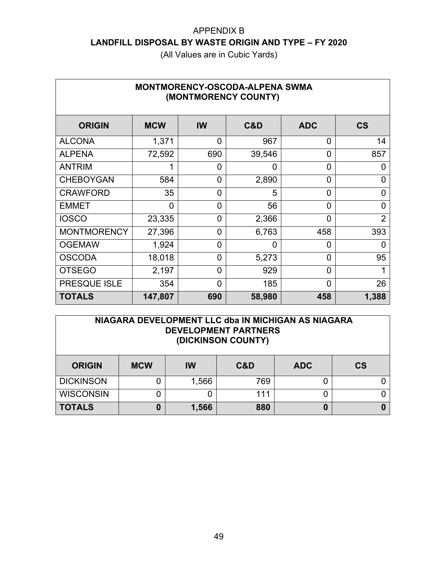| <b>MONTMORENCY-OSCODA-ALPENA SWMA</b><br>(MONTMORENCY COUNTY) |             |                |          |                |                          |  |  |  |  |
|---------------------------------------------------------------|-------------|----------------|----------|----------------|--------------------------|--|--|--|--|
| <b>ORIGIN</b>                                                 | <b>MCW</b>  | IW             | C&D      | <b>ADC</b>     | $\mathsf{CS}\phantom{0}$ |  |  |  |  |
| <b>ALCONA</b>                                                 | 1,371       | $\overline{0}$ | 967      | $\overline{0}$ | 14                       |  |  |  |  |
| <b>ALPENA</b>                                                 | 72,592      | 690            | 39,546   | $\Omega$       | 857                      |  |  |  |  |
| <b>ANTRIM</b>                                                 | 1           | $\overline{0}$ | $\Omega$ | $\Omega$       | 0                        |  |  |  |  |
| <b>CHEBOYGAN</b>                                              | 584         | $\overline{0}$ | 2,890    | $\overline{0}$ | 0                        |  |  |  |  |
| <b>CRAWFORD</b>                                               | 35          | 0              | 5        | $\Omega$       | 0                        |  |  |  |  |
| <b>EMMET</b>                                                  | $\mathbf 0$ | $\overline{0}$ | 56       | $\Omega$       | 0                        |  |  |  |  |
| <b>IOSCO</b>                                                  | 23,335      | $\overline{0}$ | 2,366    | $\overline{0}$ | $\overline{2}$           |  |  |  |  |
| <b>MONTMORENCY</b>                                            | 27,396      | $\overline{0}$ | 6,763    | 458            | 393                      |  |  |  |  |
| <b>OGEMAW</b>                                                 | 1,924       | $\overline{0}$ | $\Omega$ | $\Omega$       | 0                        |  |  |  |  |
| <b>OSCODA</b>                                                 | 18,018      | $\overline{0}$ | 5,273    | $\Omega$       | 95                       |  |  |  |  |
| <b>OTSEGO</b>                                                 | 2,197       | $\overline{0}$ | 929      | $\overline{0}$ |                          |  |  |  |  |
| PRESQUE ISLE                                                  | 354         | $\overline{0}$ | 185      | $\Omega$       | 26                       |  |  |  |  |
| <b>TOTALS</b>                                                 | 147,807     | 690            | 58,980   | 458            | 1,388                    |  |  |  |  |

|               |            |    | NIAGARA DEVELOPMENT LLC dba IN MICHIGAN AS NIAGARA<br><b>DEVELOPMENT PARTNERS</b><br>(DICKINSON COUNTY) |            |    |
|---------------|------------|----|---------------------------------------------------------------------------------------------------------|------------|----|
| <b>ORIGIN</b> | <b>MCW</b> | IW | C&D                                                                                                     | <b>ADC</b> | СS |

| <b>ORIGIN</b>    | <b>MCW</b> | IW    | C&D | <b>ADC</b> | CS |
|------------------|------------|-------|-----|------------|----|
| <b>DICKINSON</b> |            | 1,566 | 769 |            |    |
| <b>WISCONSIN</b> |            |       | 111 |            |    |
| <b>TOTALS</b>    |            | 1,566 | 880 |            |    |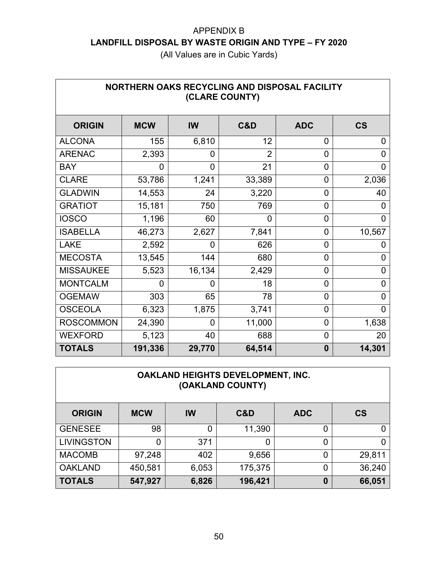| NORTHERN OAKS RECYCLING AND DISPOSAL FACILITY<br>(CLARE COUNTY) |            |        |                |                |                |  |  |  |
|-----------------------------------------------------------------|------------|--------|----------------|----------------|----------------|--|--|--|
| <b>ORIGIN</b>                                                   | <b>MCW</b> | IW     | C&D            | <b>ADC</b>     | <b>CS</b>      |  |  |  |
| <b>ALCONA</b>                                                   | 155        | 6,810  | 12             | $\overline{0}$ | 0              |  |  |  |
| <b>ARENAC</b>                                                   | 2,393      | 0      | $\overline{2}$ | $\overline{0}$ | $\overline{0}$ |  |  |  |
| <b>BAY</b>                                                      | 0          | 0      | 21             | $\overline{0}$ | 0              |  |  |  |
| <b>CLARE</b>                                                    | 53,786     | 1,241  | 33,389         | $\overline{0}$ | 2,036          |  |  |  |
| <b>GLADWIN</b>                                                  | 14,553     | 24     | 3,220          | $\overline{0}$ | 40             |  |  |  |
| <b>GRATIOT</b>                                                  | 15,181     | 750    | 769            | $\overline{0}$ | 0              |  |  |  |
| <b>IOSCO</b>                                                    | 1,196      | 60     | 0              | $\overline{0}$ | 0              |  |  |  |
| <b>ISABELLA</b>                                                 | 46,273     | 2,627  | 7,841          | $\overline{0}$ | 10,567         |  |  |  |
| <b>LAKE</b>                                                     | 2,592      | 0      | 626            | $\overline{0}$ | 0              |  |  |  |
| <b>MECOSTA</b>                                                  | 13,545     | 144    | 680            | $\overline{0}$ | 0              |  |  |  |
| <b>MISSAUKEE</b>                                                | 5,523      | 16,134 | 2,429          | $\overline{0}$ | 0              |  |  |  |
| <b>MONTCALM</b>                                                 | 0          | O      | 18             | $\overline{0}$ | 0              |  |  |  |
| <b>OGEMAW</b>                                                   | 303        | 65     | 78             | $\overline{0}$ | 0              |  |  |  |
| <b>OSCEOLA</b>                                                  | 6,323      | 1,875  | 3,741          | $\overline{0}$ | 0              |  |  |  |
| <b>ROSCOMMON</b>                                                | 24,390     | 0      | 11,000         | $\overline{0}$ | 1,638          |  |  |  |
| <b>WEXFORD</b>                                                  | 5,123      | 40     | 688            | $\overline{0}$ | 20             |  |  |  |
| <b>TOTALS</b>                                                   | 191,336    | 29,770 | 64,514         | $\bf{0}$       | 14,301         |  |  |  |

| OAKLAND HEIGHTS DEVELOPMENT, INC.<br>(OAKLAND COUNTY) |            |           |         |                |           |  |  |  |
|-------------------------------------------------------|------------|-----------|---------|----------------|-----------|--|--|--|
| <b>ORIGIN</b>                                         | <b>MCW</b> | <b>IW</b> | C&D     | <b>ADC</b>     | <b>CS</b> |  |  |  |
| <b>GENESEE</b>                                        | 98         | 0         | 11,390  | 0              | 0         |  |  |  |
| <b>LIVINGSTON</b>                                     | 0          | 371       | 0       | 0              | 0         |  |  |  |
| <b>MACOMB</b>                                         | 97,248     | 402       | 9,656   | $\overline{0}$ | 29,811    |  |  |  |
| <b>OAKLAND</b>                                        | 450,581    | 6,053     | 175,375 | 0              | 36,240    |  |  |  |
| <b>TOTALS</b>                                         | 547,927    | 6,826     | 196,421 | 0              | 66,051    |  |  |  |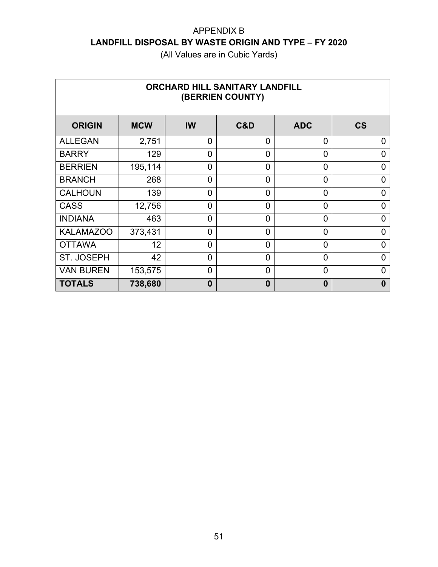| <b>ORCHARD HILL SANITARY LANDFILL</b><br>(BERRIEN COUNTY) |                 |                |                |                |                          |  |  |  |
|-----------------------------------------------------------|-----------------|----------------|----------------|----------------|--------------------------|--|--|--|
| <b>ORIGIN</b>                                             | <b>MCW</b>      | IW             | C&D            | <b>ADC</b>     | $\mathsf{CS}\phantom{0}$ |  |  |  |
| <b>ALLEGAN</b>                                            | 2,751           | $\mathbf 0$    | 0              | 0              | 0                        |  |  |  |
| <b>BARRY</b>                                              | 129             | $\overline{0}$ | $\Omega$       | $\overline{0}$ | 0                        |  |  |  |
| <b>BERRIEN</b>                                            | 195,114         | $\overline{0}$ | $\Omega$       | $\overline{0}$ | 0                        |  |  |  |
| <b>BRANCH</b>                                             | 268             | $\overline{0}$ | $\overline{0}$ | 0              | 0                        |  |  |  |
| <b>CALHOUN</b>                                            | 139             | $\overline{0}$ | $\overline{0}$ | $\overline{0}$ | 0                        |  |  |  |
| <b>CASS</b>                                               | 12,756          | $\overline{0}$ | $\Omega$       | $\overline{0}$ | 0                        |  |  |  |
| <b>INDIANA</b>                                            | 463             | $\overline{0}$ | $\Omega$       | $\overline{0}$ | $\Omega$                 |  |  |  |
| <b>KALAMAZOO</b>                                          | 373,431         | $\overline{0}$ | 0              | 0              | 0                        |  |  |  |
| <b>OTTAWA</b>                                             | 12 <sup>2</sup> | $\overline{0}$ | $\Omega$       | $\overline{0}$ | $\overline{0}$           |  |  |  |
| <b>ST. JOSEPH</b>                                         | 42              | $\overline{0}$ | 0              | 0              | 0                        |  |  |  |
| <b>VAN BUREN</b>                                          | 153,575         | $\overline{0}$ | $\Omega$       | $\overline{0}$ | 0                        |  |  |  |
| <b>TOTALS</b>                                             | 738,680         | $\bf{0}$       | $\bf{0}$       | $\bf{0}$       | 0                        |  |  |  |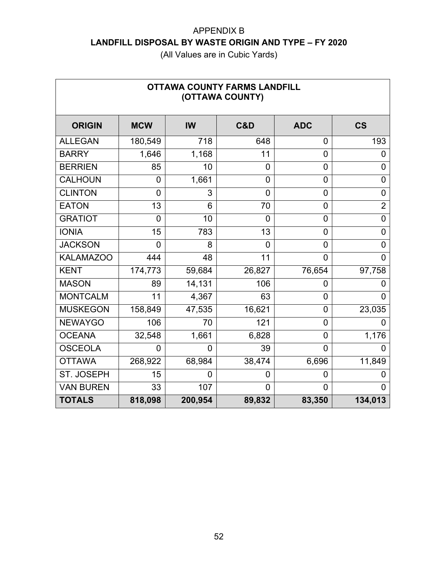| <b>OTTAWA COUNTY FARMS LANDFILL</b><br>(OTTAWA COUNTY) |                |                |                |                |                |  |  |  |
|--------------------------------------------------------|----------------|----------------|----------------|----------------|----------------|--|--|--|
| <b>ORIGIN</b>                                          | <b>MCW</b>     | <b>IW</b>      | C&D            | <b>ADC</b>     | <b>CS</b>      |  |  |  |
| <b>ALLEGAN</b>                                         | 180,549        | 718            | 648            | $\mathbf 0$    | 193            |  |  |  |
| <b>BARRY</b>                                           | 1,646          | 1,168          | 11             | $\mathbf 0$    | 0              |  |  |  |
| <b>BERRIEN</b>                                         | 85             | 10             | $\overline{0}$ | $\mathbf 0$    | 0              |  |  |  |
| <b>CALHOUN</b>                                         | 0              | 1,661          | $\overline{0}$ | 0              | $\mathbf 0$    |  |  |  |
| <b>CLINTON</b>                                         | $\overline{0}$ | 3              | 0              | $\overline{0}$ | 0              |  |  |  |
| <b>EATON</b>                                           | 13             | 6              | 70             | 0              | $\overline{2}$ |  |  |  |
| <b>GRATIOT</b>                                         | 0              | 10             | $\overline{0}$ | $\mathbf 0$    | $\overline{0}$ |  |  |  |
| <b>IONIA</b>                                           | 15             | 783            | 13             | 0              | 0              |  |  |  |
| <b>JACKSON</b>                                         | 0              | 8              | 0              | $\mathbf 0$    | 0              |  |  |  |
| <b>KALAMAZOO</b>                                       | 444            | 48             | 11             | $\overline{0}$ | $\overline{0}$ |  |  |  |
| <b>KENT</b>                                            | 174,773        | 59,684         | 26,827         | 76,654         | 97,758         |  |  |  |
| <b>MASON</b>                                           | 89             | 14,131         | 106            | 0              | 0              |  |  |  |
| <b>MONTCALM</b>                                        | 11             | 4,367          | 63             | $\overline{0}$ | $\overline{0}$ |  |  |  |
| <b>MUSKEGON</b>                                        | 158,849        | 47,535         | 16,621         | $\overline{0}$ | 23,035         |  |  |  |
| <b>NEWAYGO</b>                                         | 106            | 70             | 121            | $\mathbf 0$    | 0              |  |  |  |
| <b>OCEANA</b>                                          | 32,548         | 1,661          | 6,828          | $\overline{0}$ | 1,176          |  |  |  |
| <b>OSCEOLA</b>                                         | 0              | $\overline{0}$ | 39             | $\overline{0}$ | 0              |  |  |  |
| <b>OTTAWA</b>                                          | 268,922        | 68,984         | 38,474         | 6,696          | 11,849         |  |  |  |
| ST. JOSEPH                                             | 15             | $\mathbf 0$    | 0              | 0              | 0              |  |  |  |
| <b>VAN BUREN</b>                                       | 33             | 107            | 0              | 0              | 0              |  |  |  |
| <b>TOTALS</b>                                          | 818,098        | 200,954        | 89,832         | 83,350         | 134,013        |  |  |  |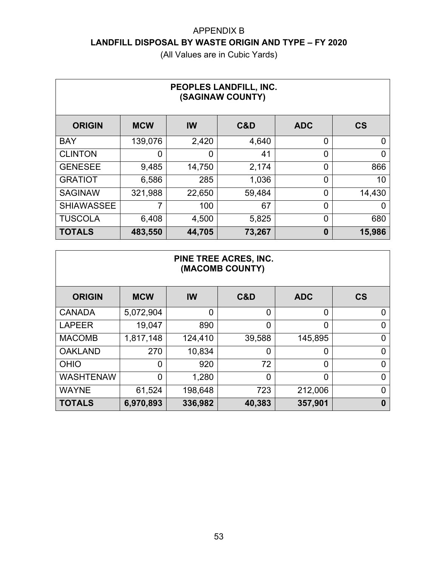(All Values are in Cubic Yards)

| PEOPLES LANDFILL, INC.<br>(SAGINAW COUNTY) |            |        |        |                |           |  |  |  |
|--------------------------------------------|------------|--------|--------|----------------|-----------|--|--|--|
| <b>ORIGIN</b>                              | <b>MCW</b> | IW     | C&D    | <b>ADC</b>     | <b>CS</b> |  |  |  |
| <b>BAY</b>                                 | 139,076    | 2,420  | 4,640  | 0              | 0         |  |  |  |
| <b>CLINTON</b>                             | Ω          | 0      | 41     | 0              | 0         |  |  |  |
| <b>GENESEE</b>                             | 9,485      | 14,750 | 2,174  | 0              | 866       |  |  |  |
| <b>GRATIOT</b>                             | 6,586      | 285    | 1,036  | $\overline{0}$ | 10        |  |  |  |
| <b>SAGINAW</b>                             | 321,988    | 22,650 | 59,484 | 0              | 14,430    |  |  |  |
| <b>SHIAWASSEE</b>                          | 7          | 100    | 67     | 0              | 0         |  |  |  |
| <b>TUSCOLA</b>                             | 6,408      | 4,500  | 5,825  | 0              | 680       |  |  |  |
| <b>TOTALS</b>                              | 483,550    | 44,705 | 73,267 | $\bf{0}$       | 15,986    |  |  |  |

#### **PINE TREE ACRES, INC. (MACOMB COUNTY)**

| <b>ORIGIN</b>    | <b>MCW</b> | <b>IW</b> | C&D    | <b>ADC</b> | <b>CS</b> |
|------------------|------------|-----------|--------|------------|-----------|
| <b>CANADA</b>    | 5,072,904  | 0         | 0      | 0          |           |
| <b>LAPEER</b>    | 19,047     | 890       | 0      | 0          |           |
| <b>MACOMB</b>    | 1,817,148  | 124,410   | 39,588 | 145,895    |           |
| <b>OAKLAND</b>   | 270        | 10,834    | 0      | 0          |           |
| <b>OHIO</b>      | 0          | 920       | 72     | 0          |           |
| <b>WASHTENAW</b> | 0          | 1,280     | 0      | 0          |           |
| <b>WAYNE</b>     | 61,524     | 198,648   | 723    | 212,006    |           |
| <b>TOTALS</b>    | 6,970,893  | 336,982   | 40,383 | 357,901    | 0         |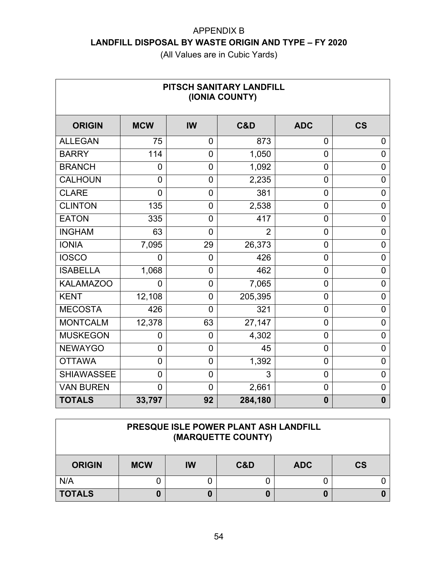(All Values are in Cubic Yards)

| PITSCH SANITARY LANDFILL<br>(IONIA COUNTY) |                |                |                |                |                          |  |  |  |  |
|--------------------------------------------|----------------|----------------|----------------|----------------|--------------------------|--|--|--|--|
| <b>ORIGIN</b>                              | <b>MCW</b>     | IW             | C&D            | <b>ADC</b>     | $\mathsf{CS}\phantom{0}$ |  |  |  |  |
| <b>ALLEGAN</b>                             | 75             | $\overline{0}$ | 873            | $\overline{0}$ | 0                        |  |  |  |  |
| <b>BARRY</b>                               | 114            | $\overline{0}$ | 1,050          | $\overline{0}$ | $\overline{0}$           |  |  |  |  |
| <b>BRANCH</b>                              | $\overline{0}$ | $\mathbf 0$    | 1,092          | $\overline{0}$ | $\mathbf 0$              |  |  |  |  |
| <b>CALHOUN</b>                             | $\overline{0}$ | 0              | 2,235          | $\overline{0}$ | 0                        |  |  |  |  |
| <b>CLARE</b>                               | $\overline{0}$ | 0              | 381            | $\mathbf 0$    | $\mathbf 0$              |  |  |  |  |
| <b>CLINTON</b>                             | 135            | 0              | 2,538          | $\mathbf 0$    | 0                        |  |  |  |  |
| <b>EATON</b>                               | 335            | 0              | 417            | $\mathbf 0$    | $\mathbf 0$              |  |  |  |  |
| <b>INGHAM</b>                              | 63             | $\overline{0}$ | $\overline{2}$ | $\overline{0}$ | $\overline{0}$           |  |  |  |  |
| <b>IONIA</b>                               | 7,095          | 29             | 26,373         | $\overline{0}$ | $\mathbf 0$              |  |  |  |  |
| <b>IOSCO</b>                               | 0              | $\mathbf 0$    | 426            | $\mathbf 0$    | 0                        |  |  |  |  |
| <b>ISABELLA</b>                            | 1,068          | $\overline{0}$ | 462            | $\mathbf 0$    | 0                        |  |  |  |  |
| <b>KALAMAZOO</b>                           | 0              | $\overline{0}$ | 7,065          | 0              | 0                        |  |  |  |  |
| <b>KENT</b>                                | 12,108         | $\overline{0}$ | 205,395        | $\mathbf 0$    | $\mathbf 0$              |  |  |  |  |
| <b>MECOSTA</b>                             | 426            | $\overline{0}$ | 321            | $\mathbf 0$    | $\overline{0}$           |  |  |  |  |
| <b>MONTCALM</b>                            | 12,378         | 63             | 27,147         | $\mathbf 0$    | $\overline{0}$           |  |  |  |  |
| <b>MUSKEGON</b>                            | 0              | $\mathbf 0$    | 4,302          | $\mathbf 0$    | 0                        |  |  |  |  |
| <b>NEWAYGO</b>                             | 0              | $\mathbf 0$    | 45             | $\mathbf 0$    | $\overline{0}$           |  |  |  |  |
| <b>OTTAWA</b>                              | $\overline{0}$ | $\mathbf 0$    | 1,392          | $\overline{0}$ | 0                        |  |  |  |  |
| <b>SHIAWASSEE</b>                          | $\overline{0}$ | $\mathbf 0$    | 3              | $\mathbf 0$    | 0                        |  |  |  |  |
| <b>VAN BUREN</b>                           | $\overline{0}$ | $\overline{0}$ | 2,661          | $\mathbf 0$    | 0                        |  |  |  |  |
| <b>TOTALS</b>                              | 33,797         | 92             | 284,180        | $\bf{0}$       | $\mathbf 0$              |  |  |  |  |

| PRESQUE ISLE POWER PLANT ASH LANDFILL<br>(MARQUETTE COUNTY) |            |    |     |            |           |  |  |  |
|-------------------------------------------------------------|------------|----|-----|------------|-----------|--|--|--|
| <b>ORIGIN</b>                                               | <b>MCW</b> | IW | C&D | <b>ADC</b> | <b>CS</b> |  |  |  |
| N/A                                                         |            |    |     |            |           |  |  |  |
| <b>TOTALS</b>                                               |            | U  |     |            |           |  |  |  |

 $\Gamma$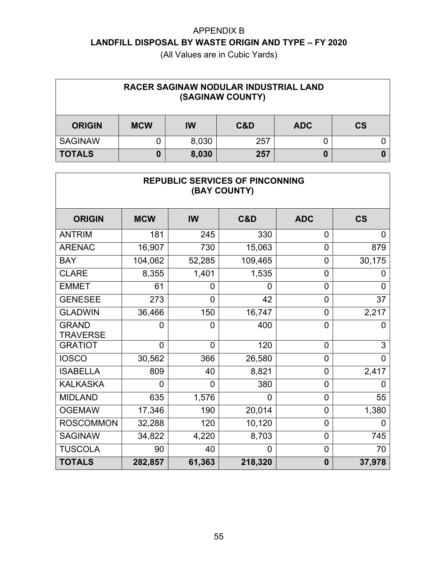| RACER SAGINAW NODULAR INDUSTRIAL LAND<br>(SAGINAW COUNTY) |            |           |     |            |           |  |  |
|-----------------------------------------------------------|------------|-----------|-----|------------|-----------|--|--|
| <b>ORIGIN</b>                                             | <b>MCW</b> | <b>IW</b> | C&D | <b>ADC</b> | <b>CS</b> |  |  |
| <b>SAGINAW</b>                                            |            | 8,030     | 257 |            |           |  |  |
| <b>TOTALS</b>                                             |            | 8,030     | 257 | 0          |           |  |  |

| REPUBLIC SERVICES OF PINCONNING<br>(BAY COUNTY) |                |                |         |                |                          |  |  |  |
|-------------------------------------------------|----------------|----------------|---------|----------------|--------------------------|--|--|--|
| <b>ORIGIN</b>                                   | <b>MCW</b>     | IW             | C&D     | <b>ADC</b>     | $\mathsf{CS}\phantom{0}$ |  |  |  |
| <b>ANTRIM</b>                                   | 181            | 245            | 330     | 0              | 0                        |  |  |  |
| <b>ARENAC</b>                                   | 16,907         | 730            | 15,063  | $\overline{0}$ | 879                      |  |  |  |
| <b>BAY</b>                                      | 104,062        | 52,285         | 109,465 | $\mathbf 0$    | 30,175                   |  |  |  |
| <b>CLARE</b>                                    | 8,355          | 1,401          | 1,535   | $\overline{0}$ |                          |  |  |  |
| <b>EMMET</b>                                    | 61             | 0              | 0       | $\overline{0}$ | 0                        |  |  |  |
| <b>GENESEE</b>                                  | 273            | 0              | 42      | $\mathbf 0$    | 37                       |  |  |  |
| <b>GLADWIN</b>                                  | 36,466         | 150            | 16,747  | $\overline{0}$ | 2,217                    |  |  |  |
| <b>GRAND</b><br><b>TRAVERSE</b>                 | 0              | 0              | 400     | $\overline{0}$ | 0                        |  |  |  |
| <b>GRATIOT</b>                                  | $\overline{0}$ | $\overline{0}$ | 120     | $\overline{0}$ | 3                        |  |  |  |
| <b>IOSCO</b>                                    | 30,562         | 366            | 26,580  | $\overline{0}$ | 0                        |  |  |  |
| <b>ISABELLA</b>                                 | 809            | 40             | 8,821   | $\overline{0}$ | 2,417                    |  |  |  |
| <b>KALKASKA</b>                                 | 0              | 0              | 380     | $\overline{0}$ |                          |  |  |  |
| <b>MIDLAND</b>                                  | 635            | 1,576          | 0       | $\overline{0}$ | 55                       |  |  |  |
| <b>OGEMAW</b>                                   | 17,346         | 190            | 20,014  | $\mathbf 0$    | 1,380                    |  |  |  |
| <b>ROSCOMMON</b>                                | 32,288         | 120            | 10,120  | $\overline{0}$ | 0                        |  |  |  |
| <b>SAGINAW</b>                                  | 34,822         | 4,220          | 8,703   | $\mathbf 0$    | 745                      |  |  |  |
| <b>TUSCOLA</b>                                  | 90             | 40             | 0       | $\mathbf 0$    | 70                       |  |  |  |
| <b>TOTALS</b>                                   | 282,857        | 61,363         | 218,320 | $\bf{0}$       | 37,978                   |  |  |  |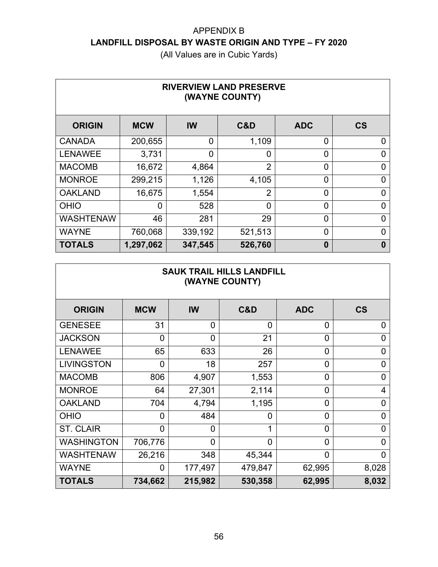| <b>RIVERVIEW LAND PRESERVE</b><br>(WAYNE COUNTY) |            |                |                |                |           |  |  |  |
|--------------------------------------------------|------------|----------------|----------------|----------------|-----------|--|--|--|
| <b>ORIGIN</b>                                    | <b>MCW</b> | <b>IW</b>      | C&D            | <b>ADC</b>     | <b>CS</b> |  |  |  |
| <b>CANADA</b>                                    | 200,655    | $\overline{0}$ | 1,109          | 0              | 0         |  |  |  |
| <b>LENAWEE</b>                                   | 3,731      | 0              | 0              | $\overline{0}$ | 0         |  |  |  |
| <b>MACOMB</b>                                    | 16,672     | 4,864          | $\overline{2}$ | $\overline{0}$ | 0         |  |  |  |
| <b>MONROE</b>                                    | 299,215    | 1,126          | 4,105          | $\overline{0}$ | 0         |  |  |  |
| <b>OAKLAND</b>                                   | 16,675     | 1,554          | $\overline{2}$ | $\overline{0}$ | 0         |  |  |  |
| <b>OHIO</b>                                      | 0          | 528            | 0              | $\overline{0}$ | 0         |  |  |  |
| <b>WASHTENAW</b>                                 | 46         | 281            | 29             | $\overline{0}$ | $\Omega$  |  |  |  |
| <b>WAYNE</b>                                     | 760,068    | 339,192        | 521,513        | $\overline{0}$ | 0         |  |  |  |
| <b>TOTALS</b>                                    | 1,297,062  | 347,545        | 526,760        | $\bf{0}$       | 0         |  |  |  |

| <b>SAUK TRAIL HILLS LANDFILL</b><br>(WAYNE COUNTY) |                |                |                |                |                        |  |  |  |  |
|----------------------------------------------------|----------------|----------------|----------------|----------------|------------------------|--|--|--|--|
| <b>ORIGIN</b>                                      | <b>MCW</b>     | <b>IW</b>      | C&D            | <b>ADC</b>     | $\mathbf{c}\mathbf{s}$ |  |  |  |  |
| <b>GENESEE</b>                                     | 31             | $\overline{0}$ | $\overline{0}$ | $\overline{0}$ | 0                      |  |  |  |  |
| <b>JACKSON</b>                                     | $\overline{0}$ | $\overline{0}$ | 21             | $\overline{0}$ | $\overline{0}$         |  |  |  |  |
| <b>LENAWEE</b>                                     | 65             | 633            | 26             | $\overline{0}$ | 0                      |  |  |  |  |
| <b>LIVINGSTON</b>                                  | $\overline{0}$ | 18             | 257            | 0              | 0                      |  |  |  |  |
| <b>MACOMB</b>                                      | 806            | 4,907          | 1,553          | 0              | 0                      |  |  |  |  |
| <b>MONROE</b>                                      | 64             | 27,301         | 2,114          | 0              | $\overline{4}$         |  |  |  |  |
| <b>OAKLAND</b>                                     | 704            | 4,794          | 1,195          | $\overline{0}$ | 0                      |  |  |  |  |
| <b>OHIO</b>                                        | 0              | 484            | $\overline{0}$ | $\overline{0}$ | $\Omega$               |  |  |  |  |
| <b>ST. CLAIR</b>                                   | $\overline{0}$ | $\overline{0}$ |                | $\overline{0}$ | 0                      |  |  |  |  |
| <b>WASHINGTON</b>                                  | 706,776        | $\overline{0}$ | $\overline{0}$ | 0              | 0                      |  |  |  |  |
| <b>WASHTENAW</b>                                   | 26,216         | 348            | 45,344         | $\overline{0}$ | 0                      |  |  |  |  |
| <b>WAYNE</b>                                       | $\Omega$       | 177,497        | 479,847        | 62,995         | 8,028                  |  |  |  |  |
| <b>TOTALS</b>                                      | 734,662        | 215,982        | 530,358        | 62,995         | 8,032                  |  |  |  |  |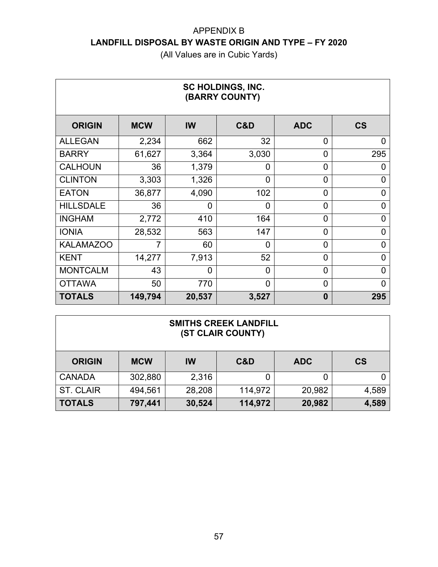| SC HOLDINGS, INC.<br>(BARRY COUNTY) |            |                |                |                |                          |  |  |  |
|-------------------------------------|------------|----------------|----------------|----------------|--------------------------|--|--|--|
| <b>ORIGIN</b>                       | <b>MCW</b> | IW             | C&D            | <b>ADC</b>     | $\mathsf{CS}\phantom{0}$ |  |  |  |
| <b>ALLEGAN</b>                      | 2,234      | 662            | 32             | 0              | 0                        |  |  |  |
| <b>BARRY</b>                        | 61,627     | 3,364          | 3,030          | $\overline{0}$ | 295                      |  |  |  |
| <b>CALHOUN</b>                      | 36         | 1,379          | 0              | $\overline{0}$ | 0                        |  |  |  |
| <b>CLINTON</b>                      | 3,303      | 1,326          | $\Omega$       | $\overline{0}$ | 0                        |  |  |  |
| <b>EATON</b>                        | 36,877     | 4,090          | 102            | 0              | 0                        |  |  |  |
| <b>HILLSDALE</b>                    | 36         | $\overline{0}$ | $\overline{0}$ | $\overline{0}$ | $\overline{0}$           |  |  |  |
| <b>INGHAM</b>                       | 2,772      | 410            | 164            | $\overline{0}$ | 0                        |  |  |  |
| <b>IONIA</b>                        | 28,532     | 563            | 147            | 0              | 0                        |  |  |  |
| <b>KALAMAZOO</b>                    | 7          | 60             | $\Omega$       | $\overline{0}$ | 0                        |  |  |  |
| <b>KENT</b>                         | 14,277     | 7,913          | 52             | $\overline{0}$ | $\Omega$                 |  |  |  |
| <b>MONTCALM</b>                     | 43         | $\overline{0}$ | $\Omega$       | $\overline{0}$ | 0                        |  |  |  |
| <b>OTTAWA</b>                       | 50         | 770            | $\overline{0}$ | $\mathbf 0$    | 0                        |  |  |  |
| <b>TOTALS</b>                       | 149,794    | 20,537         | 3,527          | $\bf{0}$       | 295                      |  |  |  |

| <b>SMITHS CREEK LANDFILL</b><br>(ST CLAIR COUNTY) |            |        |         |            |           |  |  |
|---------------------------------------------------|------------|--------|---------|------------|-----------|--|--|
| <b>ORIGIN</b>                                     | <b>MCW</b> | IW     | C&D     | <b>ADC</b> | <b>CS</b> |  |  |
| <b>CANADA</b>                                     | 302,880    | 2,316  |         |            |           |  |  |
| ST. CLAIR                                         | 494,561    | 28,208 | 114,972 | 20,982     | 4,589     |  |  |
| <b>TOTALS</b>                                     | 797,441    | 30,524 | 114,972 | 20,982     | 4,589     |  |  |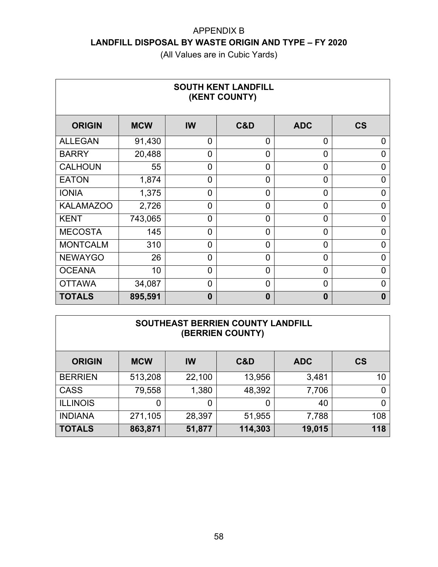| <b>SOUTH KENT LANDFILL</b><br>(KENT COUNTY) |            |                |                |                |                          |  |  |  |
|---------------------------------------------|------------|----------------|----------------|----------------|--------------------------|--|--|--|
| <b>ORIGIN</b>                               | <b>MCW</b> | IW             | C&D            | <b>ADC</b>     | $\mathsf{CS}\phantom{0}$ |  |  |  |
| <b>ALLEGAN</b>                              | 91,430     | $\overline{0}$ | $\Omega$       | 0              | $\Omega$                 |  |  |  |
| <b>BARRY</b>                                | 20,488     | 0              | $\overline{0}$ | 0              | 0                        |  |  |  |
| <b>CALHOUN</b>                              | 55         | 0              | $\Omega$       | $\overline{0}$ | 0                        |  |  |  |
| <b>EATON</b>                                | 1,874      | $\overline{0}$ | $\Omega$       | $\overline{0}$ | 0                        |  |  |  |
| <b>IONIA</b>                                | 1,375      | $\overline{0}$ | $\overline{0}$ | 0              | 0                        |  |  |  |
| <b>KALAMAZOO</b>                            | 2,726      | $\overline{0}$ | $\overline{0}$ | 0              | 0                        |  |  |  |
| <b>KENT</b>                                 | 743,065    | $\overline{0}$ | $\Omega$       | $\overline{0}$ | $\Omega$                 |  |  |  |
| <b>MECOSTA</b>                              | 145        | $\overline{0}$ | $\Omega$       | 0              | 0                        |  |  |  |
| <b>MONTCALM</b>                             | 310        | $\overline{0}$ | $\overline{0}$ | 0              | $\overline{0}$           |  |  |  |
| <b>NEWAYGO</b>                              | 26         | $\overline{0}$ | $\Omega$       | 0              | $\Omega$                 |  |  |  |
| <b>OCEANA</b>                               | 10         | 0              | $\Omega$       | $\overline{0}$ | ი                        |  |  |  |
| <b>OTTAWA</b>                               | 34,087     | $\overline{0}$ | $\overline{0}$ | 0              | 0                        |  |  |  |
| <b>TOTALS</b>                               | 895,591    | $\bf{0}$       | $\bf{0}$       | $\bf{0}$       | 0                        |  |  |  |

| SOUTHEAST BERRIEN COUNTY LANDFILL<br>(BERRIEN COUNTY) |            |        |         |            |           |  |  |  |
|-------------------------------------------------------|------------|--------|---------|------------|-----------|--|--|--|
| <b>ORIGIN</b>                                         | <b>MCW</b> | IW     | C&D     | <b>ADC</b> | <b>CS</b> |  |  |  |
| <b>BERRIEN</b>                                        | 513,208    | 22,100 | 13,956  | 3,481      | 10        |  |  |  |
| <b>CASS</b>                                           | 79,558     | 1,380  | 48,392  | 7,706      |           |  |  |  |
| <b>ILLINOIS</b>                                       | 0          | 0      | 0       | 40         |           |  |  |  |
| <b>INDIANA</b>                                        | 271,105    | 28,397 | 51,955  | 7,788      | 108       |  |  |  |
| <b>TOTALS</b>                                         | 863,871    | 51,877 | 114,303 | 19,015     | 118       |  |  |  |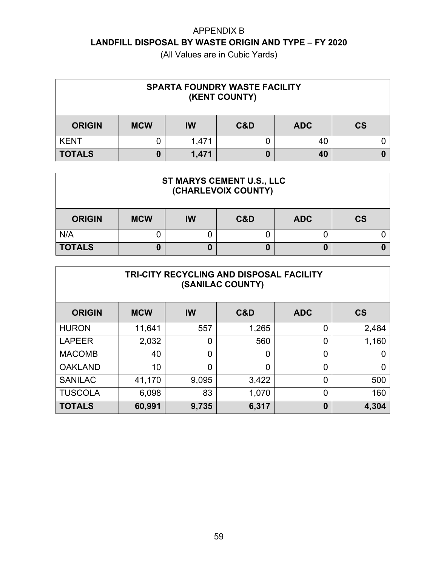| <b>SPARTA FOUNDRY WASTE FACILITY</b><br>(KENT COUNTY)               |  |       |  |    |  |  |  |
|---------------------------------------------------------------------|--|-------|--|----|--|--|--|
| <b>CS</b><br>C&D<br><b>ORIGIN</b><br><b>MCW</b><br><b>ADC</b><br>IW |  |       |  |    |  |  |  |
| <b>KENT</b>                                                         |  | 1,471 |  | 40 |  |  |  |
| <b>TOTALS</b>                                                       |  | 1,471 |  | 40 |  |  |  |

| ST MARYS CEMENT U.S., LLC<br>(CHARLEVOIX COUNTY) |                                                    |  |  |   |  |  |  |  |
|--------------------------------------------------|----------------------------------------------------|--|--|---|--|--|--|--|
| <b>ORIGIN</b>                                    | <b>CS</b><br>C&D<br><b>MCW</b><br><b>ADC</b><br>IW |  |  |   |  |  |  |  |
| N/A                                              |                                                    |  |  |   |  |  |  |  |
| <b>TOTALS</b>                                    |                                                    |  |  | 0 |  |  |  |  |

| <b>TRI-CITY RECYCLING AND DISPOSAL FACILITY</b><br>(SANILAC COUNTY) |            |                |       |            |                |  |  |  |
|---------------------------------------------------------------------|------------|----------------|-------|------------|----------------|--|--|--|
| <b>ORIGIN</b>                                                       | <b>MCW</b> | <b>IW</b>      | C&D   | <b>ADC</b> | <b>CS</b>      |  |  |  |
| <b>HURON</b>                                                        | 11,641     | 557            | 1,265 | 0          | 2,484          |  |  |  |
| <b>LAPEER</b>                                                       | 2,032      | 0              | 560   | 0          | 1,160          |  |  |  |
| <b>MACOMB</b>                                                       | 40         | $\overline{0}$ | ∩     | 0          | O              |  |  |  |
| <b>OAKLAND</b>                                                      | 10         | $\overline{0}$ | ∩     | 0          | $\overline{0}$ |  |  |  |
| <b>SANILAC</b>                                                      | 41,170     | 9,095          | 3,422 | 0          | 500            |  |  |  |
| <b>TUSCOLA</b>                                                      | 6,098      | 83             | 1,070 | 0          | 160            |  |  |  |
| <b>TOTALS</b>                                                       | 60,991     | 9,735          | 6,317 | 0          | 4,304          |  |  |  |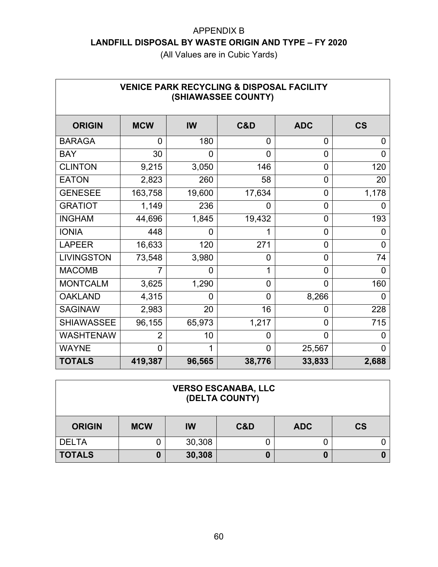| <b>VENICE PARK RECYCLING &amp; DISPOSAL FACILITY</b><br>(SHIAWASSEE COUNTY) |                |                |                |                |                |  |  |  |
|-----------------------------------------------------------------------------|----------------|----------------|----------------|----------------|----------------|--|--|--|
| <b>ORIGIN</b>                                                               | <b>MCW</b>     | <b>IW</b>      | C&D            | <b>ADC</b>     | <b>CS</b>      |  |  |  |
| <b>BARAGA</b>                                                               | $\overline{0}$ | 180            | 0              | 0              | 0              |  |  |  |
| <b>BAY</b>                                                                  | 30             | $\overline{0}$ | $\overline{0}$ | 0              | $\Omega$       |  |  |  |
| <b>CLINTON</b>                                                              | 9,215          | 3,050          | 146            | $\overline{0}$ | 120            |  |  |  |
| <b>EATON</b>                                                                | 2,823          | 260            | 58             | 0              | 20             |  |  |  |
| <b>GENESEE</b>                                                              | 163,758        | 19,600         | 17,634         | 0              | 1,178          |  |  |  |
| <b>GRATIOT</b>                                                              | 1,149          | 236            | 0              | $\overline{0}$ | 0              |  |  |  |
| <b>INGHAM</b>                                                               | 44,696         | 1,845          | 19,432         | $\overline{0}$ | 193            |  |  |  |
| <b>IONIA</b>                                                                | 448            | 0              |                | $\overline{0}$ | 0              |  |  |  |
| <b>LAPEER</b>                                                               | 16,633         | 120            | 271            | 0              | 0              |  |  |  |
| <b>LIVINGSTON</b>                                                           | 73,548         | 3,980          | $\overline{0}$ | $\overline{0}$ | 74             |  |  |  |
| <b>MACOMB</b>                                                               |                | 0              | 1              | $\overline{0}$ | 0              |  |  |  |
| <b>MONTCALM</b>                                                             | 3,625          | 1,290          | $\overline{0}$ | 0              | 160            |  |  |  |
| <b>OAKLAND</b>                                                              | 4,315          | $\overline{0}$ | $\overline{0}$ | 8,266          | $\overline{0}$ |  |  |  |
| <b>SAGINAW</b>                                                              | 2,983          | 20             | 16             | 0              | 228            |  |  |  |
| <b>SHIAWASSEE</b>                                                           | 96,155         | 65,973         | 1,217          | $\overline{0}$ | 715            |  |  |  |
| <b>WASHTENAW</b>                                                            | $\overline{2}$ | 10             | 0              | $\overline{0}$ | 0              |  |  |  |
| <b>WAYNE</b>                                                                | 0              | 1              | $\overline{0}$ | 25,567         | $\Omega$       |  |  |  |
| <b>TOTALS</b>                                                               | 419,387        | 96,565         | 38,776         | 33,833         | 2,688          |  |  |  |

| <b>VERSO ESCANABA, LLC</b><br>(DELTA COUNTY) |            |        |     |            |                          |  |
|----------------------------------------------|------------|--------|-----|------------|--------------------------|--|
| <b>ORIGIN</b>                                | <b>MCW</b> | IW     | C&D | <b>ADC</b> | $\mathsf{CS}\phantom{0}$ |  |
| <b>DELTA</b>                                 |            | 30,308 |     |            |                          |  |
| <b>TOTALS</b>                                |            | 30,308 |     | 0          |                          |  |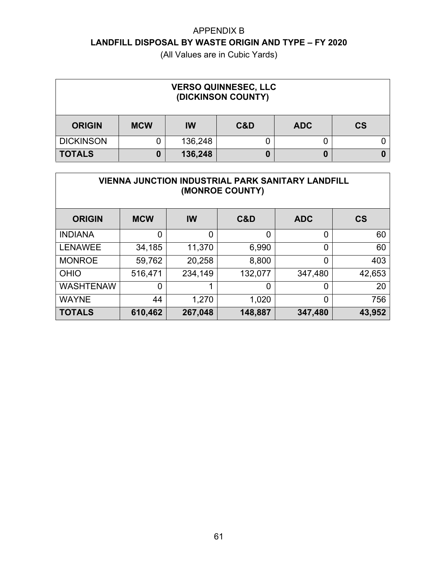| <b>VERSO QUINNESEC, LLC</b><br>(DICKINSON COUNTY) |            |           |     |            |                          |  |  |
|---------------------------------------------------|------------|-----------|-----|------------|--------------------------|--|--|
| <b>ORIGIN</b>                                     | <b>MCW</b> | <b>IW</b> | C&D | <b>ADC</b> | $\mathsf{CS}\phantom{0}$ |  |  |
| <b>DICKINSON</b>                                  |            | 136,248   |     |            |                          |  |  |
| <b>TOTALS</b>                                     | 0          | 136,248   |     | 0          |                          |  |  |

| <b>VIENNA JUNCTION INDUSTRIAL PARK SANITARY LANDFILL</b><br>(MONROE COUNTY) |                |             |         |                |           |  |  |  |
|-----------------------------------------------------------------------------|----------------|-------------|---------|----------------|-----------|--|--|--|
| <b>ORIGIN</b>                                                               | <b>MCW</b>     | IW          | C&D     | <b>ADC</b>     | <b>CS</b> |  |  |  |
| <b>INDIANA</b>                                                              | $\overline{0}$ | $\mathbf 0$ | 0       | 0              | 60        |  |  |  |
| <b>LENAWEE</b>                                                              | 34,185         | 11,370      | 6,990   | $\overline{0}$ | 60        |  |  |  |
| <b>MONROE</b>                                                               | 59,762         | 20,258      | 8,800   | $\overline{0}$ | 403       |  |  |  |
| <b>OHIO</b>                                                                 | 516,471        | 234,149     | 132,077 | 347,480        | 42,653    |  |  |  |
| <b>WASHTENAW</b>                                                            | $\overline{0}$ | 1           | 0       | $\overline{0}$ | 20        |  |  |  |
| <b>WAYNE</b>                                                                | 44             | 1,270       | 1,020   | 0              | 756       |  |  |  |
| <b>TOTALS</b>                                                               | 610,462        | 267,048     | 148,887 | 347,480        | 43,952    |  |  |  |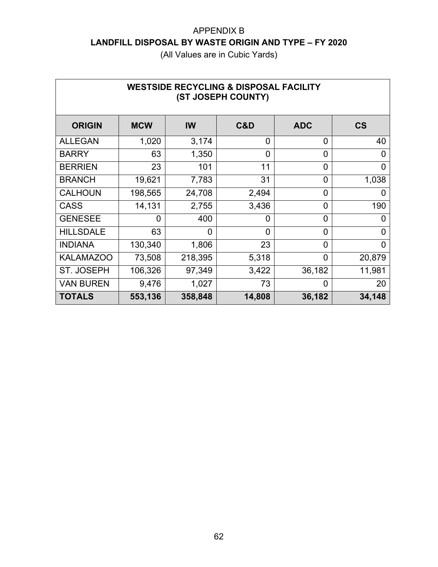| <b>WESTSIDE RECYCLING &amp; DISPOSAL FACILITY</b><br>(ST JOSEPH COUNTY) |            |                |                |                |                          |  |  |  |
|-------------------------------------------------------------------------|------------|----------------|----------------|----------------|--------------------------|--|--|--|
| <b>ORIGIN</b>                                                           | <b>MCW</b> | IW             | C&D            | <b>ADC</b>     | $\mathsf{CS}\phantom{0}$ |  |  |  |
| <b>ALLEGAN</b>                                                          | 1,020      | 3,174          | $\overline{0}$ | 0              | 40                       |  |  |  |
| <b>BARRY</b>                                                            | 63         | 1,350          | $\Omega$       | $\overline{0}$ | 0                        |  |  |  |
| <b>BERRIEN</b>                                                          | 23         | 101            | 11             | $\overline{0}$ | 0                        |  |  |  |
| <b>BRANCH</b>                                                           | 19,621     | 7,783          | 31             | 0              | 1,038                    |  |  |  |
| <b>CALHOUN</b>                                                          | 198,565    | 24,708         | 2,494          | 0              | 0                        |  |  |  |
| <b>CASS</b>                                                             | 14,131     | 2,755          | 3,436          | $\overline{0}$ | 190                      |  |  |  |
| <b>GENESEE</b>                                                          | 0          | 400            | $\Omega$       | $\overline{0}$ | 0                        |  |  |  |
| <b>HILLSDALE</b>                                                        | 63         | $\overline{0}$ | $\Omega$       | $\overline{0}$ | O                        |  |  |  |
| <b>INDIANA</b>                                                          | 130,340    | 1,806          | 23             | $\overline{0}$ | 0                        |  |  |  |
| <b>KALAMAZOO</b>                                                        | 73,508     | 218,395        | 5,318          | 0              | 20,879                   |  |  |  |
| <b>ST. JOSEPH</b>                                                       | 106,326    | 97,349         | 3,422          | 36,182         | 11,981                   |  |  |  |
| <b>VAN BUREN</b>                                                        | 9,476      | 1,027          | 73             | $\overline{0}$ | 20                       |  |  |  |
| <b>TOTALS</b>                                                           | 553,136    | 358,848        | 14,808         | 36,182         | 34,148                   |  |  |  |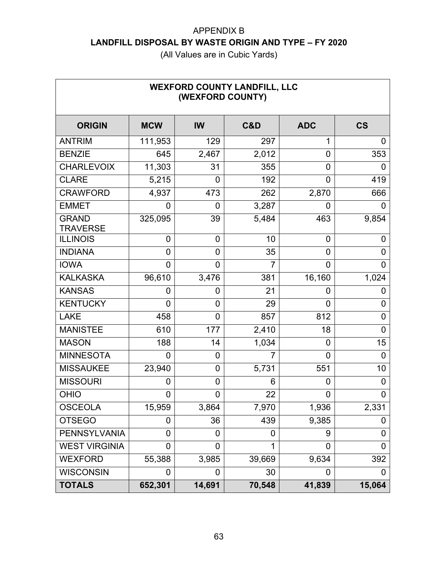(All Values are in Cubic Yards)

| <b>WEXFORD COUNTY LANDFILL, LLC</b><br>(WEXFORD COUNTY) |            |                |                |                |                          |  |  |  |
|---------------------------------------------------------|------------|----------------|----------------|----------------|--------------------------|--|--|--|
| <b>ORIGIN</b>                                           | <b>MCW</b> | <b>IW</b>      | C&D            | <b>ADC</b>     | $\mathsf{CS}\phantom{0}$ |  |  |  |
| <b>ANTRIM</b>                                           | 111,953    | 129            | 297            | 1              | 0                        |  |  |  |
| <b>BENZIE</b>                                           | 645        | 2,467          | 2,012          | 0              | 353                      |  |  |  |
| <b>CHARLEVOIX</b>                                       | 11,303     | 31             | 355            | 0              | 0                        |  |  |  |
| <b>CLARE</b>                                            | 5,215      | 0              | 192            | 0              | 419                      |  |  |  |
| <b>CRAWFORD</b>                                         | 4,937      | 473            | 262            | 2,870          | 666                      |  |  |  |
| <b>EMMET</b>                                            | 0          | 0              | 3,287          | 0              | 0                        |  |  |  |
| <b>GRAND</b><br><b>TRAVERSE</b>                         | 325,095    | 39             | 5,484          | 463            | 9,854                    |  |  |  |
| <b>ILLINOIS</b>                                         | 0          | 0              | 10             | 0              | 0                        |  |  |  |
| <b>INDIANA</b>                                          | 0          | $\overline{0}$ | 35             | 0              | 0                        |  |  |  |
| <b>IOWA</b>                                             | 0          | 0              | $\overline{7}$ | 0              | 0                        |  |  |  |
| <b>KALKASKA</b>                                         | 96,610     | 3,476          | 381            | 16,160         | 1,024                    |  |  |  |
| <b>KANSAS</b>                                           | 0          | 0              | 21             | 0              | 0                        |  |  |  |
| <b>KENTUCKY</b>                                         | 0          | 0              | 29             | 0              | 0                        |  |  |  |
| <b>LAKE</b>                                             | 458        | 0              | 857            | 812            | 0                        |  |  |  |
| <b>MANISTEE</b>                                         | 610        | 177            | 2,410          | 18             | 0                        |  |  |  |
| <b>MASON</b>                                            | 188        | 14             | 1,034          | 0              | 15                       |  |  |  |
| <b>MINNESOTA</b>                                        | 0          | 0              | $\overline{7}$ | 0              | 0                        |  |  |  |
| <b>MISSAUKEE</b>                                        | 23,940     | $\overline{0}$ | 5,731          | 551            | 10                       |  |  |  |
| <b>MISSOURI</b>                                         | 0          | 0              | 6              | $\overline{0}$ | 0                        |  |  |  |
| <b>OHIO</b>                                             | 0          | 0              | 22             | 0              | 0                        |  |  |  |
| <b>OSCEOLA</b>                                          | 15,959     | 3,864          | 7,970          | 1,936          | 2,331                    |  |  |  |
| <b>OTSEGO</b>                                           | 0          | 36             | 439            | 9,385          | 0                        |  |  |  |
| <b>PENNSYLVANIA</b>                                     | 0          | 0              | 0              | 9              | 0                        |  |  |  |
| <b>WEST VIRGINIA</b>                                    | 0          | 0              | 1              | 0              | 0                        |  |  |  |
| <b>WEXFORD</b>                                          | 55,388     | 3,985          | 39,669         | 9,634          | 392                      |  |  |  |
| <b>WISCONSIN</b>                                        | 0          | 0              | 30             | 0              | 0                        |  |  |  |
| <b>TOTALS</b>                                           | 652,301    | 14,691         | 70,548         | 41,839         | 15,064                   |  |  |  |